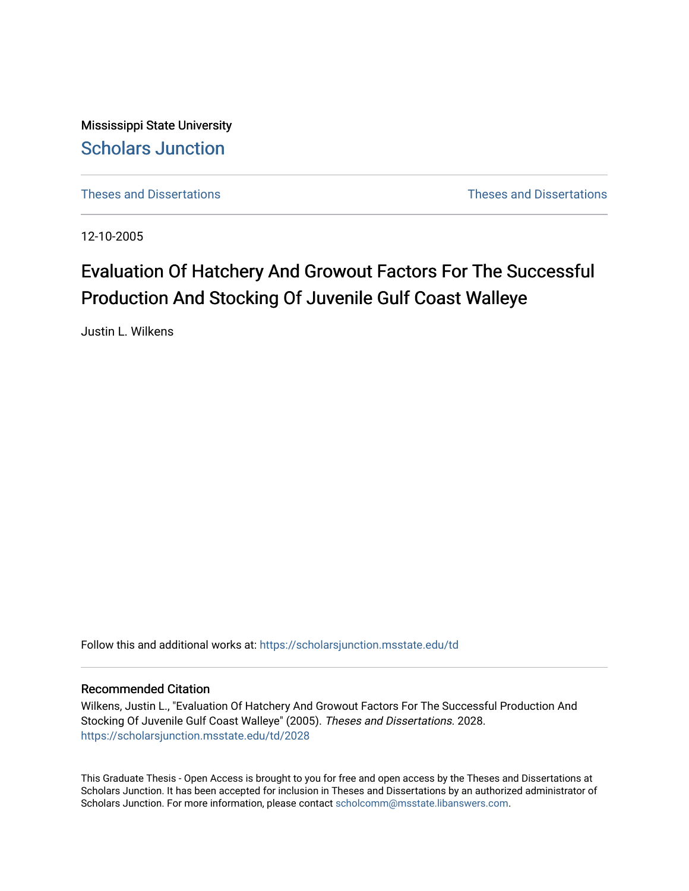Mississippi State University [Scholars Junction](https://scholarsjunction.msstate.edu/) 

[Theses and Dissertations](https://scholarsjunction.msstate.edu/td) [Theses and Dissertations](https://scholarsjunction.msstate.edu/theses-dissertations) 

12-10-2005

# Evaluation Of Hatchery And Growout Factors For The Successful Production And Stocking Of Juvenile Gulf Coast Walleye

Justin L. Wilkens

Follow this and additional works at: [https://scholarsjunction.msstate.edu/td](https://scholarsjunction.msstate.edu/td?utm_source=scholarsjunction.msstate.edu%2Ftd%2F2028&utm_medium=PDF&utm_campaign=PDFCoverPages) 

#### Recommended Citation

Wilkens, Justin L., "Evaluation Of Hatchery And Growout Factors For The Successful Production And Stocking Of Juvenile Gulf Coast Walleye" (2005). Theses and Dissertations. 2028. [https://scholarsjunction.msstate.edu/td/2028](https://scholarsjunction.msstate.edu/td/2028?utm_source=scholarsjunction.msstate.edu%2Ftd%2F2028&utm_medium=PDF&utm_campaign=PDFCoverPages) 

This Graduate Thesis - Open Access is brought to you for free and open access by the Theses and Dissertations at Scholars Junction. It has been accepted for inclusion in Theses and Dissertations by an authorized administrator of Scholars Junction. For more information, please contact [scholcomm@msstate.libanswers.com.](mailto:scholcomm@msstate.libanswers.com)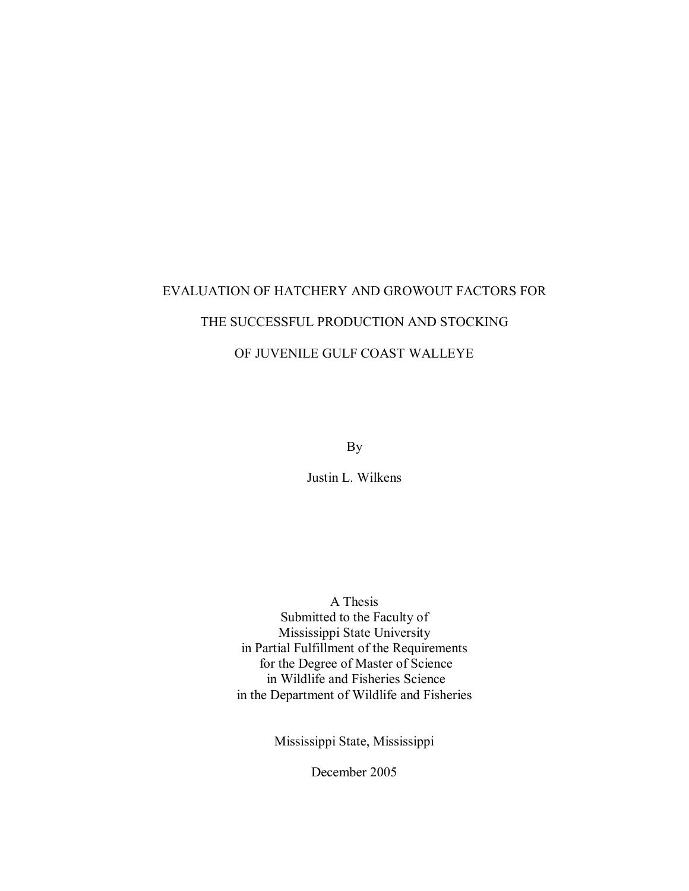# EVALUATION OF HATCHERY AND GROWOUT FACTORS FOR THE SUCCESSFUL PRODUCTION AND STOCKING OF JUVENILE GULF COAST WALLEYE

By

Justin L. Wilkens

 A Thesis Submitted to the Faculty of Mississippi State University in Partial Fulfillment of the Requirements for the Degree of Master of Science in Wildlife and Fisheries Science in the Department of Wildlife and Fisheries

Mississippi State, Mississippi

December 2005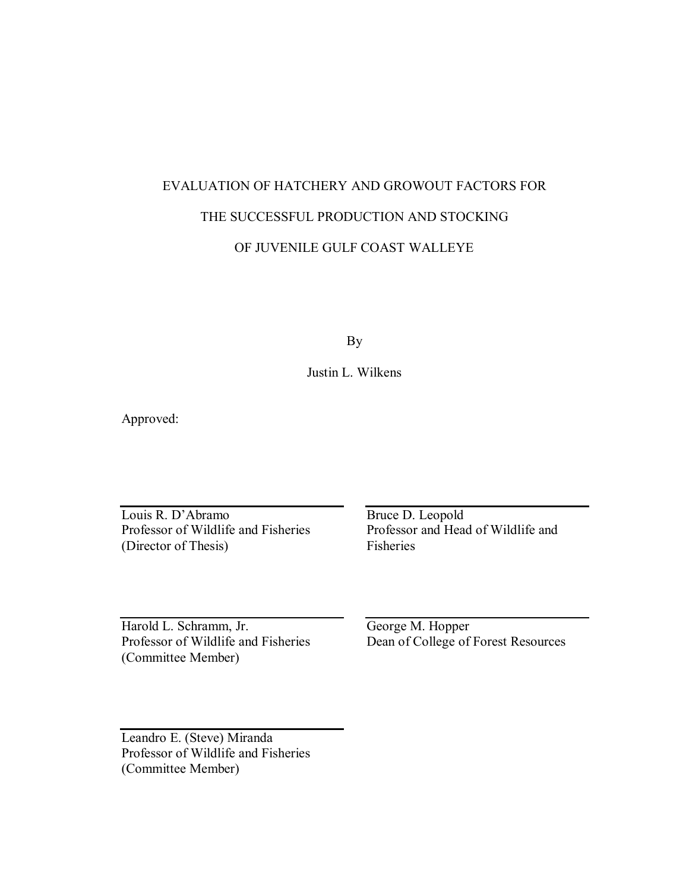# EVALUATION OF HATCHERY AND GROWOUT FACTORS FOR THE SUCCESSFUL PRODUCTION AND STOCKING OF JUVENILE GULF COAST WALLEYE

By

Justin L. Wilkens

Approved:

Louis R. D'Abramo Professor of Wildlife and Fisheries (Director of Thesis) Fisheries Louis R. D'Abramo Bruce D. Leopold

Professor of Wildlife and Fisheries Professor and Head of Wildlife and

Harold L. Schramm, Jr. Professor of Wildlife and Fisheries (Committee Member) Harold L. Schramm, Jr. George M. Hopper

Professor of Wildlife and Fisheries Dean of College of Forest Resources

 Leandro E. (Steve) Miranda Professor of Wildlife and Fisheries (Committee Member)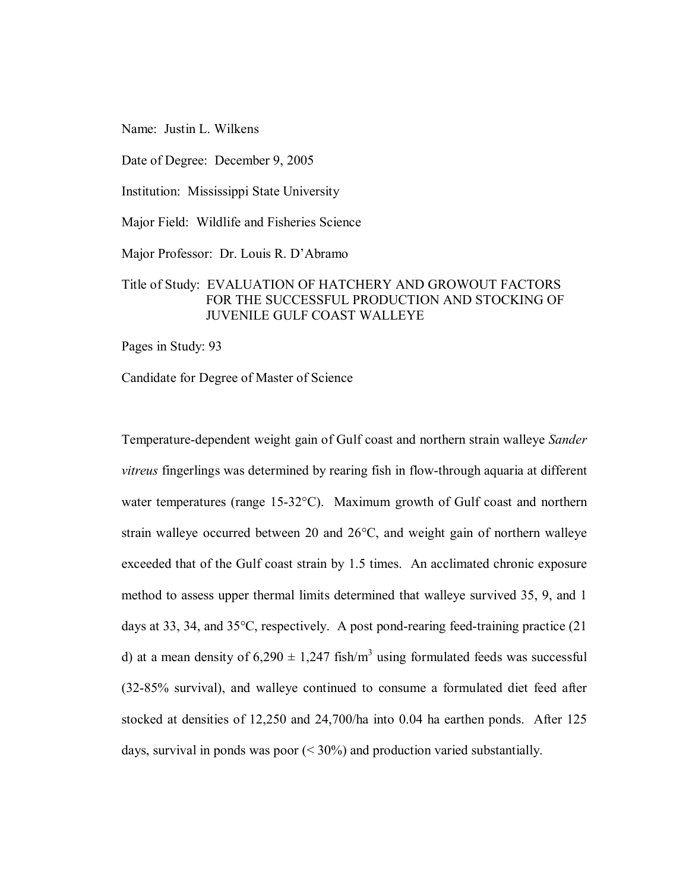Name: Justin L. Wilkens

Date of Degree: December 9, 2005

Institution: Mississippi State University

Major Field: Wildlife and Fisheries Science

Major Professor: Dr. Louis R. D'Abramo

#### Title of Study: EVALUATION OF HATCHERY AND GROWOUT FACTORS FOR THE SUCCESSFUL PRODUCTION AND STOCKING OF JUVENILE GULF COAST WALLEYE

Pages in Study: 93

Candidate for Degree of Master of Science

 Temperature-dependent weight gain of Gulf coast and northern strain walleye *Sander vitreus* fingerlings was determined by rearing fish in flow-through aquaria at different water temperatures (range 15-32°C). Maximum growth of Gulf coast and northern strain walleye occurred between 20 and 26°C, and weight gain of northern walleye exceeded that of the Gulf coast strain by 1.5 times. An acclimated chronic exposure method to assess upper thermal limits determined that walleye survived 35, 9, and 1 days at 33, 34, and 35°C, respectively. A post pond-rearing feed-training practice (21 d) at a mean density of  $6,290 \pm 1,247$  fish/m<sup>3</sup> using formulated feeds was successful (32-85% survival), and walleye continued to consume a formulated diet feed after stocked at densities of 12,250 and 24,700/ha into 0.04 ha earthen ponds. After 125 days, survival in ponds was poor (< 30%) and production varied substantially.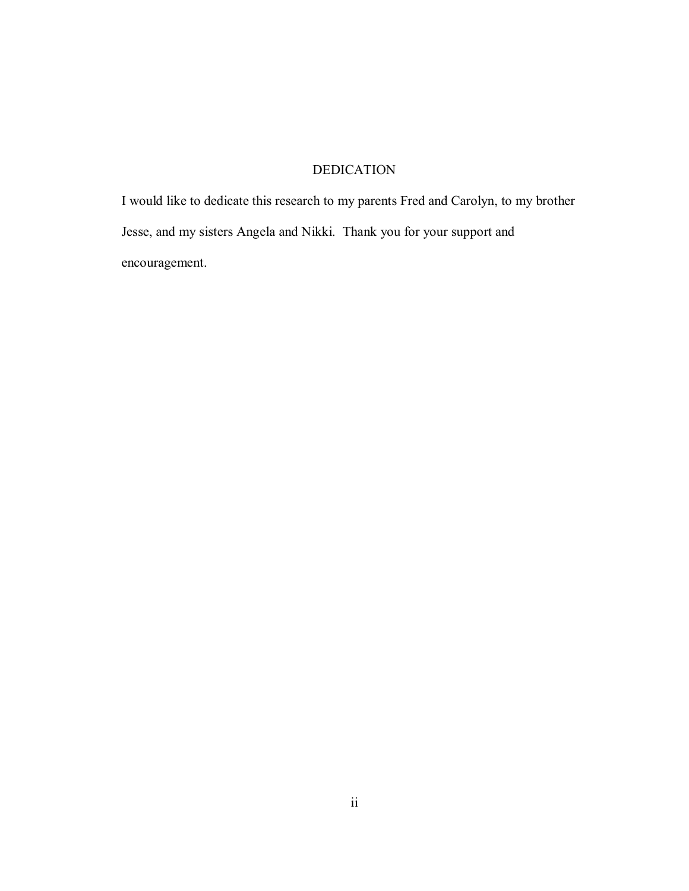## DEDICATION

<span id="page-4-0"></span> I would like to dedicate this research to my parents Fred and Carolyn, to my brother Jesse, and my sisters Angela and Nikki. Thank you for your support and encouragement.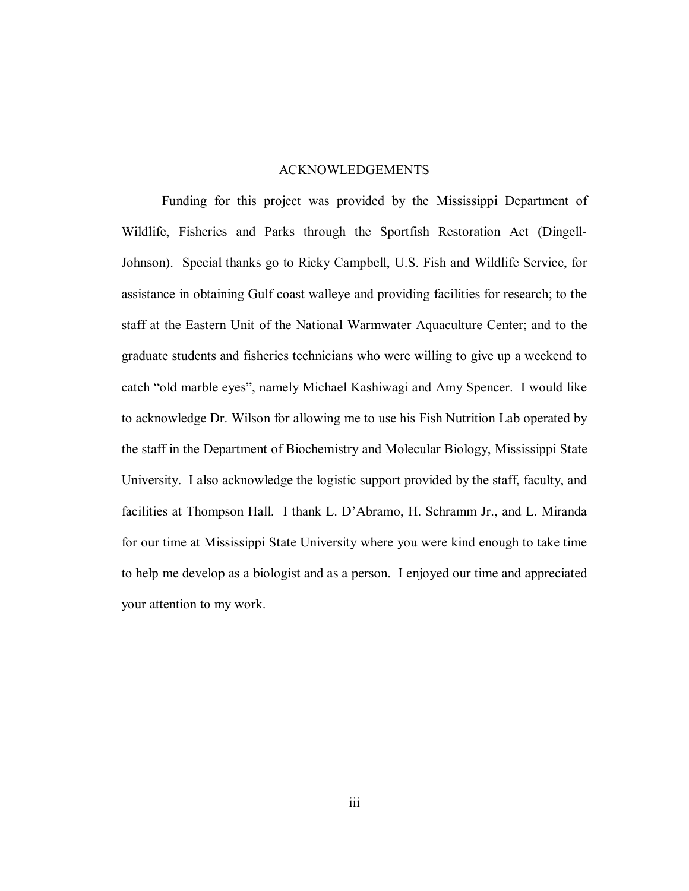#### ACKNOWLEDGEMENTS

<span id="page-5-0"></span> Funding for this project was provided by the Mississippi Department of Wildlife, Fisheries and Parks through the Sportfish Restoration Act (Dingell- Johnson). Special thanks go to Ricky Campbell, U.S. Fish and Wildlife Service, for assistance in obtaining Gulf coast walleye and providing facilities for research; to the staff at the Eastern Unit of the National Warmwater Aquaculture Center; and to the graduate students and fisheries technicians who were willing to give up a weekend to catch "old marble eyes", namely Michael Kashiwagi and Amy Spencer. I would like to acknowledge Dr. Wilson for allowing me to use his Fish Nutrition Lab operated by the staff in the Department of Biochemistry and Molecular Biology, Mississippi State University. I also acknowledge the logistic support provided by the staff, faculty, and facilities at Thompson Hall. I thank L. D'Abramo, H. Schramm Jr., and L. Miranda for our time at Mississippi State University where you were kind enough to take time to help me develop as a biologist and as a person. I enjoyed our time and appreciated your attention to my work.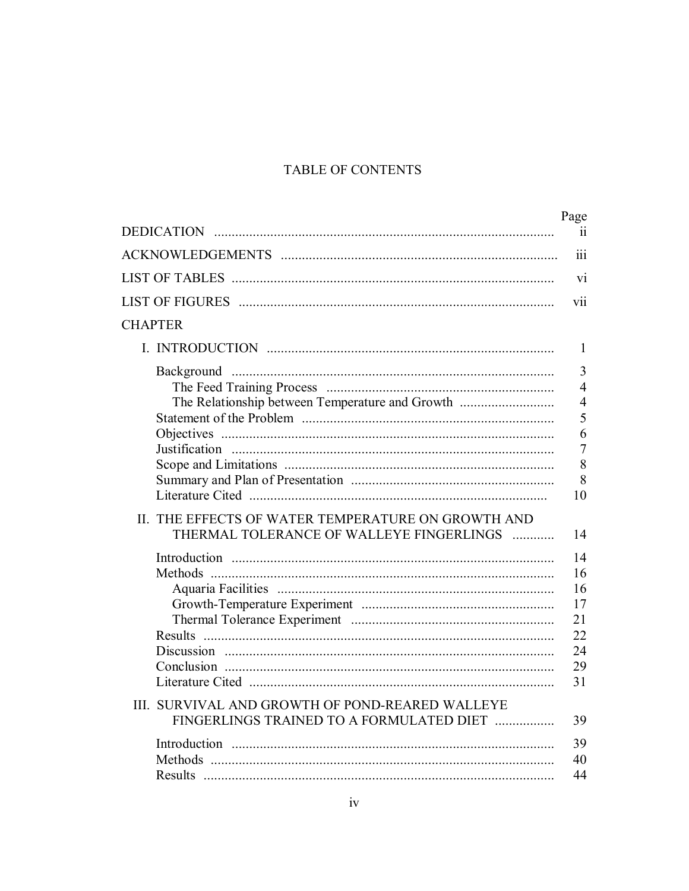## TABLE OF CONTENTS

|                                                                                                       | Page<br>$\overline{11}$                                                                        |
|-------------------------------------------------------------------------------------------------------|------------------------------------------------------------------------------------------------|
|                                                                                                       |                                                                                                |
|                                                                                                       | iii                                                                                            |
|                                                                                                       | vi                                                                                             |
|                                                                                                       | vii                                                                                            |
| <b>CHAPTER</b>                                                                                        |                                                                                                |
|                                                                                                       | 1                                                                                              |
| The Relationship between Temperature and Growth<br>II. THE EFFECTS OF WATER TEMPERATURE ON GROWTH AND | $\overline{3}$<br>$\overline{4}$<br>$\overline{4}$<br>5<br>6<br>$\overline{7}$<br>8<br>8<br>10 |
| THERMAL TOLERANCE OF WALLEYE FINGERLINGS<br>III. SURVIVAL AND GROWTH OF POND-REARED WALLEYE           | 14<br>14<br>16<br>16<br>17<br>21<br>22<br>24<br>29<br>31                                       |
| FINGERLINGS TRAINED TO A FORMULATED DIET                                                              | 39<br>39<br>40<br>44                                                                           |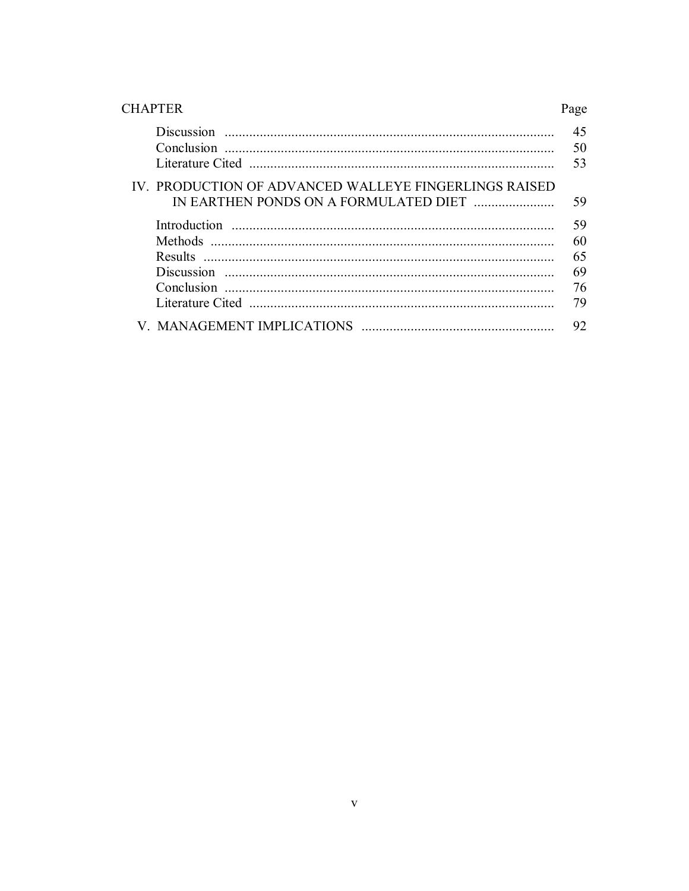| <b>CHAPTER</b>                                        | Page     |
|-------------------------------------------------------|----------|
|                                                       | 45<br>50 |
|                                                       | 53       |
| IV. PRODUCTION OF ADVANCED WALLEYE FINGERLINGS RAISED | 59       |
|                                                       | 59       |
| Methods                                               | 60       |
|                                                       | 65       |
|                                                       | 69       |
|                                                       | 76       |
|                                                       | 79       |
|                                                       | 92       |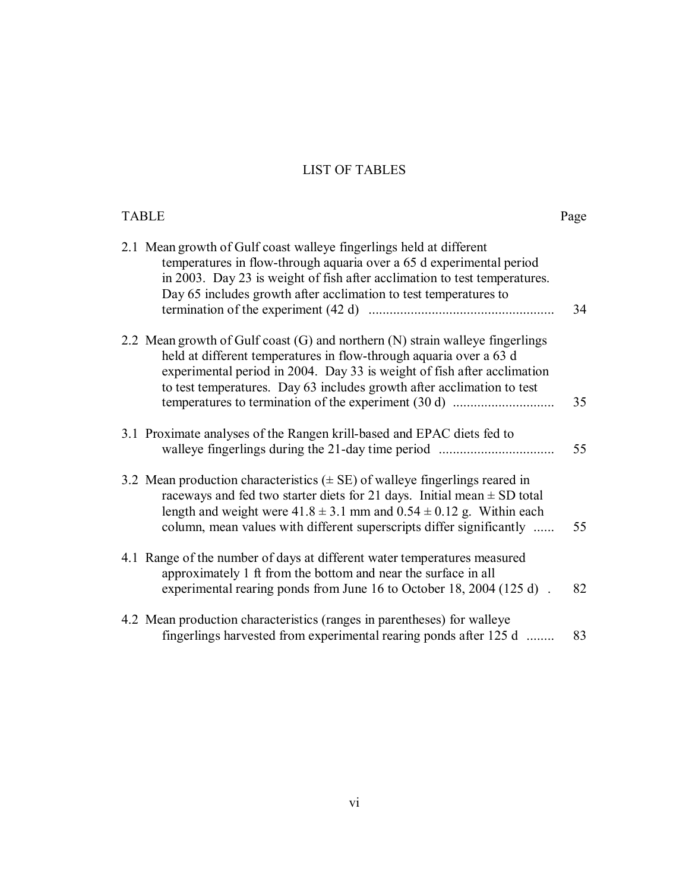#### LIST OF TABLES

<span id="page-8-0"></span>

| <b>TABLE</b>                                                                                                                                                                                                                                                                                                                  | Page |
|-------------------------------------------------------------------------------------------------------------------------------------------------------------------------------------------------------------------------------------------------------------------------------------------------------------------------------|------|
| 2.1 Mean growth of Gulf coast walleye fingerlings held at different<br>temperatures in flow-through aquaria over a 65 d experimental period<br>in 2003. Day 23 is weight of fish after acclimation to test temperatures.<br>Day 65 includes growth after acclimation to test temperatures to                                  | 34   |
| 2.2 Mean growth of Gulf coast (G) and northern (N) strain walleye fingerlings<br>held at different temperatures in flow-through aquaria over a 63 d<br>experimental period in 2004. Day 33 is weight of fish after acclimation<br>to test temperatures. Day 63 includes growth after acclimation to test                      | 35   |
| 3.1 Proximate analyses of the Rangen krill-based and EPAC diets fed to<br>walleye fingerlings during the 21-day time period                                                                                                                                                                                                   | 55   |
| 3.2 Mean production characteristics $(\pm \text{ SE})$ of walleye fingerlings reared in<br>raceways and fed two starter diets for 21 days. Initial mean $\pm$ SD total<br>length and weight were $41.8 \pm 3.1$ mm and $0.54 \pm 0.12$ g. Within each<br>column, mean values with different superscripts differ significantly | 55   |
| 4.1 Range of the number of days at different water temperatures measured<br>approximately 1 ft from the bottom and near the surface in all<br>experimental rearing ponds from June 16 to October 18, 2004 (125 d).                                                                                                            | 82   |
| 4.2 Mean production characteristics (ranges in parentheses) for walleye<br>fingerlings harvested from experimental rearing ponds after 125 d                                                                                                                                                                                  | 83   |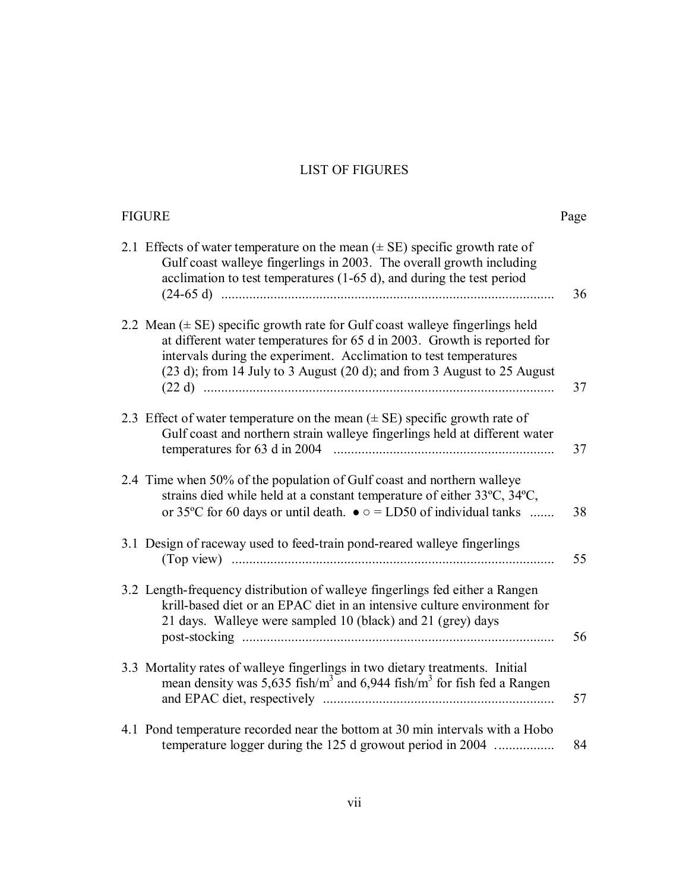#### LIST OF FIGURES

<span id="page-9-0"></span>

| <b>FIGURE</b>                                                                                                                                                                                                                                                                                                        | Page |
|----------------------------------------------------------------------------------------------------------------------------------------------------------------------------------------------------------------------------------------------------------------------------------------------------------------------|------|
| 2.1 Effects of water temperature on the mean $(\pm \text{ SE})$ specific growth rate of<br>Gulf coast walleye fingerlings in 2003. The overall growth including<br>acclimation to test temperatures $(1-65 d)$ , and during the test period                                                                          | 36   |
| 2.2 Mean $(\pm \text{ SE})$ specific growth rate for Gulf coast walleye fingerlings held<br>at different water temperatures for 65 d in 2003. Growth is reported for<br>intervals during the experiment. Acclimation to test temperatures<br>(23 d); from 14 July to 3 August (20 d); and from 3 August to 25 August | 37   |
| 2.3 Effect of water temperature on the mean $(\pm \text{ SE})$ specific growth rate of<br>Gulf coast and northern strain walleye fingerlings held at different water                                                                                                                                                 | 37   |
| 2.4 Time when 50% of the population of Gulf coast and northern walleye<br>strains died while held at a constant temperature of either 33°C, 34°C,<br>or 35 °C for 60 days or until death. $\bullet \circ$ = LD50 of individual tanks                                                                                 | 38   |
| 3.1 Design of raceway used to feed-train pond-reared walleye fingerlings                                                                                                                                                                                                                                             | 55   |
| 3.2 Length-frequency distribution of walleye fingerlings fed either a Rangen<br>krill-based diet or an EPAC diet in an intensive culture environment for<br>21 days. Walleye were sampled 10 (black) and 21 (grey) days                                                                                              | 56   |
| 3.3 Mortality rates of walleye fingerlings in two dietary treatments. Initial<br>mean density was 5,635 fish/ $m3$ and 6,944 fish/ $m3$ for fish fed a Rangen                                                                                                                                                        | 57   |
| 4.1 Pond temperature recorded near the bottom at 30 min intervals with a Hobo<br>temperature logger during the 125 d growout period in 2004                                                                                                                                                                          | 84   |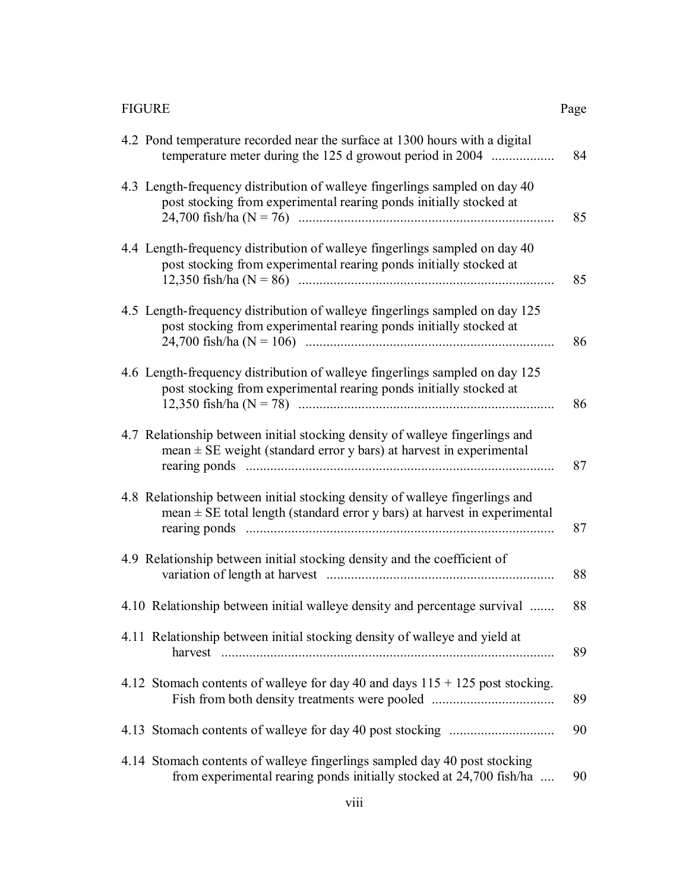|--|

| <b>FIGURE</b>                                                                                                                                                 | Page |
|---------------------------------------------------------------------------------------------------------------------------------------------------------------|------|
| 4.2 Pond temperature recorded near the surface at 1300 hours with a digital<br>temperature meter during the 125 d growout period in 2004                      | 84   |
| 4.3 Length-frequency distribution of walleye fingerlings sampled on day 40<br>post stocking from experimental rearing ponds initially stocked at              | 85   |
| 4.4 Length-frequency distribution of walleye fingerlings sampled on day 40<br>post stocking from experimental rearing ponds initially stocked at              | 85   |
| 4.5 Length-frequency distribution of walleye fingerlings sampled on day 125<br>post stocking from experimental rearing ponds initially stocked at             | 86   |
| 4.6 Length-frequency distribution of walleye fingerlings sampled on day 125<br>post stocking from experimental rearing ponds initially stocked at             | 86   |
| 4.7 Relationship between initial stocking density of walleye fingerlings and<br>mean $\pm$ SE weight (standard error y bars) at harvest in experimental       | 87   |
| 4.8 Relationship between initial stocking density of walleye fingerlings and<br>mean $\pm$ SE total length (standard error y bars) at harvest in experimental | 87   |
| 4.9 Relationship between initial stocking density and the coefficient of                                                                                      | 88   |
| 4.10 Relationship between initial walleye density and percentage survival                                                                                     | 88   |
| 4.11 Relationship between initial stocking density of walleye and yield at                                                                                    | 89   |
| 4.12 Stomach contents of walleye for day 40 and days $115 + 125$ post stocking.<br>Fish from both density treatments were pooled                              | 89   |
|                                                                                                                                                               | 90   |
| 4.14 Stomach contents of walleye fingerlings sampled day 40 post stocking<br>from experimental rearing ponds initially stocked at 24,700 fish/ha              | 90   |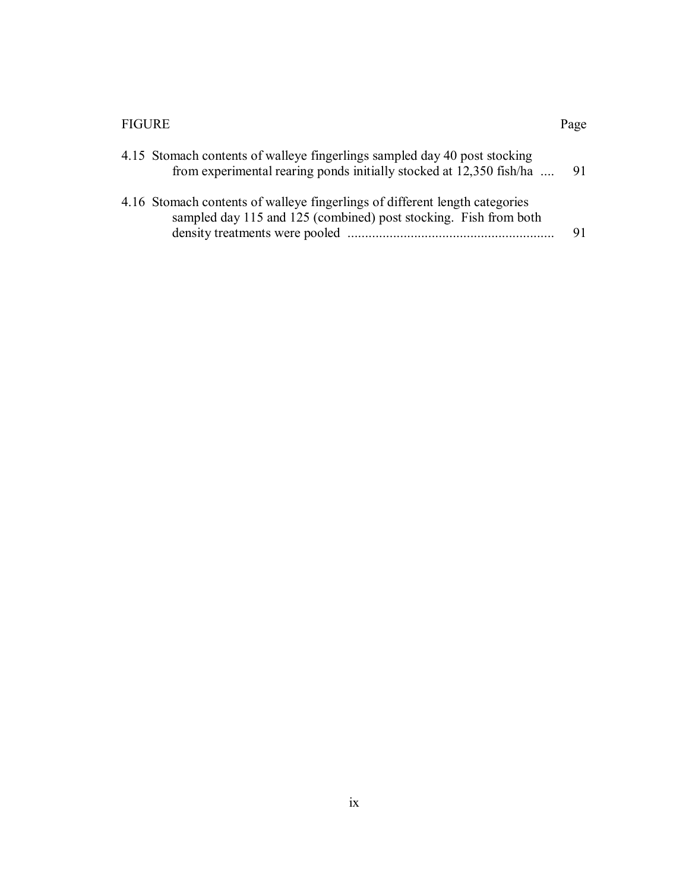#### FIGURE Page

| 4.15 Stomach contents of walleye fingerlings sampled day 40 post stocking<br>from experimental rearing ponds initially stocked at 12,350 fish/ha | 91. |
|--------------------------------------------------------------------------------------------------------------------------------------------------|-----|
| 4.16 Stomach contents of walleye fingerlings of different length categories<br>sampled day 115 and 125 (combined) post stocking. Fish from both  |     |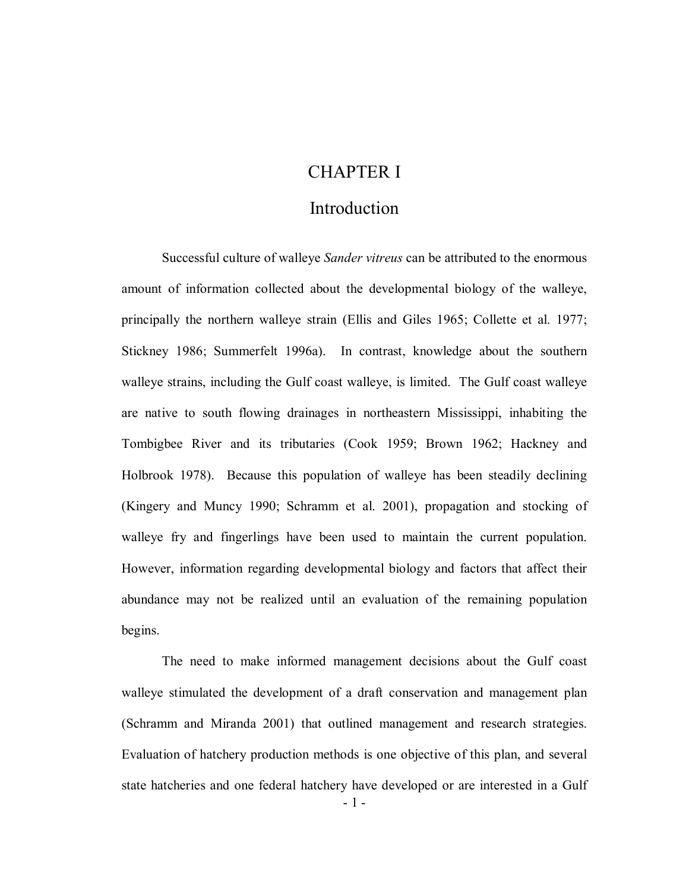# CHAPTER I

### Introduction

 Successful culture of walleye *Sander vitreus* can be attributed to the enormous amount of information collected about the developmental biology of the walleye, principally the northern walleye strain (Ellis and Giles 1965; Collette et al. 1977; Stickney 1986; Summerfelt 1996a). In contrast, knowledge about the southern walleye strains, including the Gulf coast walleye, is limited. The Gulf coast walleye are native to south flowing drainages in northeastern Mississippi, inhabiting the Tombigbee River and its tributaries (Cook 1959; Brown 1962; Hackney and Holbrook 1978). Because this population of walleye has been steadily declining (Kingery and Muncy 1990; Schramm et al. 2001), propagation and stocking of walleye fry and fingerlings have been used to maintain the current population. However, information regarding developmental biology and factors that affect their abundance may not be realized until an evaluation of the remaining population begins. begins. The need to make informed management decisions about the Gulf coast

 walleye stimulated the development of a draft conservation and management plan (Schramm and Miranda 2001) that outlined management and research strategies. Evaluation of hatchery production methods is one objective of this plan, and several state hatcheries and one federal hatchery have developed or are interested in a Gulf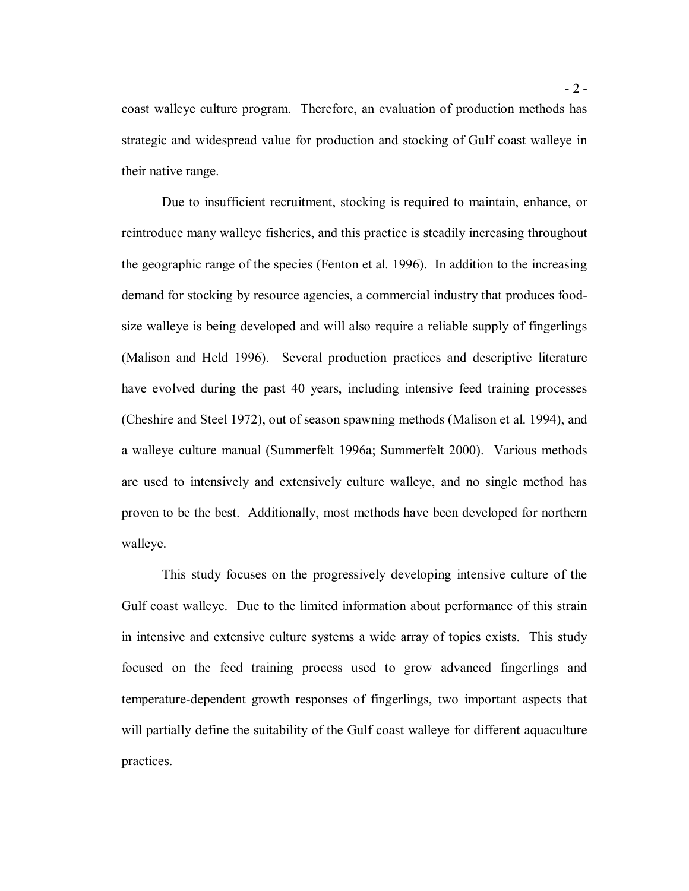coast walleye culture program. Therefore, an evaluation of production methods has strategic and widespread value for production and stocking of Gulf coast walleye in their native range.

 reintroduce many walleye fisheries, and this practice is steadily increasing throughout the geographic range of the species (Fenton et al. 1996). In addition to the increasing demand for stocking by resource agencies, a commercial industry that produces food- size walleye is being developed and will also require a reliable supply of fingerlings (Malison and Held 1996). Several production practices and descriptive literature have evolved during the past 40 years, including intensive feed training processes (Cheshire and Steel 1972), out of season spawning methods (Malison et al. 1994), and a walleye culture manual (Summerfelt 1996a; Summerfelt 2000). Various methods are used to intensively and extensively culture walleye, and no single method has proven to be the best. Additionally, most methods have been developed for northern Due to insufficient recruitment, stocking is required to maintain, enhance, or walleye.

 This study focuses on the progressively developing intensive culture of the Gulf coast walleye. Due to the limited information about performance of this strain in intensive and extensive culture systems a wide array of topics exists. This study focused on the feed training process used to grow advanced fingerlings and temperature-dependent growth responses of fingerlings, two important aspects that will partially define the suitability of the Gulf coast walleye for different aquaculture practices.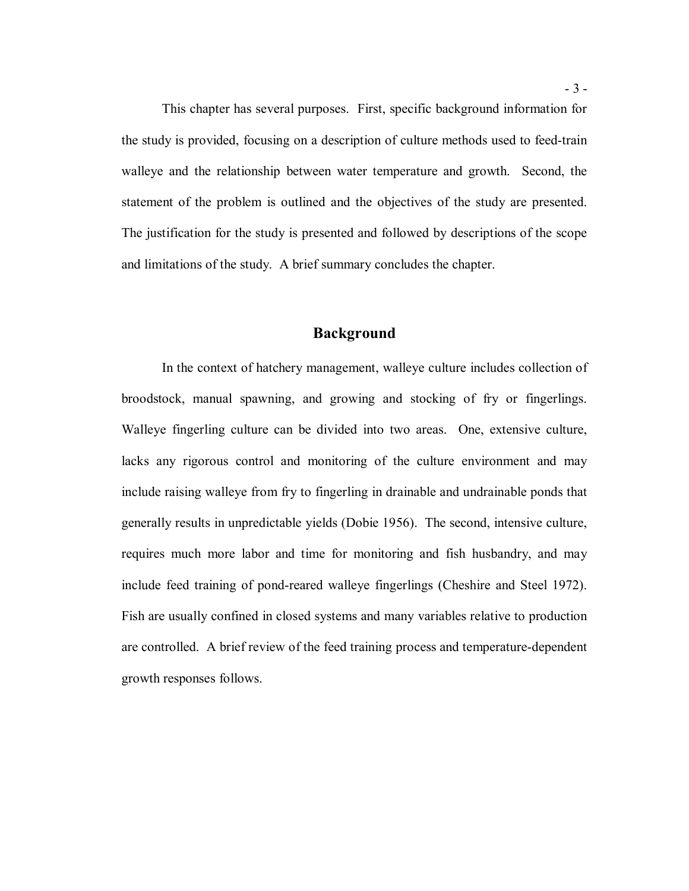the study is provided, focusing on a description of culture methods used to feed-train walleye and the relationship between water temperature and growth. Second, the statement of the problem is outlined and the objectives of the study are presented. The justification for the study is presented and followed by descriptions of the scope and limitations of the study. A brief summary concludes the chapter. This chapter has several purposes. First, specific background information for

#### **Background**

 In the context of hatchery management, walleye culture includes collection of broodstock, manual spawning, and growing and stocking of fry or fingerlings. Walleye fingerling culture can be divided into two areas. One, extensive culture, lacks any rigorous control and monitoring of the culture environment and may include raising walleye from fry to fingerling in drainable and undrainable ponds that generally results in unpredictable yields (Dobie 1956). The second, intensive culture, requires much more labor and time for monitoring and fish husbandry, and may include feed training of pond-reared walleye fingerlings (Cheshire and Steel 1972). Fish are usually confined in closed systems and many variables relative to production are controlled. A brief review of the feed training process and temperature-dependent growth responses follows.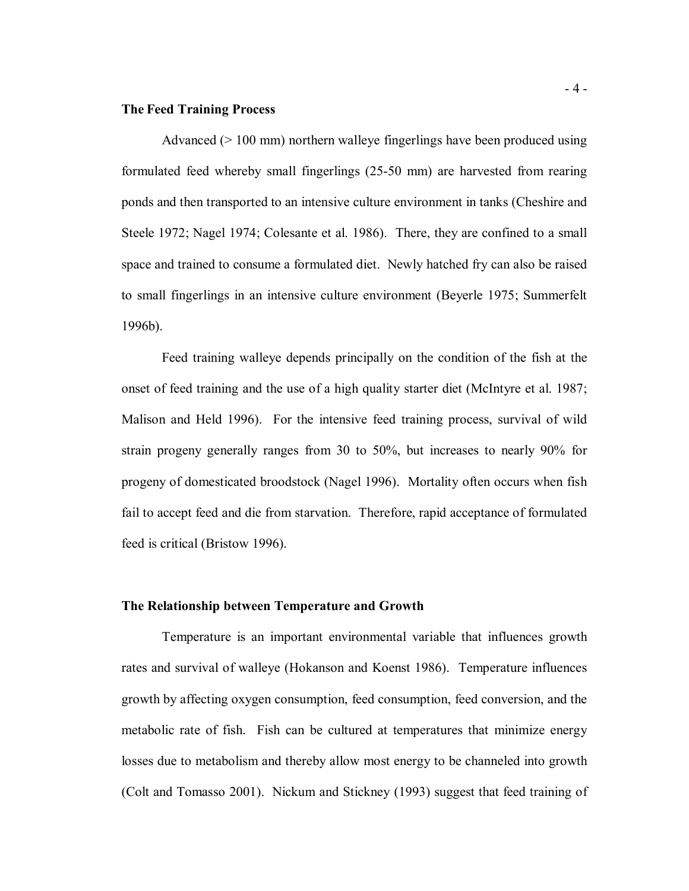#### **The Feed Training Process**

 Advanced (> 100 mm) northern walleye fingerlings have been produced using formulated feed whereby small fingerlings (25-50 mm) are harvested from rearing ponds and then transported to an intensive culture environment in tanks (Cheshire and Steele 1972; Nagel 1974; Colesante et al. 1986). There, they are confined to a small space and trained to consume a formulated diet. Newly hatched fry can also be raised to small fingerlings in an intensive culture environment (Beyerle 1975; Summerfelt 1996b). 1996b). Feed training walleye depends principally on the condition of the fish at the

 onset of feed training and the use of a high quality starter diet (McIntyre et al. 1987; Malison and Held 1996). For the intensive feed training process, survival of wild strain progeny generally ranges from 30 to 50%, but increases to nearly 90% for progeny of domesticated broodstock (Nagel 1996). Mortality often occurs when fish fail to accept feed and die from starvation. Therefore, rapid acceptance of formulated feed is critical (Bristow 1996).

#### **The Relationship between Temperature and Growth**

 Temperature is an important environmental variable that influences growth rates and survival of walleye (Hokanson and Koenst 1986). Temperature influences growth by affecting oxygen consumption, feed consumption, feed conversion, and the metabolic rate of fish. Fish can be cultured at temperatures that minimize energy losses due to metabolism and thereby allow most energy to be channeled into growth (Colt and Tomasso 2001). Nickum and Stickney (1993) suggest that feed training of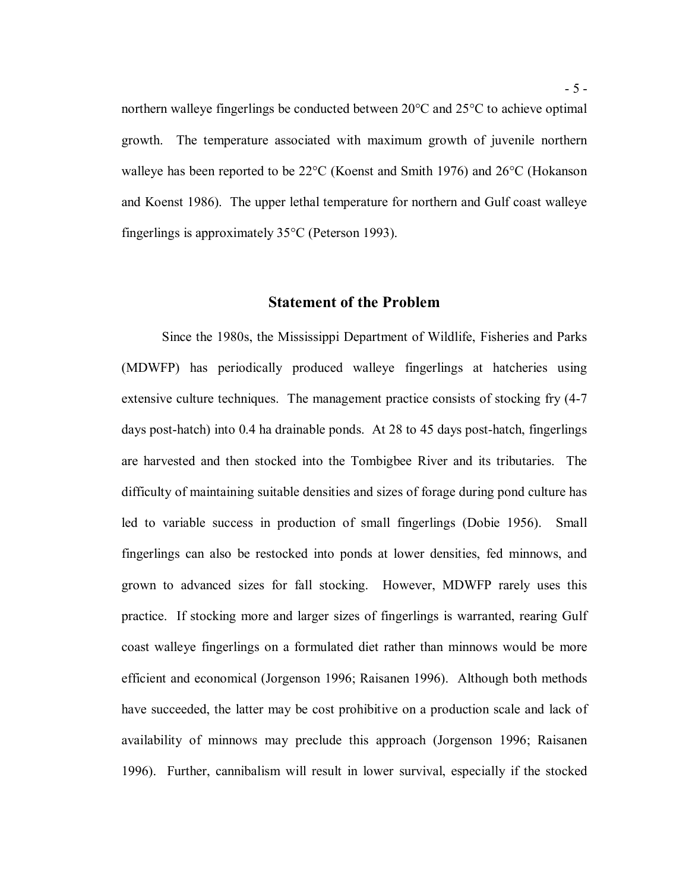northern walleye fingerlings be conducted between 20°C and 25°C to achieve optimal growth. The temperature associated with maximum growth of juvenile northern walleye has been reported to be 22°C (Koenst and Smith 1976) and 26°C (Hokanson and Koenst 1986). The upper lethal temperature for northern and Gulf coast walleye fingerlings is approximately 35°C (Peterson 1993).

#### **Statement of the Problem**

 Since the 1980s, the Mississippi Department of Wildlife, Fisheries and Parks (MDWFP) has periodically produced walleye fingerlings at hatcheries using extensive culture techniques. The management practice consists of stocking fry (4-7 days post-hatch) into 0.4 ha drainable ponds. At 28 to 45 days post-hatch, fingerlings are harvested and then stocked into the Tombigbee River and its tributaries. The difficulty of maintaining suitable densities and sizes of forage during pond culture has led to variable success in production of small fingerlings (Dobie 1956). Small fingerlings can also be restocked into ponds at lower densities, fed minnows, and grown to advanced sizes for fall stocking. However, MDWFP rarely uses this practice. If stocking more and larger sizes of fingerlings is warranted, rearing Gulf coast walleye fingerlings on a formulated diet rather than minnows would be more efficient and economical (Jorgenson 1996; Raisanen 1996). Although both methods have succeeded, the latter may be cost prohibitive on a production scale and lack of availability of minnows may preclude this approach (Jorgenson 1996; Raisanen 1996). Further, cannibalism will result in lower survival, especially if the stocked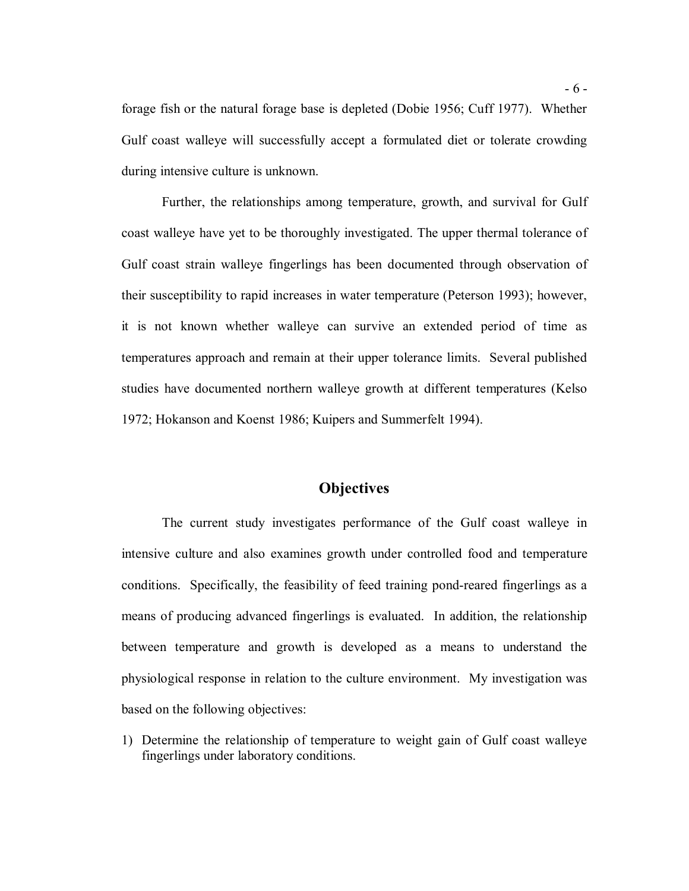forage fish or the natural forage base is depleted (Dobie 1956; Cuff 1977). Whether Gulf coast walleye will successfully accept a formulated diet or tolerate crowding during intensive culture is unknown.

 Further, the relationships among temperature, growth, and survival for Gulf coast walleye have yet to be thoroughly investigated. The upper thermal tolerance of Gulf coast strain walleye fingerlings has been documented through observation of their susceptibility to rapid increases in water temperature (Peterson 1993); however, it is not known whether walleye can survive an extended period of time as temperatures approach and remain at their upper tolerance limits. Several published studies have documented northern walleye growth at different temperatures (Kelso 1972; Hokanson and Koenst 1986; Kuipers and Summerfelt 1994).

#### **Objectives**

 The current study investigates performance of the Gulf coast walleye in intensive culture and also examines growth under controlled food and temperature conditions. Specifically, the feasibility of feed training pond-reared fingerlings as a means of producing advanced fingerlings is evaluated. In addition, the relationship between temperature and growth is developed as a means to understand the physiological response in relation to the culture environment. My investigation was based on the following objectives:

 1) Determine the relationship of temperature to weight gain of Gulf coast walleye fingerlings under laboratory conditions.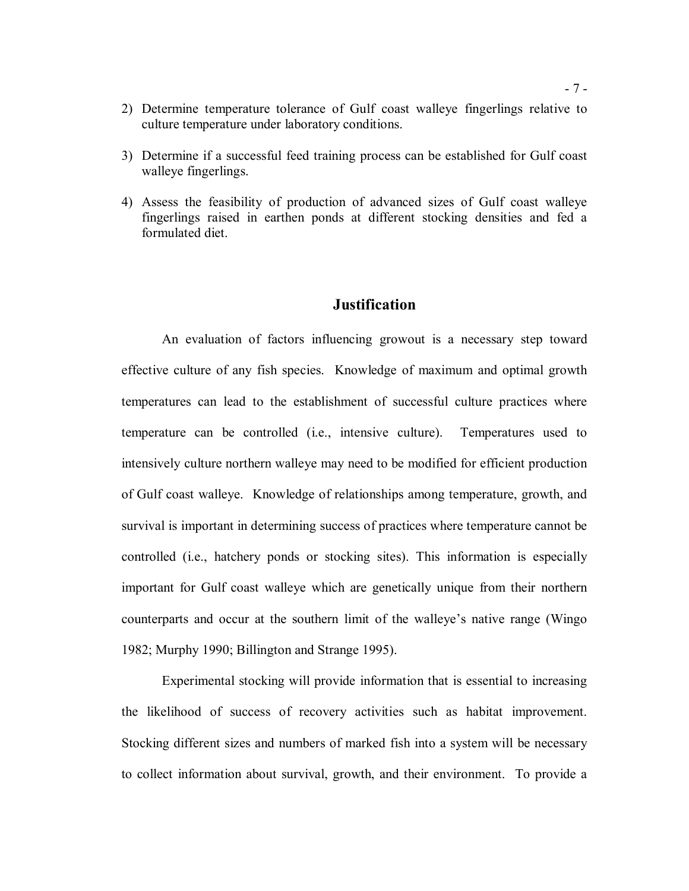- 2) Determine temperature tolerance of Gulf coast walleye fingerlings relative to culture temperature under laboratory conditions.
- 3) Determine if a successful feed training process can be established for Gulf coast walleye fingerlings.
- 4) Assess the feasibility of production of advanced sizes of Gulf coast walleye fingerlings raised in earthen ponds at different stocking densities and fed a formulated diet.

#### **Justification**

 An evaluation of factors influencing growout is a necessary step toward effective culture of any fish species. Knowledge of maximum and optimal growth temperatures can lead to the establishment of successful culture practices where temperature can be controlled (i.e., intensive culture). Temperatures used to intensively culture northern walleye may need to be modified for efficient production of Gulf coast walleye. Knowledge of relationships among temperature, growth, and survival is important in determining success of practices where temperature cannot be controlled (i.e., hatchery ponds or stocking sites). This information is especially important for Gulf coast walleye which are genetically unique from their northern counterparts and occur at the southern limit of the walleye's native range (Wingo 1982; Murphy 1990; Billington and Strange 1995).

 Experimental stocking will provide information that is essential to increasing the likelihood of success of recovery activities such as habitat improvement. Stocking different sizes and numbers of marked fish into a system will be necessary to collect information about survival, growth, and their environment. To provide a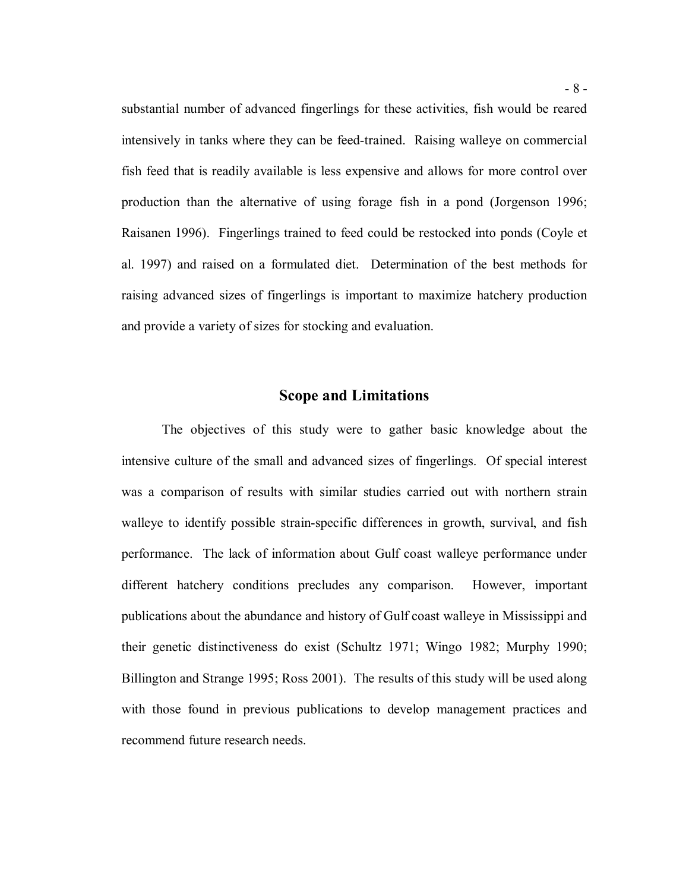substantial number of advanced fingerlings for these activities, fish would be reared intensively in tanks where they can be feed-trained. Raising walleye on commercial fish feed that is readily available is less expensive and allows for more control over production than the alternative of using forage fish in a pond (Jorgenson 1996; Raisanen 1996). Fingerlings trained to feed could be restocked into ponds (Coyle et al. 1997) and raised on a formulated diet. Determination of the best methods for raising advanced sizes of fingerlings is important to maximize hatchery production and provide a variety of sizes for stocking and evaluation.

#### **Scope and Limitations**

 The objectives of this study were to gather basic knowledge about the intensive culture of the small and advanced sizes of fingerlings. Of special interest was a comparison of results with similar studies carried out with northern strain walleye to identify possible strain-specific differences in growth, survival, and fish performance. The lack of information about Gulf coast walleye performance under different hatchery conditions precludes any comparison. However, important publications about the abundance and history of Gulf coast walleye in Mississippi and their genetic distinctiveness do exist (Schultz 1971; Wingo 1982; Murphy 1990; Billington and Strange 1995; Ross 2001). The results of this study will be used along with those found in previous publications to develop management practices and recommend future research needs.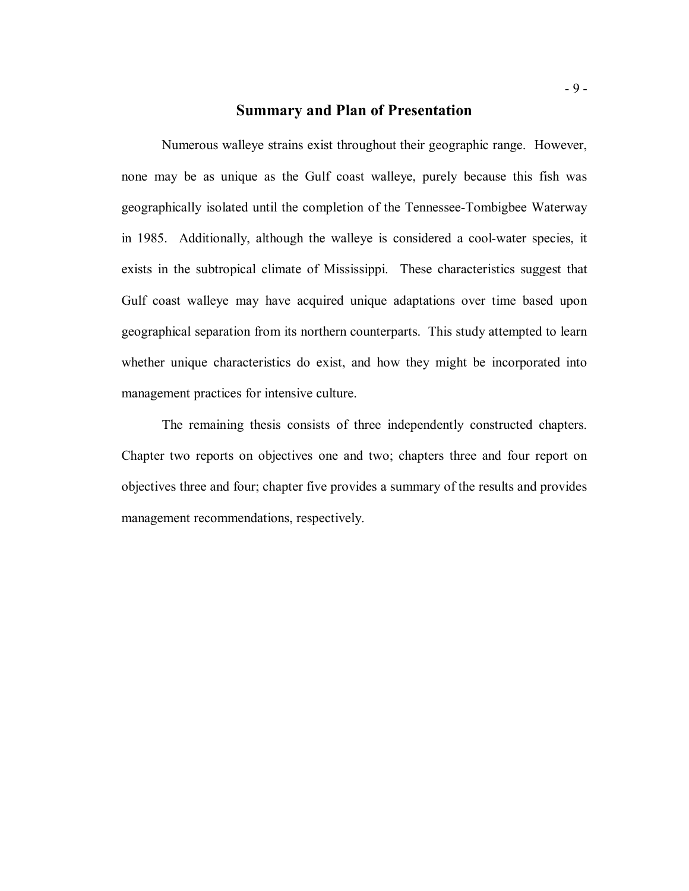#### **Summary and Plan of Presentation**

 Numerous walleye strains exist throughout their geographic range. However, none may be as unique as the Gulf coast walleye, purely because this fish was geographically isolated until the completion of the Tennessee-Tombigbee Waterway in 1985. Additionally, although the walleye is considered a cool-water species, it exists in the subtropical climate of Mississippi. These characteristics suggest that Gulf coast walleye may have acquired unique adaptations over time based upon geographical separation from its northern counterparts. This study attempted to learn whether unique characteristics do exist, and how they might be incorporated into management practices for intensive culture.

 Chapter two reports on objectives one and two; chapters three and four report on objectives three and four; chapter five provides a summary of the results and provides The remaining thesis consists of three independently constructed chapters. management recommendations, respectively.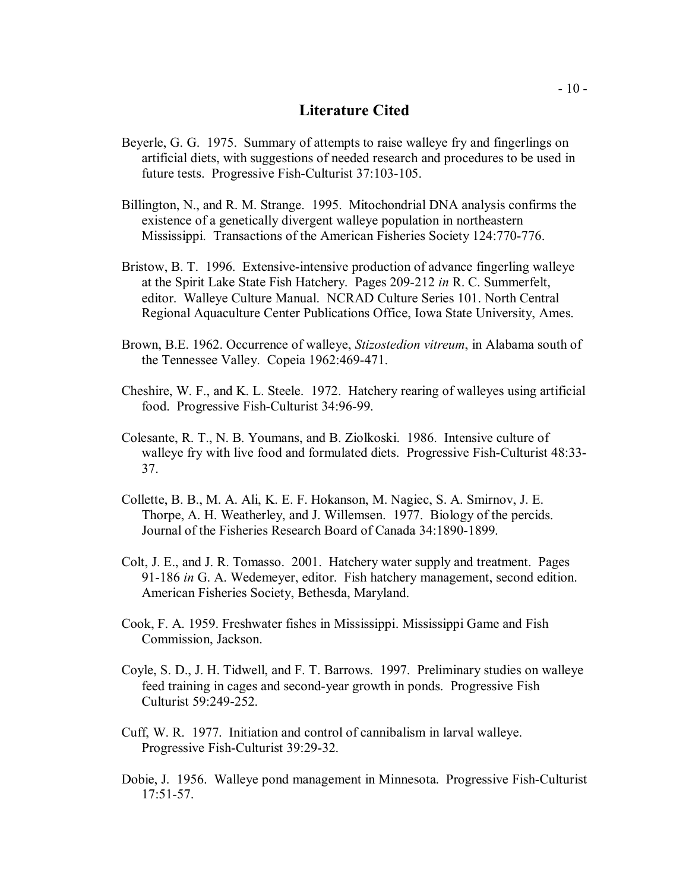#### **Literature Cited**

- Beyerle, G. G. 1975. Summary of attempts to raise walleye fry and fingerlings on artificial diets, with suggestions of needed research and procedures to be used in future tests. Progressive Fish-Culturist 37:103-105.
- Billington, N., and R. M. Strange. 1995. Mitochondrial DNA analysis confirms the existence of a genetically divergent walleye population in northeastern Mississippi. Transactions of the American Fisheries Society 124:770-776.
- Bristow, B. T. 1996. Extensive-intensive production of advance fingerling walleye at the Spirit Lake State Fish Hatchery. Pages 209-212 *in* R. C. Summerfelt, editor. Walleye Culture Manual. NCRAD Culture Series 101. North Central Regional Aquaculture Center Publications Office, Iowa State University, Ames.
- Brown, B.E. 1962. Occurrence of walleye, *Stizostedion vitreum*, in Alabama south of the Tennessee Valley. Copeia 1962:469-471.
- Cheshire, W. F., and K. L. Steele. 1972. Hatchery rearing of walleyes using artificial food. Progressive Fish-Culturist 34:96-99.
- Colesante, R. T., N. B. Youmans, and B. Ziolkoski. 1986. Intensive culture of walleye fry with live food and formulated diets. Progressive Fish-Culturist 48:33- 37.
- Collette, B. B., M. A. Ali, K. E. F. Hokanson, M. Nagiec, S. A. Smirnov, J. E. Thorpe, A. H. Weatherley, and J. Willemsen. 1977. Biology of the percids. Journal of the Fisheries Research Board of Canada 34:1890-1899.
- Colt, J. E., and J. R. Tomasso. 2001. Hatchery water supply and treatment. Pages 91-186 *in* G. A. Wedemeyer, editor. Fish hatchery management, second edition. American Fisheries Society, Bethesda, Maryland.
- Cook, F. A. 1959. Freshwater fishes in Mississippi. Mississippi Game and Fish Commission, Jackson.
- Coyle, S. D., J. H. Tidwell, and F. T. Barrows. 1997. Preliminary studies on walleye feed training in cages and second-year growth in ponds. Progressive Fish Culturist 59:249-252.
- Cuff, W. R. 1977. Initiation and control of cannibalism in larval walleye. Progressive Fish-Culturist 39:29-32.
- Dobie, J. 1956. Walleye pond management in Minnesota. Progressive Fish-Culturist 17:51-57.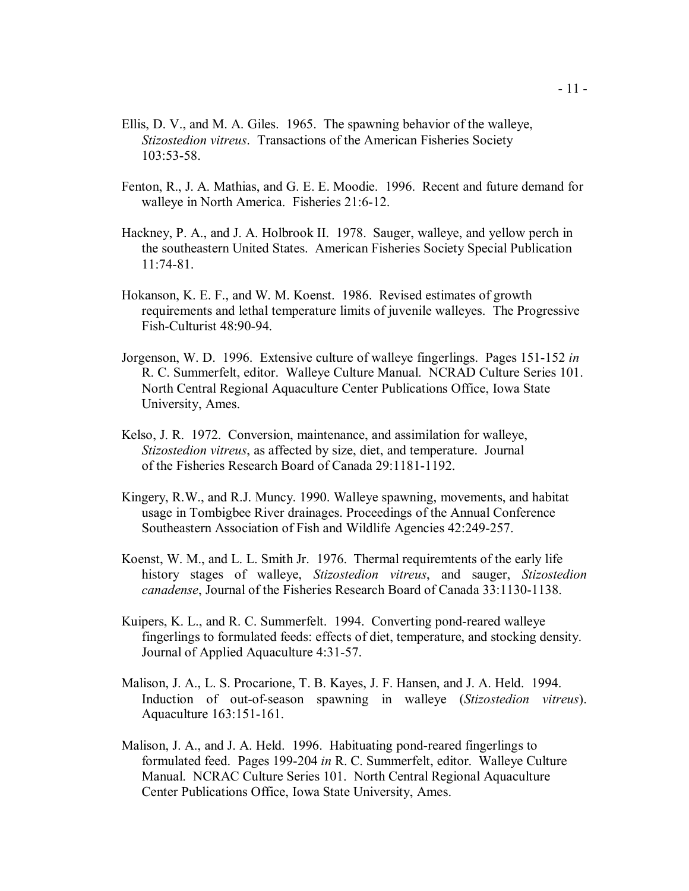- Ellis, D. V., and M. A. Giles. 1965. The spawning behavior of the walleye, *Stizostedion vitreus*. Transactions of the American Fisheries Society 103:53-58.
- Fenton, R., J. A. Mathias, and G. E. E. Moodie. 1996. Recent and future demand for walleye in North America. Fisheries 21:6-12.
- Hackney, P. A., and J. A. Holbrook II. 1978. Sauger, walleye, and yellow perch in the southeastern United States. American Fisheries Society Special Publication 11:74-81.
- Hokanson, K. E. F., and W. M. Koenst. 1986. Revised estimates of growth requirements and lethal temperature limits of juvenile walleyes. The Progressive Fish-Culturist 48:90-94.
- Jorgenson, W. D. 1996. Extensive culture of walleye fingerlings. Pages 151-152 *in*  R. C. Summerfelt, editor. Walleye Culture Manual. NCRAD Culture Series 101. North Central Regional Aquaculture Center Publications Office, Iowa State University, Ames.
- Kelso, J. R. 1972. Conversion, maintenance, and assimilation for walleye, *Stizostedion vitreus*, as affected by size, diet, and temperature. Journal of the Fisheries Research Board of Canada 29:1181-1192.
- Kingery, R.W., and R.J. Muncy. 1990. Walleye spawning, movements, and habitat usage in Tombigbee River drainages. Proceedings of the Annual Conference Southeastern Association of Fish and Wildlife Agencies 42:249-257.
- Koenst, W. M., and L. L. Smith Jr. 1976. Thermal requiremtents of the early life history stages of walleye, *Stizostedion vitreus*, and sauger, *Stizostedion canadense*, Journal of the Fisheries Research Board of Canada 33:1130-1138.
- Kuipers, K. L., and R. C. Summerfelt. 1994. Converting pond-reared walleye fingerlings to formulated feeds: effects of diet, temperature, and stocking density. Journal of Applied Aquaculture 4:31-57.
- Malison, J. A., L. S. Procarione, T. B. Kayes, J. F. Hansen, and J. A. Held. 1994. Induction of out-of-season spawning in walleye (*Stizostedion vitreus*). Aquaculture 163:151-161.
- Malison, J. A., and J. A. Held. 1996. Habituating pond-reared fingerlings to formulated feed. Pages 199-204 *in* R. C. Summerfelt, editor. Walleye Culture Manual. NCRAC Culture Series 101. North Central Regional Aquaculture Center Publications Office, Iowa State University, Ames.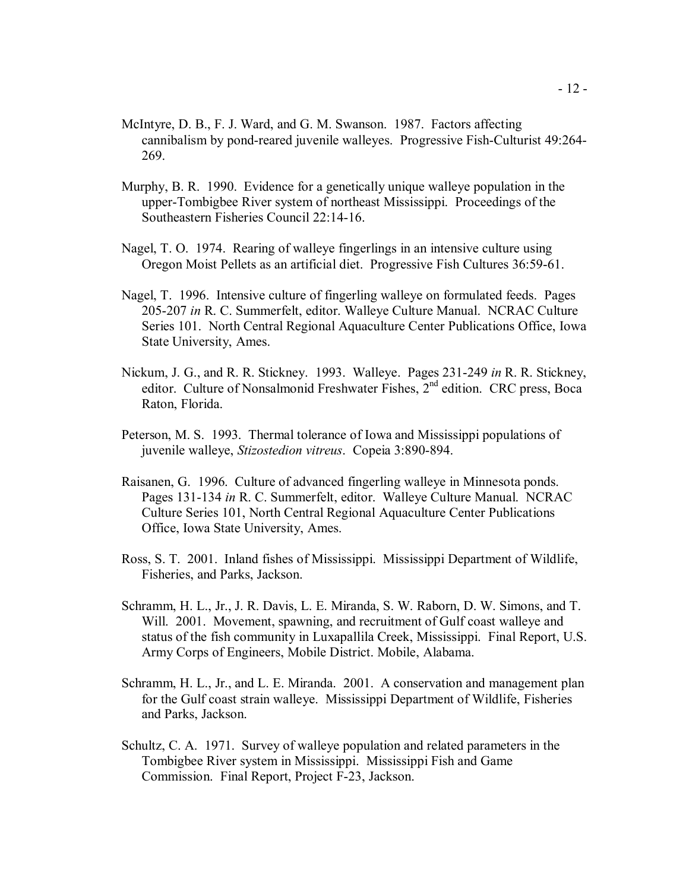- McIntyre, D. B., F. J. Ward, and G. M. Swanson. 1987. Factors affecting cannibalism by pond-reared juvenile walleyes. Progressive Fish-Culturist 49:264- 269.
- Murphy, B. R. 1990. Evidence for a genetically unique walleye population in the upper-Tombigbee River system of northeast Mississippi. Proceedings of the Southeastern Fisheries Council 22:14-16.
- Nagel, T. O. 1974. Rearing of walleye fingerlings in an intensive culture using Oregon Moist Pellets as an artificial diet. Progressive Fish Cultures 36:59-61.
- Nagel, T. 1996. Intensive culture of fingerling walleye on formulated feeds. Pages 205-207 *in* R. C. Summerfelt, editor. Walleye Culture Manual. NCRAC Culture Series 101. North Central Regional Aquaculture Center Publications Office, Iowa State University, Ames.
- Nickum, J. G., and R. R. Stickney. 1993. Walleye. Pages 231-249 *in* R. R. Stickney, editor. Culture of Nonsalmonid Freshwater Fishes,  $2<sup>nd</sup>$  edition. CRC press, Boca Raton, Florida.
- Peterson, M. S. 1993. Thermal tolerance of Iowa and Mississippi populations of juvenile walleye, *Stizostedion vitreus*. Copeia 3:890-894.
- Raisanen, G. 1996. Culture of advanced fingerling walleye in Minnesota ponds. Pages 131-134 *in* R. C. Summerfelt, editor. Walleye Culture Manual. NCRAC Culture Series 101, North Central Regional Aquaculture Center Publications Office, Iowa State University, Ames.
- Ross, S. T. 2001. Inland fishes of Mississippi. Mississippi Department of Wildlife, Fisheries, and Parks, Jackson.
- Schramm, H. L., Jr., J. R. Davis, L. E. Miranda, S. W. Raborn, D. W. Simons, and T. Will. 2001. Movement, spawning, and recruitment of Gulf coast walleye and status of the fish community in Luxapallila Creek, Mississippi. Final Report, U.S. Army Corps of Engineers, Mobile District. Mobile, Alabama.
- Schramm, H. L., Jr., and L. E. Miranda. 2001. A conservation and management plan for the Gulf coast strain walleye. Mississippi Department of Wildlife, Fisheries and Parks, Jackson.
- Schultz, C. A. 1971. Survey of walleye population and related parameters in the Tombigbee River system in Mississippi. Mississippi Fish and Game Commission. Final Report, Project F-23, Jackson.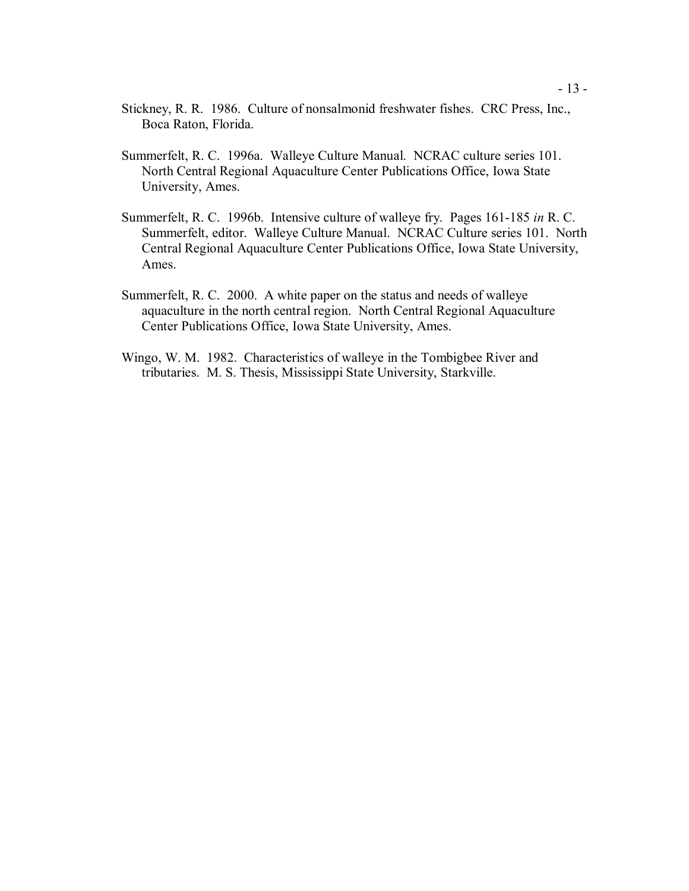- Stickney, R. R. 1986. Culture of nonsalmonid freshwater fishes. CRC Press, Inc., Boca Raton, Florida.
- Summerfelt, R. C. 1996a. Walleye Culture Manual. NCRAC culture series 101. North Central Regional Aquaculture Center Publications Office, Iowa State University, Ames.
- Summerfelt, R. C. 1996b. Intensive culture of walleye fry. Pages 161-185 *in* R. C. Summerfelt, editor. Walleye Culture Manual. NCRAC Culture series 101. North Central Regional Aquaculture Center Publications Office, Iowa State University, Ames.
- Summerfelt, R. C. 2000. A white paper on the status and needs of walleye aquaculture in the north central region. North Central Regional Aquaculture Center Publications Office, Iowa State University, Ames.
- Wingo, W. M. 1982. Characteristics of walleye in the Tombigbee River and tributaries. M. S. Thesis, Mississippi State University, Starkville.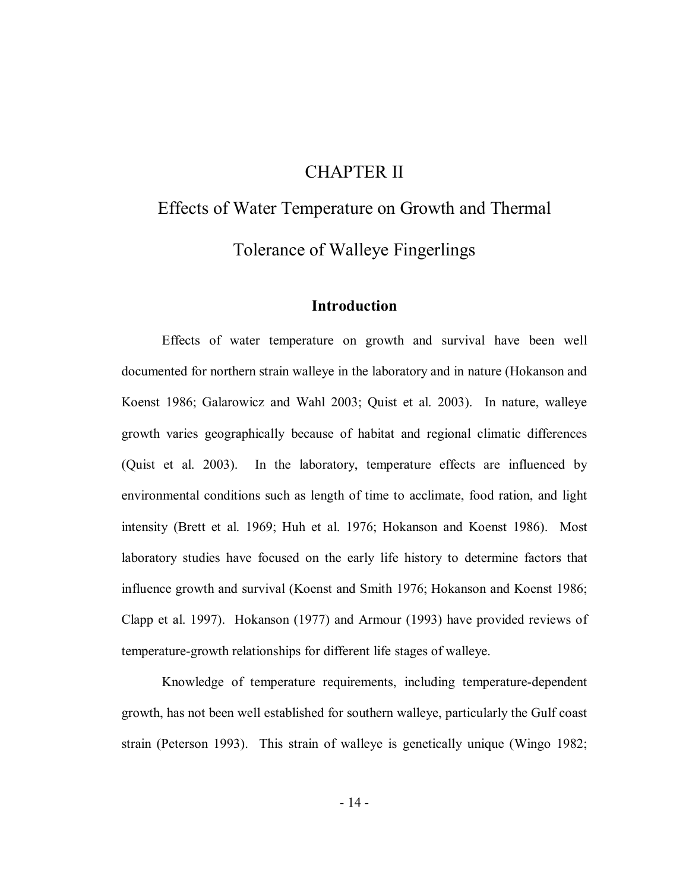# CHAPTER II

# Effects of Water Temperature on Growth and Thermal Tolerance of Walleye Fingerlings

#### **Introduction**

 Effects of water temperature on growth and survival have been well documented for northern strain walleye in the laboratory and in nature (Hokanson and Koenst 1986; Galarowicz and Wahl 2003; Quist et al. 2003). In nature, walleye growth varies geographically because of habitat and regional climatic differences (Quist et al. 2003). In the laboratory, temperature effects are influenced by environmental conditions such as length of time to acclimate, food ration, and light intensity (Brett et al. 1969; Huh et al. 1976; Hokanson and Koenst 1986). Most laboratory studies have focused on the early life history to determine factors that influence growth and survival (Koenst and Smith 1976; Hokanson and Koenst 1986; Clapp et al. 1997). Hokanson (1977) and Armour (1993) have provided reviews of temperature-growth relationships for different life stages of walleye.

 Knowledge of temperature requirements, including temperature-dependent growth, has not been well established for southern walleye, particularly the Gulf coast strain (Peterson 1993). This strain of walleye is genetically unique (Wingo 1982;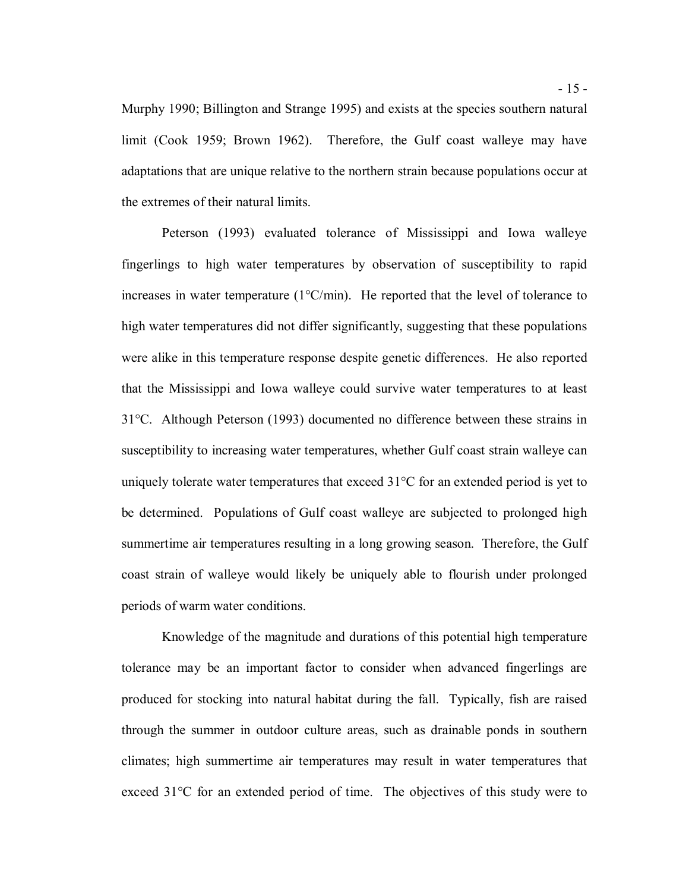Murphy 1990; Billington and Strange 1995) and exists at the species southern natural limit (Cook 1959; Brown 1962). Therefore, the Gulf coast walleye may have adaptations that are unique relative to the northern strain because populations occur at the extremes of their natural limits.

 Peterson (1993) evaluated tolerance of Mississippi and Iowa walleye fingerlings to high water temperatures by observation of susceptibility to rapid increases in water temperature (1°C/min). He reported that the level of tolerance to high water temperatures did not differ significantly, suggesting that these populations were alike in this temperature response despite genetic differences. He also reported that the Mississippi and Iowa walleye could survive water temperatures to at least 31°C. Although Peterson (1993) documented no difference between these strains in susceptibility to increasing water temperatures, whether Gulf coast strain walleye can uniquely tolerate water temperatures that exceed 31°C for an extended period is yet to be determined. Populations of Gulf coast walleye are subjected to prolonged high summertime air temperatures resulting in a long growing season. Therefore, the Gulf coast strain of walleye would likely be uniquely able to flourish under prolonged periods of warm water conditions.

 Knowledge of the magnitude and durations of this potential high temperature tolerance may be an important factor to consider when advanced fingerlings are produced for stocking into natural habitat during the fall. Typically, fish are raised through the summer in outdoor culture areas, such as drainable ponds in southern climates; high summertime air temperatures may result in water temperatures that exceed 31°C for an extended period of time. The objectives of this study were to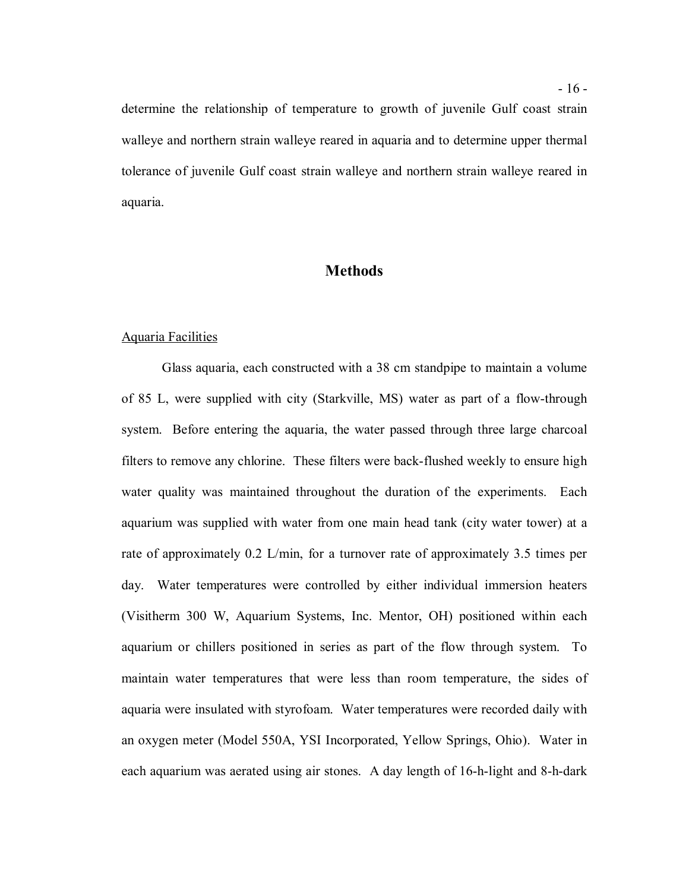determine the relationship of temperature to growth of juvenile Gulf coast strain walleye and northern strain walleye reared in aquaria and to determine upper thermal tolerance of juvenile Gulf coast strain walleye and northern strain walleye reared in aquaria.

#### **Methods**

#### Aquaria Facilities

 Glass aquaria, each constructed with a 38 cm standpipe to maintain a volume of 85 L, were supplied with city (Starkville, MS) water as part of a flow-through system. Before entering the aquaria, the water passed through three large charcoal filters to remove any chlorine. These filters were back-flushed weekly to ensure high water quality was maintained throughout the duration of the experiments. Each aquarium was supplied with water from one main head tank (city water tower) at a rate of approximately 0.2 L/min, for a turnover rate of approximately 3.5 times per day. Water temperatures were controlled by either individual immersion heaters (Visitherm 300 W, Aquarium Systems, Inc. Mentor, OH) positioned within each aquarium or chillers positioned in series as part of the flow through system. To maintain water temperatures that were less than room temperature, the sides of aquaria were insulated with styrofoam. Water temperatures were recorded daily with an oxygen meter (Model 550A, YSI Incorporated, Yellow Springs, Ohio). Water in each aquarium was aerated using air stones. A day length of 16-h-light and 8-h-dark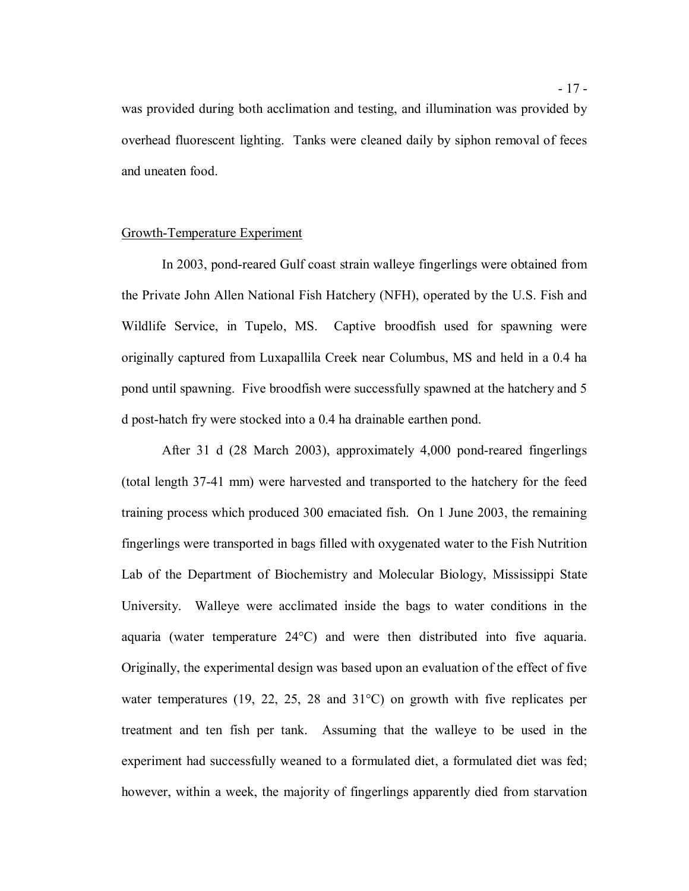was provided during both acclimation and testing, and illumination was provided by overhead fluorescent lighting. Tanks were cleaned daily by siphon removal of feces and uneaten food.

#### Growth-Temperature Experiment

 In 2003, pond-reared Gulf coast strain walleye fingerlings were obtained from the Private John Allen National Fish Hatchery (NFH), operated by the U.S. Fish and Wildlife Service, in Tupelo, MS. Captive broodfish used for spawning were originally captured from Luxapallila Creek near Columbus, MS and held in a 0.4 ha pond until spawning. Five broodfish were successfully spawned at the hatchery and 5 d post-hatch fry were stocked into a 0.4 ha drainable earthen pond.

 (total length 37-41 mm) were harvested and transported to the hatchery for the feed training process which produced 300 emaciated fish. On 1 June 2003, the remaining fingerlings were transported in bags filled with oxygenated water to the Fish Nutrition Lab of the Department of Biochemistry and Molecular Biology, Mississippi State University. Walleye were acclimated inside the bags to water conditions in the aquaria (water temperature 24°C) and were then distributed into five aquaria. Originally, the experimental design was based upon an evaluation of the effect of five water temperatures (19, 22, 25, 28 and 31°C) on growth with five replicates per treatment and ten fish per tank. Assuming that the walleye to be used in the experiment had successfully weaned to a formulated diet, a formulated diet was fed; however, within a week, the majority of fingerlings apparently died from starvation After 31 d (28 March 2003), approximately 4,000 pond-reared fingerlings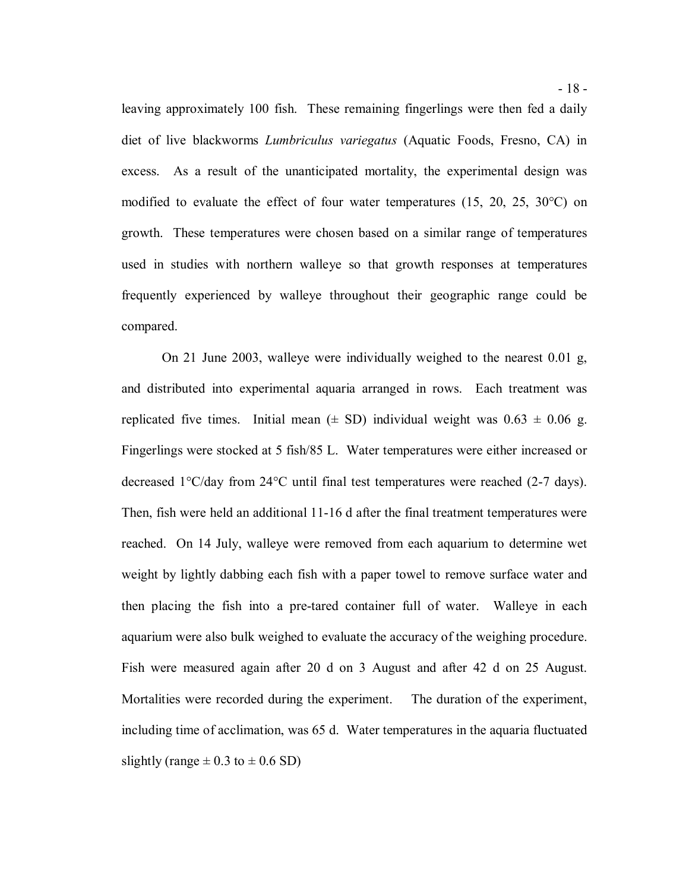leaving approximately 100 fish. These remaining fingerlings were then fed a daily diet of live blackworms *Lumbriculus variegatus* (Aquatic Foods, Fresno, CA) in excess. As a result of the unanticipated mortality, the experimental design was modified to evaluate the effect of four water temperatures (15, 20, 25, 30°C) on growth. These temperatures were chosen based on a similar range of temperatures used in studies with northern walleye so that growth responses at temperatures frequently experienced by walleye throughout their geographic range could be compared.

 On 21 June 2003, walleye were individually weighed to the nearest 0.01 g, and distributed into experimental aquaria arranged in rows. Each treatment was replicated five times. Initial mean  $(\pm$  SD) individual weight was  $0.63 \pm 0.06$  g. Fingerlings were stocked at 5 fish/85 L. Water temperatures were either increased or decreased 1°C/day from 24°C until final test temperatures were reached (2-7 days). Then, fish were held an additional 11-16 d after the final treatment temperatures were reached. On 14 July, walleye were removed from each aquarium to determine wet weight by lightly dabbing each fish with a paper towel to remove surface water and then placing the fish into a pre-tared container full of water. Walleye in each aquarium were also bulk weighed to evaluate the accuracy of the weighing procedure. Fish were measured again after 20 d on 3 August and after 42 d on 25 August. Mortalities were recorded during the experiment. The duration of the experiment, including time of acclimation, was 65 d. Water temperatures in the aquaria fluctuated slightly (range  $\pm$  0.3 to  $\pm$  0.6 SD)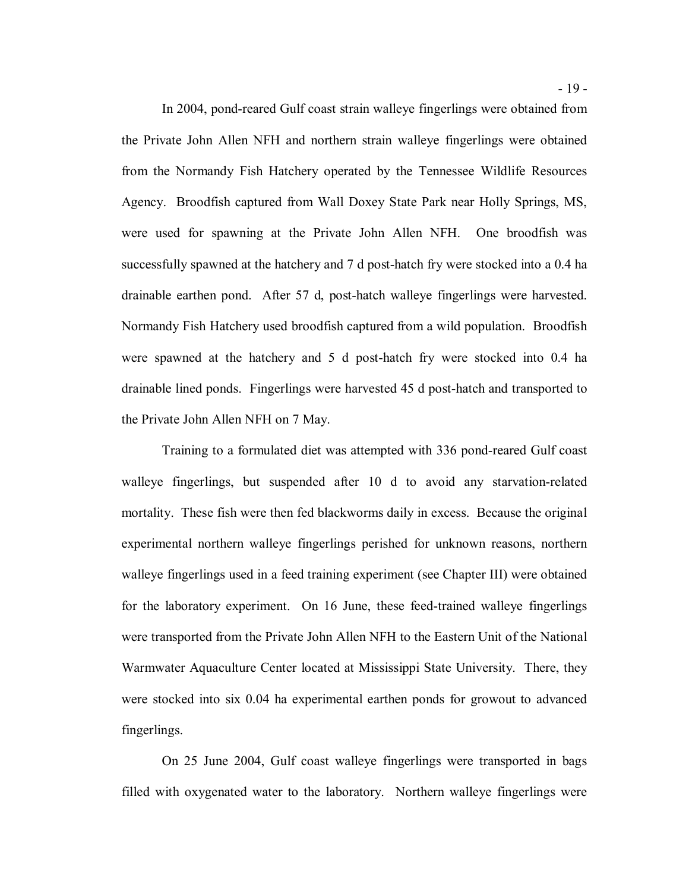In 2004, pond-reared Gulf coast strain walleye fingerlings were obtained from the Private John Allen NFH and northern strain walleye fingerlings were obtained from the Normandy Fish Hatchery operated by the Tennessee Wildlife Resources Agency. Broodfish captured from Wall Doxey State Park near Holly Springs, MS, were used for spawning at the Private John Allen NFH. One broodfish was successfully spawned at the hatchery and 7 d post-hatch fry were stocked into a 0.4 ha drainable earthen pond. After 57 d, post-hatch walleye fingerlings were harvested. Normandy Fish Hatchery used broodfish captured from a wild population. Broodfish were spawned at the hatchery and 5 d post-hatch fry were stocked into 0.4 ha drainable lined ponds. Fingerlings were harvested 45 d post-hatch and transported to the Private John Allen NFH on 7 May.

 Training to a formulated diet was attempted with 336 pond-reared Gulf coast walleye fingerlings, but suspended after 10 d to avoid any starvation-related mortality. These fish were then fed blackworms daily in excess. Because the original experimental northern walleye fingerlings perished for unknown reasons, northern walleye fingerlings used in a feed training experiment (see Chapter III) were obtained for the laboratory experiment. On 16 June, these feed-trained walleye fingerlings were transported from the Private John Allen NFH to the Eastern Unit of the National Warmwater Aquaculture Center located at Mississippi State University. There, they were stocked into six 0.04 ha experimental earthen ponds for growout to advanced fingerlings. fingerlings. On 25 June 2004, Gulf coast walleye fingerlings were transported in bags

filled with oxygenated water to the laboratory. Northern walleye fingerlings were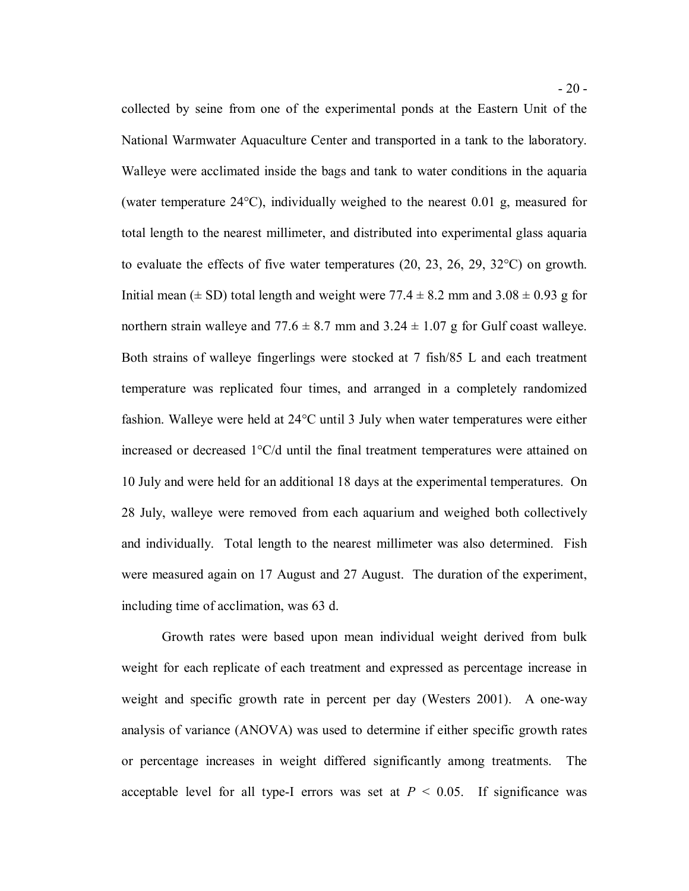collected by seine from one of the experimental ponds at the Eastern Unit of the National Warmwater Aquaculture Center and transported in a tank to the laboratory. Walleye were acclimated inside the bags and tank to water conditions in the aquaria (water temperature 24°C), individually weighed to the nearest 0.01 g, measured for total length to the nearest millimeter, and distributed into experimental glass aquaria to evaluate the effects of five water temperatures (20, 23, 26, 29, 32°C) on growth. Initial mean ( $\pm$  SD) total length and weight were 77.4  $\pm$  8.2 mm and 3.08  $\pm$  0.93 g for northern strain walleye and  $77.6 \pm 8.7$  mm and  $3.24 \pm 1.07$  g for Gulf coast walleye. Both strains of walleye fingerlings were stocked at 7 fish/85 L and each treatment temperature was replicated four times, and arranged in a completely randomized fashion. Walleye were held at 24°C until 3 July when water temperatures were either increased or decreased 1°C/d until the final treatment temperatures were attained on 10 July and were held for an additional 18 days at the experimental temperatures. On 28 July, walleye were removed from each aquarium and weighed both collectively and individually. Total length to the nearest millimeter was also determined. Fish were measured again on 17 August and 27 August. The duration of the experiment, including time of acclimation, was 63 d.

 Growth rates were based upon mean individual weight derived from bulk weight for each replicate of each treatment and expressed as percentage increase in weight and specific growth rate in percent per day (Westers 2001). A one-way analysis of variance (ANOVA) was used to determine if either specific growth rates or percentage increases in weight differed significantly among treatments. The acceptable level for all type-I errors was set at  $P < 0.05$ . If significance was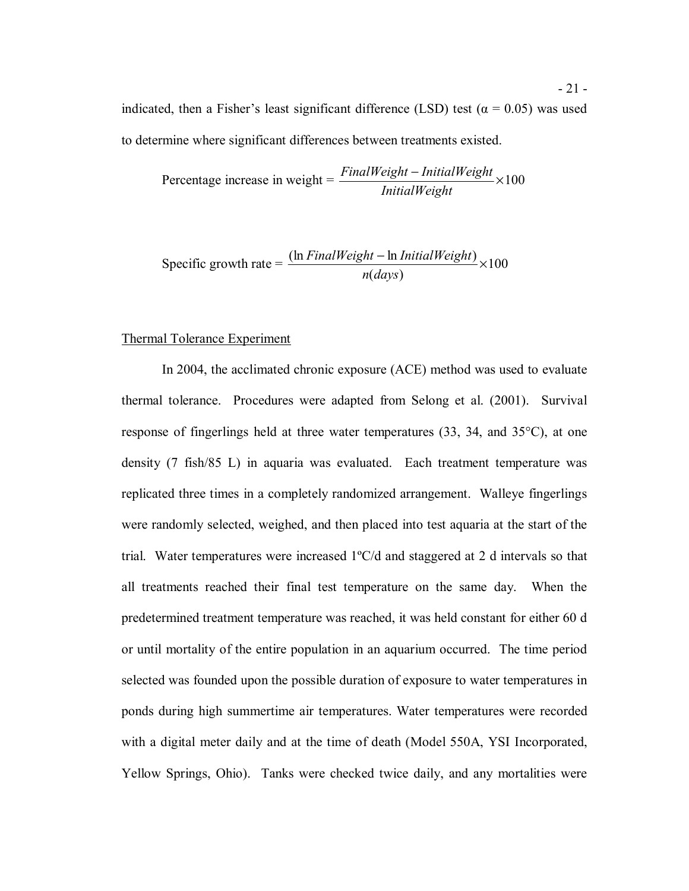indicated, then a Fisher's least significant difference (LSD) test ( $\alpha = 0.05$ ) was used to determine where significant differences between treatments existed.

Percentage increase in weight = 
$$
\frac{FinalWeight - InitialWeight}{InitialWeight} \times 100
$$

Specific growth rate = 
$$
\frac{(\ln FinalWeight - \ln InitialWeight)}{n(days)} \times 100
$$

#### Thermal Tolerance Experiment

 In 2004, the acclimated chronic exposure (ACE) method was used to evaluate thermal tolerance. Procedures were adapted from Selong et al. (2001). Survival response of fingerlings held at three water temperatures (33, 34, and 35°C), at one density (7 fish/85 L) in aquaria was evaluated. Each treatment temperature was replicated three times in a completely randomized arrangement. Walleye fingerlings were randomly selected, weighed, and then placed into test aquaria at the start of the trial. Water temperatures were increased 1ºC/d and staggered at 2 d intervals so that all treatments reached their final test temperature on the same day. When the predetermined treatment temperature was reached, it was held constant for either 60 d or until mortality of the entire population in an aquarium occurred. The time period selected was founded upon the possible duration of exposure to water temperatures in ponds during high summertime air temperatures. Water temperatures were recorded with a digital meter daily and at the time of death (Model 550A, YSI Incorporated, Yellow Springs, Ohio). Tanks were checked twice daily, and any mortalities were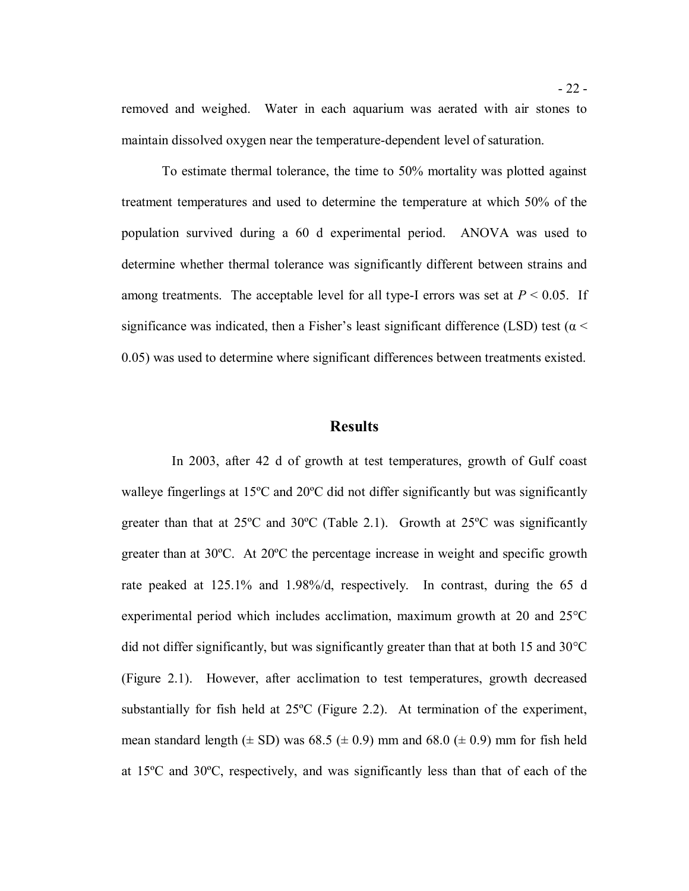removed and weighed. Water in each aquarium was aerated with air stones to maintain dissolved oxygen near the temperature-dependent level of saturation.

 To estimate thermal tolerance, the time to 50% mortality was plotted against treatment temperatures and used to determine the temperature at which 50% of the population survived during a 60 d experimental period. ANOVA was used to determine whether thermal tolerance was significantly different between strains and among treatments. The acceptable level for all type-I errors was set at  $P < 0.05$ . If significance was indicated, then a Fisher's least significant difference (LSD) test ( $\alpha$  < 0.05) was used to determine where significant differences between treatments existed.

#### **Results**

 walleye fingerlings at 15ºC and 20ºC did not differ significantly but was significantly greater than that at 25ºC and 30ºC (Table 2.1). Growth at 25ºC was significantly greater than at 30ºC. At 20ºC the percentage increase in weight and specific growth rate peaked at 125.1% and 1.98%/d, respectively. In contrast, during the 65 d experimental period which includes acclimation, maximum growth at 20 and 25°C did not differ significantly, but was significantly greater than that at both 15 and 30°C (Figure 2.1). However, after acclimation to test temperatures, growth decreased substantially for fish held at 25ºC (Figure 2.2). At termination of the experiment, mean standard length  $(\pm SD)$  was 68.5  $(\pm 0.9)$  mm and 68.0  $(\pm 0.9)$  mm for fish held at 15ºC and 30ºC, respectively, and was significantly less than that of each of the In 2003, after 42 d of growth at test temperatures, growth of Gulf coast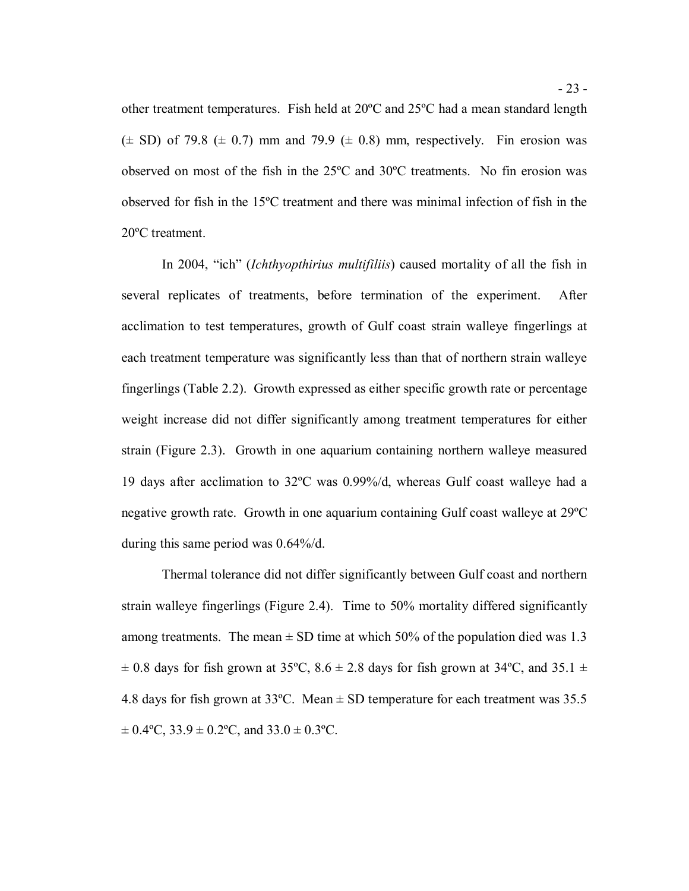other treatment temperatures. Fish held at 20ºC and 25ºC had a mean standard length  $(\pm$  SD) of 79.8  $(\pm$  0.7) mm and 79.9  $(\pm$  0.8) mm, respectively. Fin erosion was observed on most of the fish in the 25ºC and 30ºC treatments. No fin erosion was observed for fish in the 15ºC treatment and there was minimal infection of fish in the 20ºC treatment.

 In 2004, "ich" (*Ichthyopthirius multifiliis*) caused mortality of all the fish in several replicates of treatments, before termination of the experiment. After acclimation to test temperatures, growth of Gulf coast strain walleye fingerlings at each treatment temperature was significantly less than that of northern strain walleye fingerlings (Table 2.2). Growth expressed as either specific growth rate or percentage weight increase did not differ significantly among treatment temperatures for either strain (Figure 2.3). Growth in one aquarium containing northern walleye measured 19 days after acclimation to 32ºC was 0.99%/d, whereas Gulf coast walleye had a negative growth rate. Growth in one aquarium containing Gulf coast walleye at 29ºC during this same period was 0.64%/d.

 Thermal tolerance did not differ significantly between Gulf coast and northern strain walleye fingerlings (Figure 2.4). Time to 50% mortality differed significantly among treatments. The mean  $\pm$  SD time at which 50% of the population died was 1.3  $\pm$  0.8 days for fish grown at 35°C, 8.6  $\pm$  2.8 days for fish grown at 34°C, and 35.1  $\pm$ 4.8 days for fish grown at 33°C. Mean  $\pm$  SD temperature for each treatment was 35.5  $\pm$  0.4°C, 33.9  $\pm$  0.2°C, and 33.0  $\pm$  0.3°C.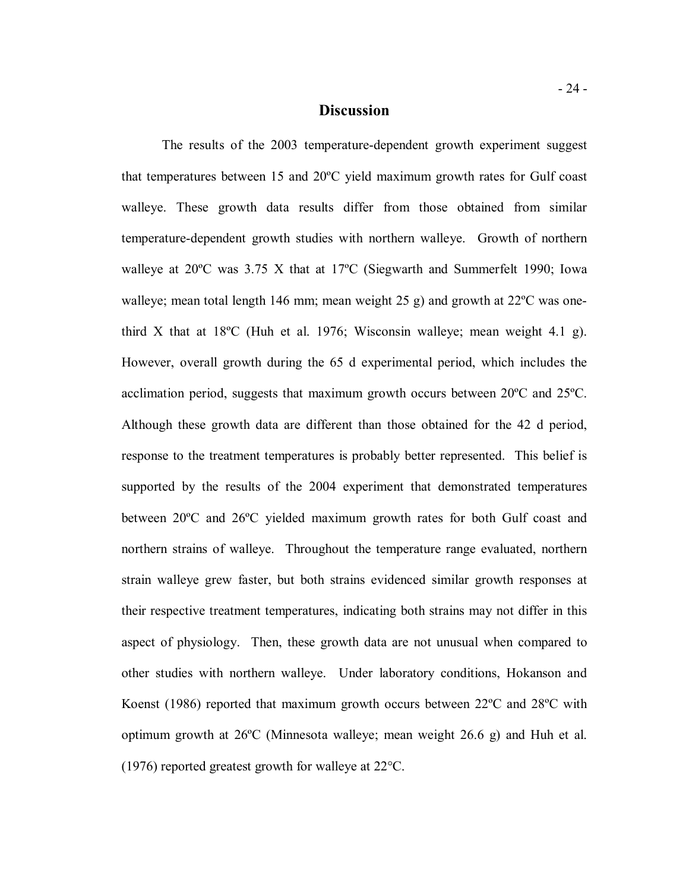#### **Discussion**

 The results of the 2003 temperature-dependent growth experiment suggest that temperatures between 15 and 20ºC yield maximum growth rates for Gulf coast walleye. These growth data results differ from those obtained from similar temperature-dependent growth studies with northern walleye. Growth of northern walleye at 20ºC was 3.75 X that at 17ºC (Siegwarth and Summerfelt 1990; Iowa walleye; mean total length 146 mm; mean weight 25 g) and growth at 22ºC was one- third X that at 18ºC (Huh et al. 1976; Wisconsin walleye; mean weight 4.1 g). However, overall growth during the 65 d experimental period, which includes the acclimation period, suggests that maximum growth occurs between 20ºC and 25ºC. Although these growth data are different than those obtained for the 42 d period, response to the treatment temperatures is probably better represented. This belief is supported by the results of the 2004 experiment that demonstrated temperatures between 20ºC and 26ºC yielded maximum growth rates for both Gulf coast and northern strains of walleye. Throughout the temperature range evaluated, northern strain walleye grew faster, but both strains evidenced similar growth responses at their respective treatment temperatures, indicating both strains may not differ in this aspect of physiology. Then, these growth data are not unusual when compared to other studies with northern walleye. Under laboratory conditions, Hokanson and Koenst (1986) reported that maximum growth occurs between 22ºC and 28ºC with optimum growth at 26ºC (Minnesota walleye; mean weight 26.6 g) and Huh et al. (1976) reported greatest growth for walleye at 22°C.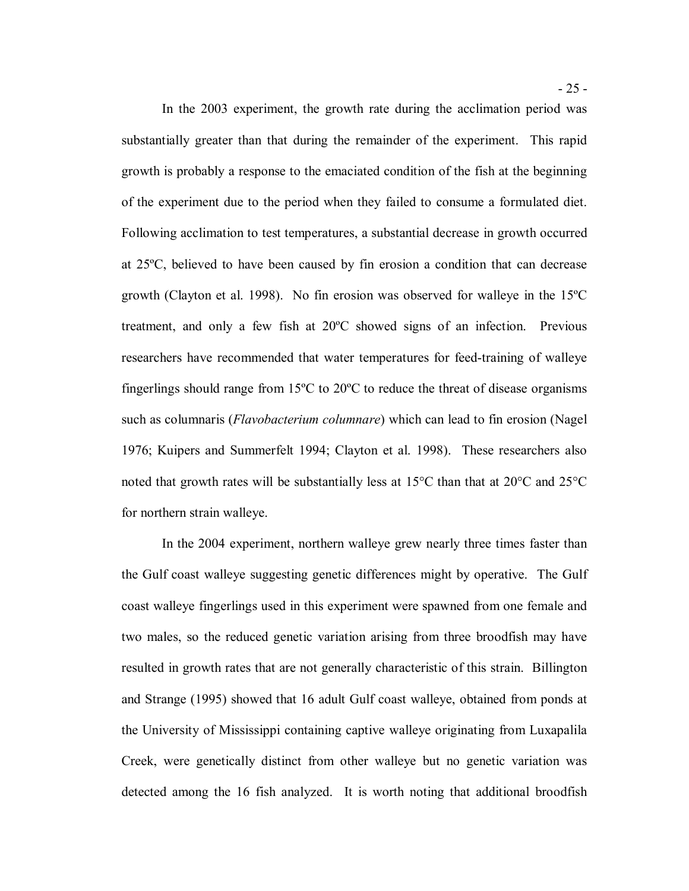In the 2003 experiment, the growth rate during the acclimation period was substantially greater than that during the remainder of the experiment. This rapid growth is probably a response to the emaciated condition of the fish at the beginning of the experiment due to the period when they failed to consume a formulated diet. Following acclimation to test temperatures, a substantial decrease in growth occurred at 25ºC, believed to have been caused by fin erosion a condition that can decrease growth (Clayton et al. 1998). No fin erosion was observed for walleye in the 15ºC treatment, and only a few fish at 20ºC showed signs of an infection. Previous researchers have recommended that water temperatures for feed-training of walleye fingerlings should range from 15ºC to 20ºC to reduce the threat of disease organisms such as columnaris (*Flavobacterium columnare*) which can lead to fin erosion (Nagel 1976; Kuipers and Summerfelt 1994; Clayton et al. 1998). These researchers also noted that growth rates will be substantially less at 15°C than that at 20°C and 25°C for northern strain walleye.

 In the 2004 experiment, northern walleye grew nearly three times faster than the Gulf coast walleye suggesting genetic differences might by operative. The Gulf coast walleye fingerlings used in this experiment were spawned from one female and two males, so the reduced genetic variation arising from three broodfish may have resulted in growth rates that are not generally characteristic of this strain. Billington and Strange (1995) showed that 16 adult Gulf coast walleye, obtained from ponds at the University of Mississippi containing captive walleye originating from Luxapalila Creek, were genetically distinct from other walleye but no genetic variation was detected among the 16 fish analyzed. It is worth noting that additional broodfish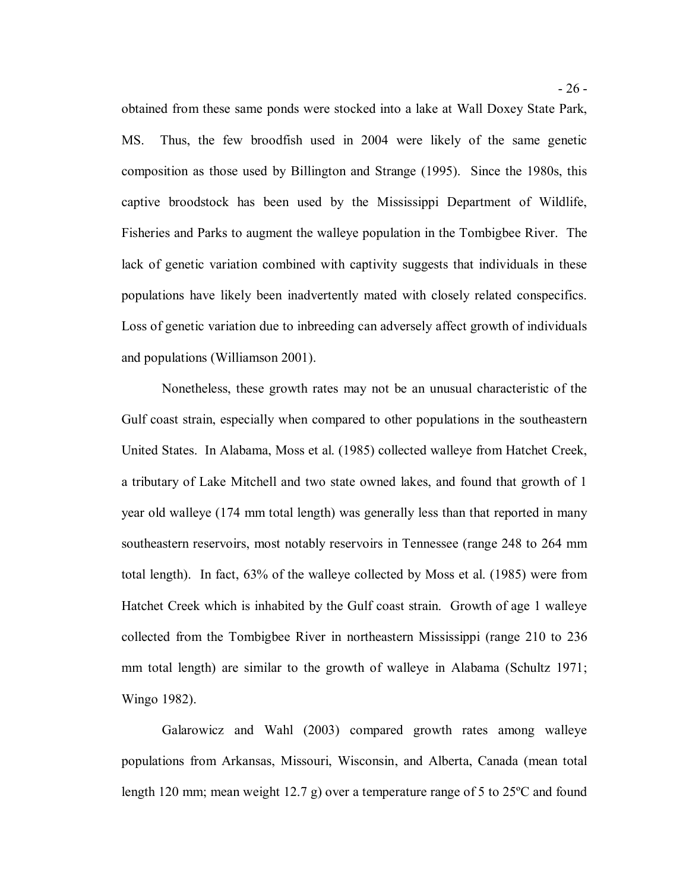obtained from these same ponds were stocked into a lake at Wall Doxey State Park, MS. composition as those used by Billington and Strange (1995). Since the 1980s, this captive broodstock has been used by the Mississippi Department of Wildlife, Fisheries and Parks to augment the walleye population in the Tombigbee River. The lack of genetic variation combined with captivity suggests that individuals in these populations have likely been inadvertently mated with closely related conspecifics. Loss of genetic variation due to inbreeding can adversely affect growth of individuals and populations (Williamson 2001). Thus, the few broodfish used in 2004 were likely of the same genetic

 Nonetheless, these growth rates may not be an unusual characteristic of the Gulf coast strain, especially when compared to other populations in the southeastern United States. In Alabama, Moss et al. (1985) collected walleye from Hatchet Creek, a tributary of Lake Mitchell and two state owned lakes, and found that growth of 1 year old walleye (174 mm total length) was generally less than that reported in many southeastern reservoirs, most notably reservoirs in Tennessee (range 248 to 264 mm total length). In fact, 63% of the walleye collected by Moss et al. (1985) were from Hatchet Creek which is inhabited by the Gulf coast strain. Growth of age 1 walleye collected from the Tombigbee River in northeastern Mississippi (range 210 to 236 mm total length) are similar to the growth of walleye in Alabama (Schultz 1971; Wingo 1982).

 Galarowicz and Wahl (2003) compared growth rates among walleye populations from Arkansas, Missouri, Wisconsin, and Alberta, Canada (mean total length 120 mm; mean weight 12.7 g) over a temperature range of 5 to 25ºC and found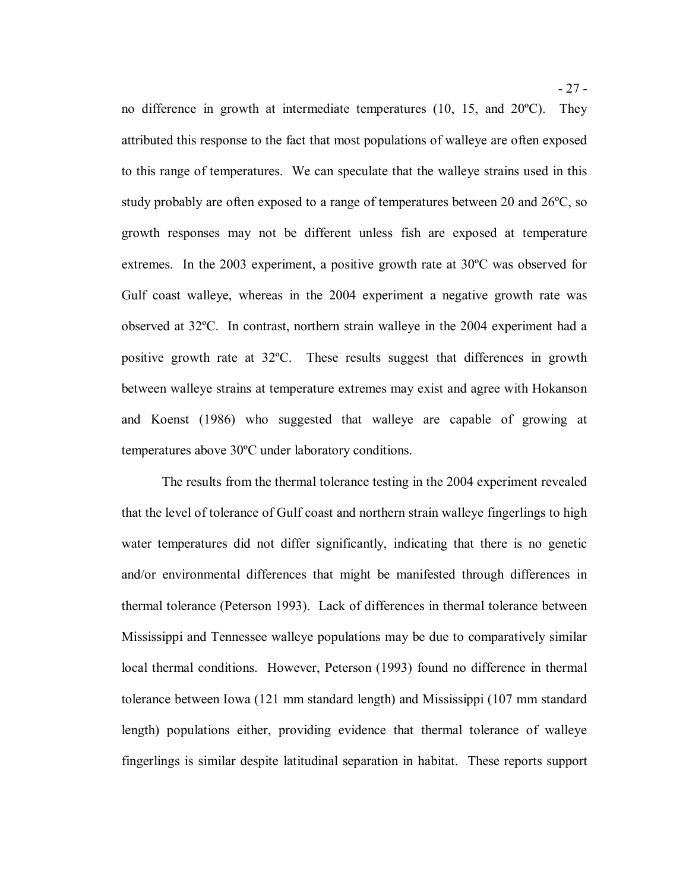no difference in growth at intermediate temperatures (10, 15, and 20ºC). They attributed this response to the fact that most populations of walleye are often exposed to this range of temperatures. We can speculate that the walleye strains used in this study probably are often exposed to a range of temperatures between 20 and 26ºC, so growth responses may not be different unless fish are exposed at temperature extremes. In the 2003 experiment, a positive growth rate at 30ºC was observed for Gulf coast walleye, whereas in the 2004 experiment a negative growth rate was observed at 32ºC. In contrast, northern strain walleye in the 2004 experiment had a positive growth rate at 32ºC. These results suggest that differences in growth between walleye strains at temperature extremes may exist and agree with Hokanson and Koenst (1986) who suggested that walleye are capable of growing at temperatures above 30ºC under laboratory conditions.

 The results from the thermal tolerance testing in the 2004 experiment revealed that the level of tolerance of Gulf coast and northern strain walleye fingerlings to high water temperatures did not differ significantly, indicating that there is no genetic and/or environmental differences that might be manifested through differences in thermal tolerance (Peterson 1993). Lack of differences in thermal tolerance between Mississippi and Tennessee walleye populations may be due to comparatively similar local thermal conditions. However, Peterson (1993) found no difference in thermal tolerance between Iowa (121 mm standard length) and Mississippi (107 mm standard length) populations either, providing evidence that thermal tolerance of walleye fingerlings is similar despite latitudinal separation in habitat. These reports support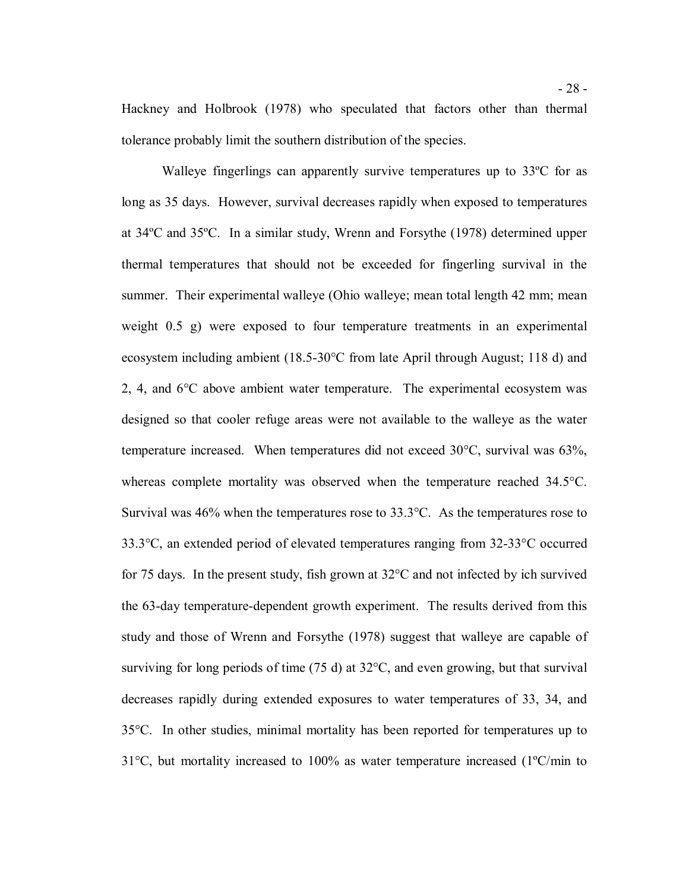Walleye fingerlings can apparently survive temperatures up to 33ºC for as long as 35 days. However, survival decreases rapidly when exposed to temperatures at 34ºC and 35ºC. In a similar study, Wrenn and Forsythe (1978) determined upper thermal temperatures that should not be exceeded for fingerling survival in the summer. Their experimental walleye (Ohio walleye; mean total length 42 mm; mean weight 0.5 g) were exposed to four temperature treatments in an experimental ecosystem including ambient (18.5-30°C from late April through August; 118 d) and 2, 4, and  $6^{\circ}$ C above ambient water temperature. The experimental ecosystem was designed so that cooler refuge areas were not available to the walleye as the water temperature increased. When temperatures did not exceed 30°C, survival was 63%, whereas complete mortality was observed when the temperature reached 34.5°C. Survival was 46% when the temperatures rose to 33.3°C. As the temperatures rose to 33.3°C, an extended period of elevated temperatures ranging from 32-33°C occurred for 75 days. In the present study, fish grown at 32°C and not infected by ich survived the 63-day temperature-dependent growth experiment. The results derived from this study and those of Wrenn and Forsythe (1978) suggest that walleye are capable of surviving for long periods of time (75 d) at 32°C, and even growing, but that survival decreases rapidly during extended exposures to water temperatures of 33, 34, and 35°C. In other studies, minimal mortality has been reported for temperatures up to 31°C, but mortality increased to 100% as water temperature increased (1ºC/min to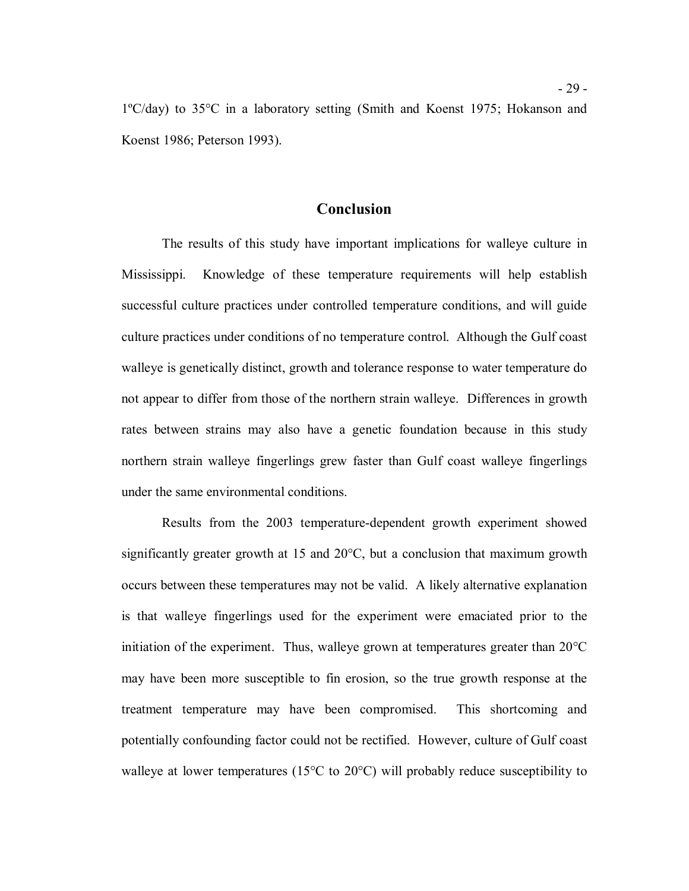1ºC/day) to 35°C in a laboratory setting (Smith and Koenst 1975; Hokanson and Koenst 1986; Peterson 1993).

#### **Conclusion**

 The results of this study have important implications for walleye culture in Mississippi. successful culture practices under controlled temperature conditions, and will guide culture practices under conditions of no temperature control. Although the Gulf coast walleye is genetically distinct, growth and tolerance response to water temperature do not appear to differ from those of the northern strain walleye. Differences in growth rates between strains may also have a genetic foundation because in this study northern strain walleye fingerlings grew faster than Gulf coast walleye fingerlings under the same environmental conditions. Knowledge of these temperature requirements will help establish

 Results from the 2003 temperature-dependent growth experiment showed significantly greater growth at 15 and 20°C, but a conclusion that maximum growth occurs between these temperatures may not be valid. A likely alternative explanation is that walleye fingerlings used for the experiment were emaciated prior to the initiation of the experiment. Thus, walleye grown at temperatures greater than 20°C may have been more susceptible to fin erosion, so the true growth response at the treatment temperature may have been compromised. This shortcoming and potentially confounding factor could not be rectified. However, culture of Gulf coast walleye at lower temperatures (15°C to 20°C) will probably reduce susceptibility to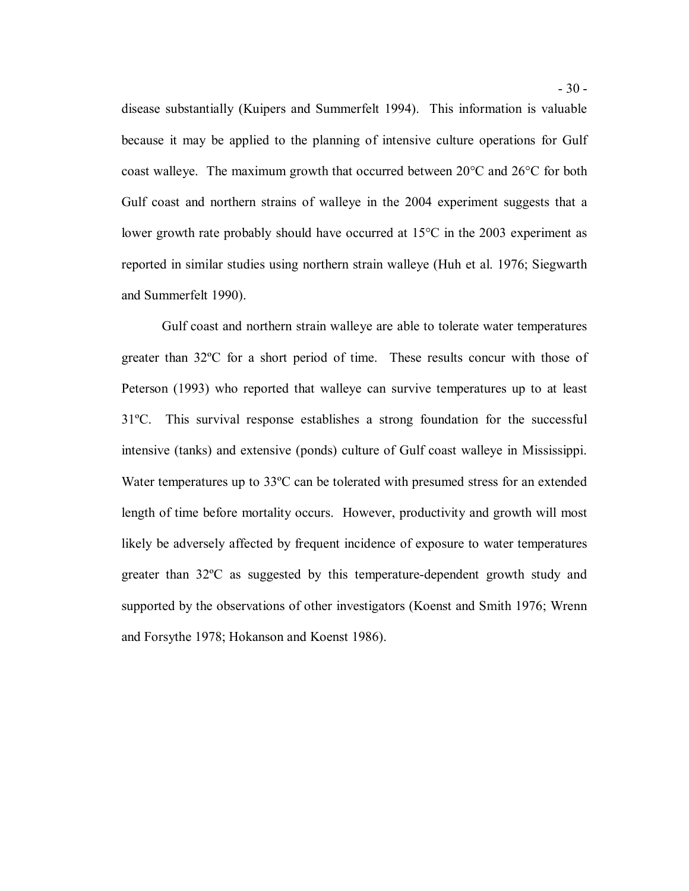disease substantially (Kuipers and Summerfelt 1994). This information is valuable because it may be applied to the planning of intensive culture operations for Gulf coast walleye. The maximum growth that occurred between 20°C and 26°C for both Gulf coast and northern strains of walleye in the 2004 experiment suggests that a lower growth rate probably should have occurred at 15°C in the 2003 experiment as reported in similar studies using northern strain walleye (Huh et al. 1976; Siegwarth and Summerfelt 1990).

 Gulf coast and northern strain walleye are able to tolerate water temperatures greater than 32ºC for a short period of time. These results concur with those of Peterson (1993) who reported that walleye can survive temperatures up to at least 31ºC. This survival response establishes a strong foundation for the successful intensive (tanks) and extensive (ponds) culture of Gulf coast walleye in Mississippi. Water temperatures up to 33ºC can be tolerated with presumed stress for an extended length of time before mortality occurs. However, productivity and growth will most likely be adversely affected by frequent incidence of exposure to water temperatures greater than 32ºC as suggested by this temperature-dependent growth study and supported by the observations of other investigators (Koenst and Smith 1976; Wrenn and Forsythe 1978; Hokanson and Koenst 1986).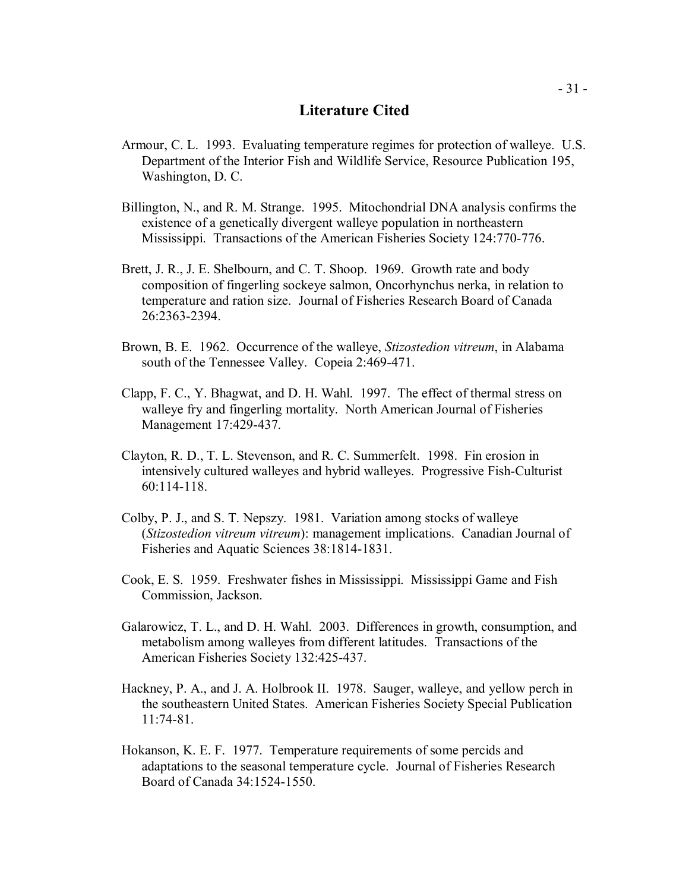# **Literature Cited**

- Armour, C. L. 1993. Evaluating temperature regimes for protection of walleye. U.S. Department of the Interior Fish and Wildlife Service, Resource Publication 195, Washington, D. C.
- Billington, N., and R. M. Strange. 1995. Mitochondrial DNA analysis confirms the existence of a genetically divergent walleye population in northeastern Mississippi. Transactions of the American Fisheries Society 124:770-776.
- Brett, J. R., J. E. Shelbourn, and C. T. Shoop. 1969. Growth rate and body composition of fingerling sockeye salmon, Oncorhynchus nerka, in relation to temperature and ration size. Journal of Fisheries Research Board of Canada 26:2363-2394.
- Brown, B. E. 1962. Occurrence of the walleye, *Stizostedion vitreum*, in Alabama south of the Tennessee Valley. Copeia 2:469-471.
- Clapp, F. C., Y. Bhagwat, and D. H. Wahl. 1997. The effect of thermal stress on walleye fry and fingerling mortality. North American Journal of Fisheries Management 17:429-437.
- Clayton, R. D., T. L. Stevenson, and R. C. Summerfelt. 1998. Fin erosion in intensively cultured walleyes and hybrid walleyes. Progressive Fish-Culturist 60:114-118.
- Colby, P. J., and S. T. Nepszy. 1981. Variation among stocks of walleye (*Stizostedion vitreum vitreum*): management implications. Canadian Journal of Fisheries and Aquatic Sciences 38:1814-1831.
- Cook, E. S. 1959. Freshwater fishes in Mississippi. Mississippi Game and Fish Commission, Jackson.
- Galarowicz, T. L., and D. H. Wahl. 2003. Differences in growth, consumption, and metabolism among walleyes from different latitudes. Transactions of the American Fisheries Society 132:425-437.
- Hackney, P. A., and J. A. Holbrook II. 1978. Sauger, walleye, and yellow perch in the southeastern United States. American Fisheries Society Special Publication 11:74-81.
- Hokanson, K. E. F. 1977. Temperature requirements of some percids and adaptations to the seasonal temperature cycle. Journal of Fisheries Research Board of Canada 34:1524-1550.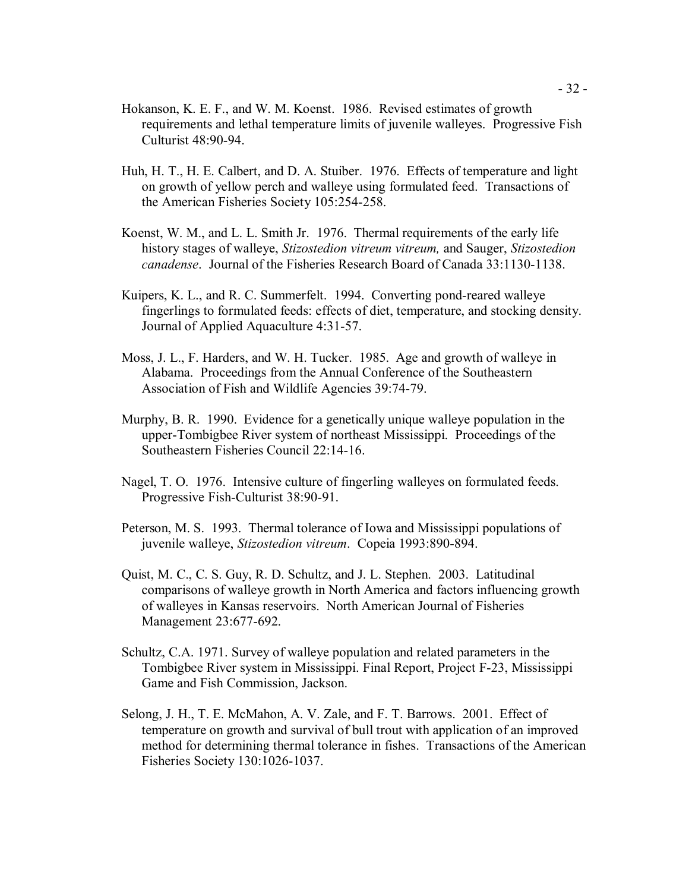- Hokanson, K. E. F., and W. M. Koenst. 1986. Revised estimates of growth requirements and lethal temperature limits of juvenile walleyes. Progressive Fish Culturist 48:90-94.
- Huh, H. T., H. E. Calbert, and D. A. Stuiber. 1976. Effects of temperature and light on growth of yellow perch and walleye using formulated feed. Transactions of the American Fisheries Society 105:254-258.
- Koenst, W. M., and L. L. Smith Jr. 1976. Thermal requirements of the early life history stages of walleye, *Stizostedion vitreum vitreum,* and Sauger, *Stizostedion canadense*. Journal of the Fisheries Research Board of Canada 33:1130-1138.
- Kuipers, K. L., and R. C. Summerfelt. 1994. Converting pond-reared walleye fingerlings to formulated feeds: effects of diet, temperature, and stocking density. Journal of Applied Aquaculture 4:31-57.
- Moss, J. L., F. Harders, and W. H. Tucker. 1985. Age and growth of walleye in Alabama. Proceedings from the Annual Conference of the Southeastern Association of Fish and Wildlife Agencies 39:74-79.
- Murphy, B. R. 1990. Evidence for a genetically unique walleye population in the upper-Tombigbee River system of northeast Mississippi. Proceedings of the Southeastern Fisheries Council 22:14-16.
- Nagel, T. O. 1976. Intensive culture of fingerling walleyes on formulated feeds. Progressive Fish-Culturist 38:90-91.
- Peterson, M. S. 1993. Thermal tolerance of Iowa and Mississippi populations of juvenile walleye, *Stizostedion vitreum*. Copeia 1993:890-894.
- Quist, M. C., C. S. Guy, R. D. Schultz, and J. L. Stephen. 2003. Latitudinal comparisons of walleye growth in North America and factors influencing growth of walleyes in Kansas reservoirs. North American Journal of Fisheries Management 23:677-692.
- Schultz, C.A. 1971. Survey of walleye population and related parameters in the Tombigbee River system in Mississippi. Final Report, Project F-23, Mississippi Game and Fish Commission, Jackson.
- Selong, J. H., T. E. McMahon, A. V. Zale, and F. T. Barrows. 2001. Effect of temperature on growth and survival of bull trout with application of an improved method for determining thermal tolerance in fishes. Transactions of the American Fisheries Society 130:1026-1037.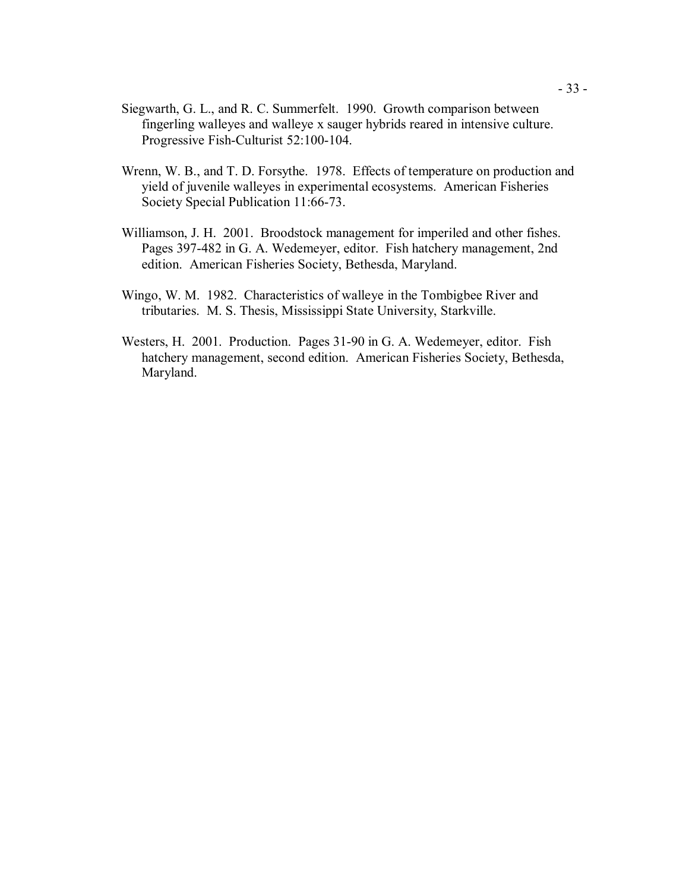- Siegwarth, G. L., and R. C. Summerfelt. 1990. Growth comparison between fingerling walleyes and walleye x sauger hybrids reared in intensive culture. Progressive Fish-Culturist 52:100-104.
- Wrenn, W. B., and T. D. Forsythe. 1978. Effects of temperature on production and yield of juvenile walleyes in experimental ecosystems. American Fisheries Society Special Publication 11:66-73.
- Williamson, J. H. 2001. Broodstock management for imperiled and other fishes. Pages 397-482 in G. A. Wedemeyer, editor. Fish hatchery management, 2nd edition. American Fisheries Society, Bethesda, Maryland.
- Wingo, W. M. 1982. Characteristics of walleye in the Tombigbee River and tributaries. M. S. Thesis, Mississippi State University, Starkville.
- Westers, H. 2001. Production. Pages 31-90 in G. A. Wedemeyer, editor. Fish hatchery management, second edition. American Fisheries Society, Bethesda, Maryland.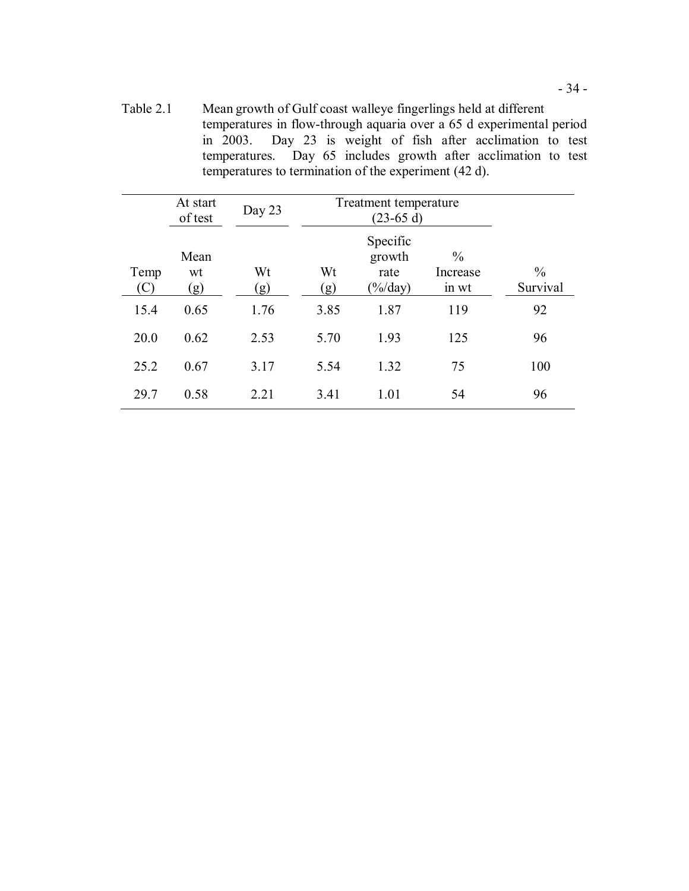Table 2.1 Mean growth of Gulf coast walleye fingerlings held at different temperatures in flow-through aquaria over a 65 d experimental period in 2003. Day 23 is weight of fish after acclimation to test temperatures. temperatures to termination of the experiment (42 d). Day  $65$  includes growth after acclimation to test

|             | At start<br>of test | Day 23    | Treatment temperature |                                                 |                                    |                           |
|-------------|---------------------|-----------|-----------------------|-------------------------------------------------|------------------------------------|---------------------------|
| Temp<br>(C) | Mean<br>wt<br>(g)   | Wt<br>(g) | Wt<br>(g)             | Specific<br>growth<br>rate<br>$(\frac{6}{day})$ | $\frac{0}{0}$<br>Increase<br>in wt | $\frac{0}{0}$<br>Survival |
| 15.4        | 0.65                | 1.76      | 3.85                  | 1.87                                            | 119                                | 92                        |
| 20.0        | 0.62                | 2.53      | 5.70                  | 1.93                                            | 125                                | 96                        |
| 25.2        | 0.67                | 3.17      | 5.54                  | 1.32                                            | 75                                 | 100                       |
| 29.7        | 0.58                | 2.21      | 3.41                  | 1.01                                            | 54                                 | 96                        |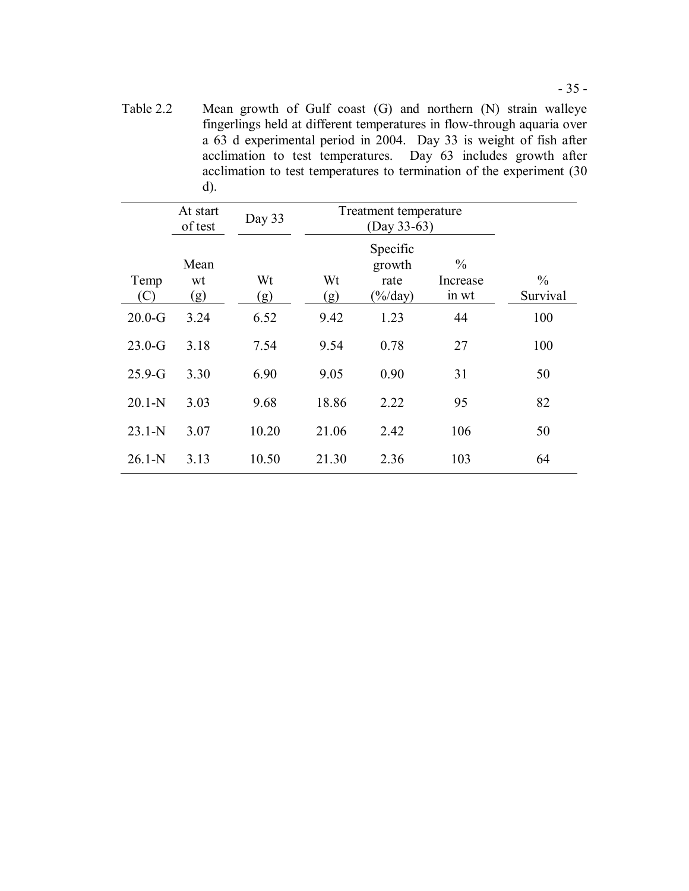Table 2.2 Mean growth of Gulf coast (G) and northern (N) strain walleye fingerlings held at different temperatures in flow-through aquaria over a 63 d experimental period in 2004. Day 33 is weight of fish after acclimation to test temperatures. Day 63 includes growth after acclimation to test temperatures to termination of the experiment (30 d).

|             | At start<br>of test | Day 33    | Treatment temperature |                                                         |                                    |                           |
|-------------|---------------------|-----------|-----------------------|---------------------------------------------------------|------------------------------------|---------------------------|
| Temp<br>(C) | Mean<br>wt<br>(g)   | Wt<br>(g) | Wt<br>(g)             | Specific<br>growth<br>rate<br>$\frac{\%}{\mathrm{day}}$ | $\frac{0}{0}$<br>Increase<br>in wt | $\frac{0}{0}$<br>Survival |
| $20.0-G$    | 3.24                | 6.52      | 9.42                  | 1.23                                                    | 44                                 | 100                       |
| $23.0-G$    | 3.18                | 7.54      | 9.54                  | 0.78                                                    | 27                                 | 100                       |
| $25.9-G$    | 3.30                | 6.90      | 9.05                  | 0.90                                                    | 31                                 | 50                        |
| $20.1-N$    | 3.03                | 9.68      | 18.86                 | 2.22                                                    | 95                                 | 82                        |
| $23.1 - N$  | 3.07                | 10.20     | 21.06                 | 2.42                                                    | 106                                | 50                        |
| $26.1-N$    | 3.13                | 10.50     | 21.30                 | 2.36                                                    | 103                                | 64                        |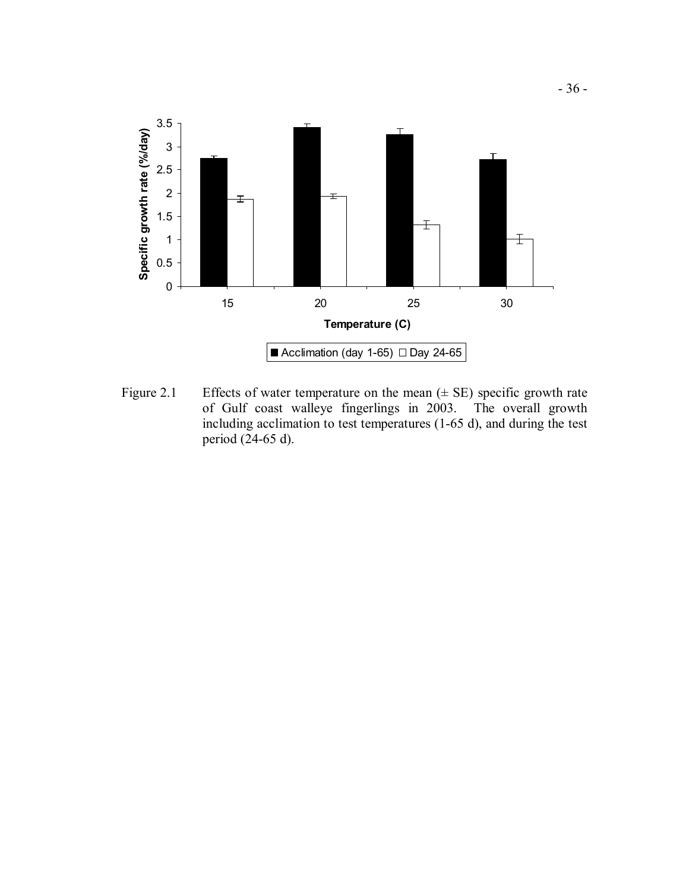

Figure 2.1 Effects of water temperature on the mean  $(\pm S E)$  specific growth rate of Gulf coast walleye fingerlings in 2003. The overall growth including acclimation to test temperatures (1-65 d), and during the test period (24-65 d).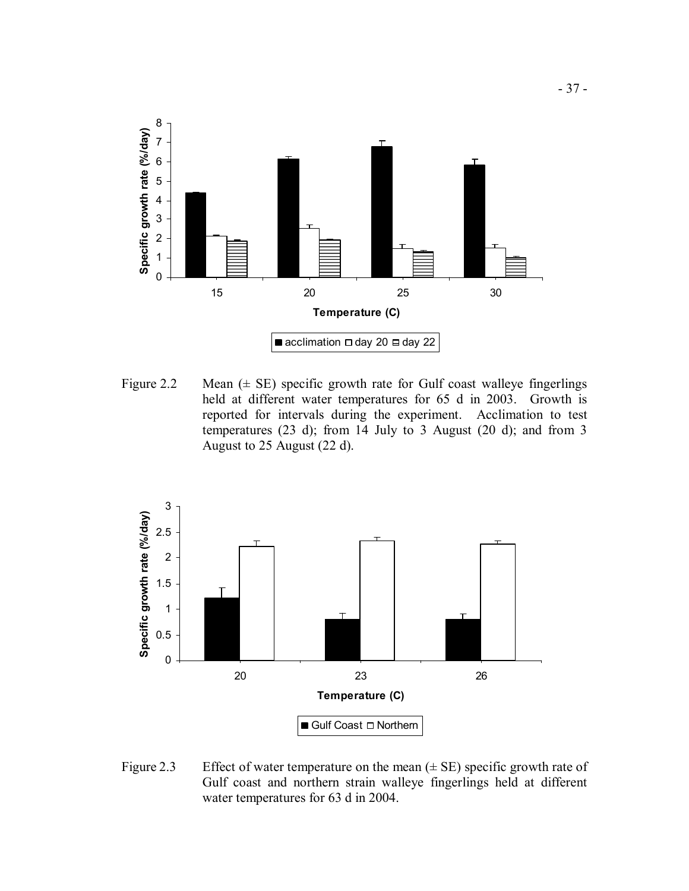

Figure 2.2 Mean  $(\pm \text{ SE})$  specific growth rate for Gulf coast walleye fingerlings held at different water temperatures for 65 d in 2003. Growth is reported for intervals during the experiment. Acclimation to test temperatures (23 d); from 14 July to 3 August (20 d); and from 3 August to 25 August (22 d).



Figure 2.3 Effect of water temperature on the mean  $(\pm S E)$  specific growth rate of Gulf coast and northern strain walleye fingerlings held at different water temperatures for 63 d in 2004.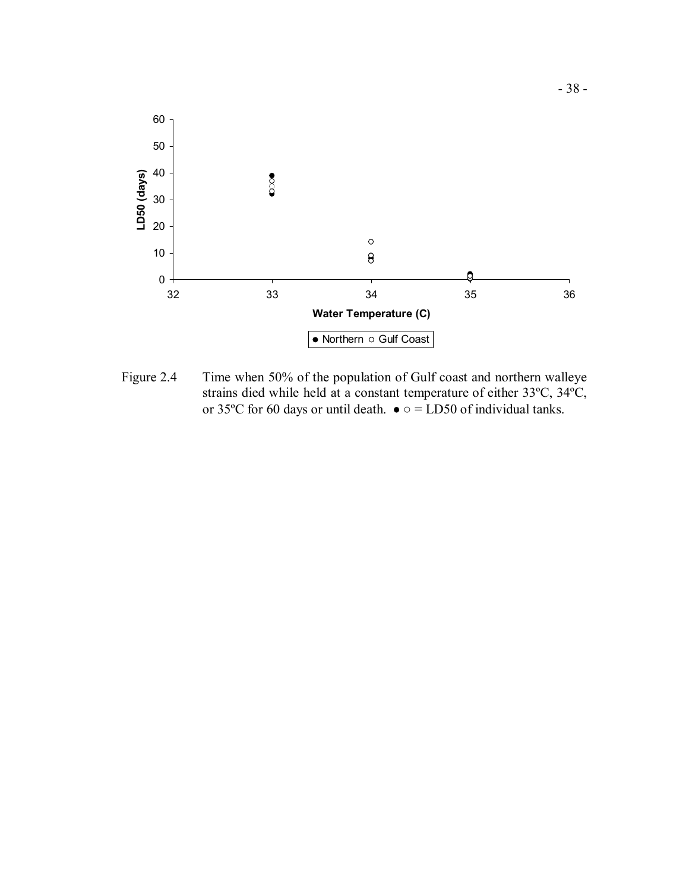

 Figure 2.4 Time when 50% of the population of Gulf coast and northern walleye strains died while held at a constant temperature of either 33ºC, 34ºC, or 35°C for 60 days or until death.  $\bullet \circ$  = LD50 of individual tanks.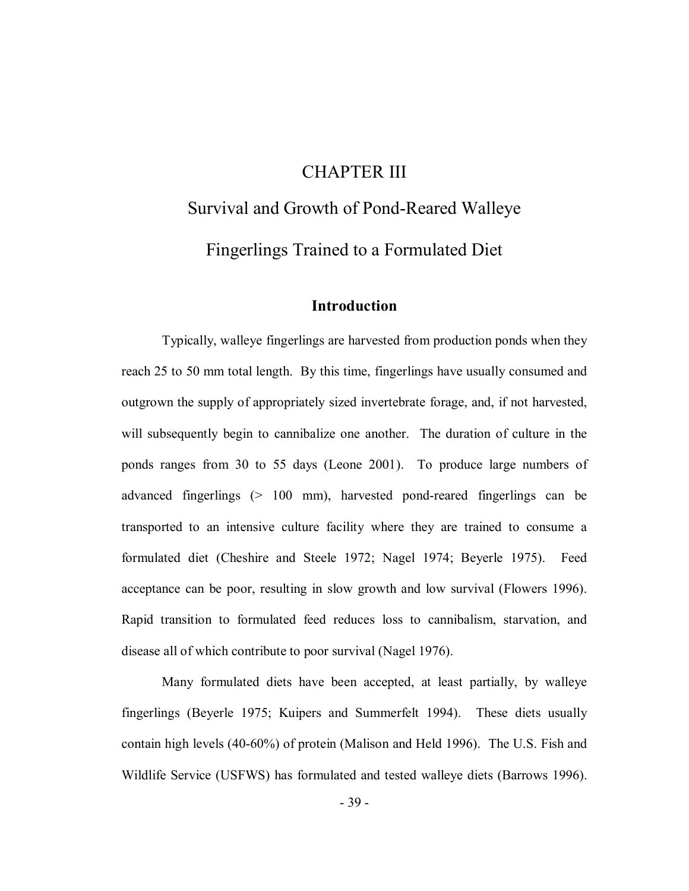# CHAPTER III

# Survival and Growth of Pond-Reared Walleye Fingerlings Trained to a Formulated Diet

# **Introduction**

 Typically, walleye fingerlings are harvested from production ponds when they reach 25 to 50 mm total length. By this time, fingerlings have usually consumed and outgrown the supply of appropriately sized invertebrate forage, and, if not harvested, will subsequently begin to cannibalize one another. The duration of culture in the ponds ranges from 30 to 55 days (Leone 2001). To produce large numbers of advanced fingerlings (> 100 mm), harvested pond-reared fingerlings can be transported to an intensive culture facility where they are trained to consume a formulated diet (Cheshire and Steele 1972; Nagel 1974; Beyerle 1975). Feed acceptance can be poor, resulting in slow growth and low survival (Flowers 1996). Rapid transition to formulated feed reduces loss to cannibalism, starvation, and disease all of which contribute to poor survival (Nagel 1976).

 Many formulated diets have been accepted, at least partially, by walleye fingerlings (Beyerle 1975; Kuipers and Summerfelt 1994). These diets usually contain high levels (40-60%) of protein (Malison and Held 1996). The U.S. Fish and Wildlife Service (USFWS) has formulated and tested walleye diets (Barrows 1996).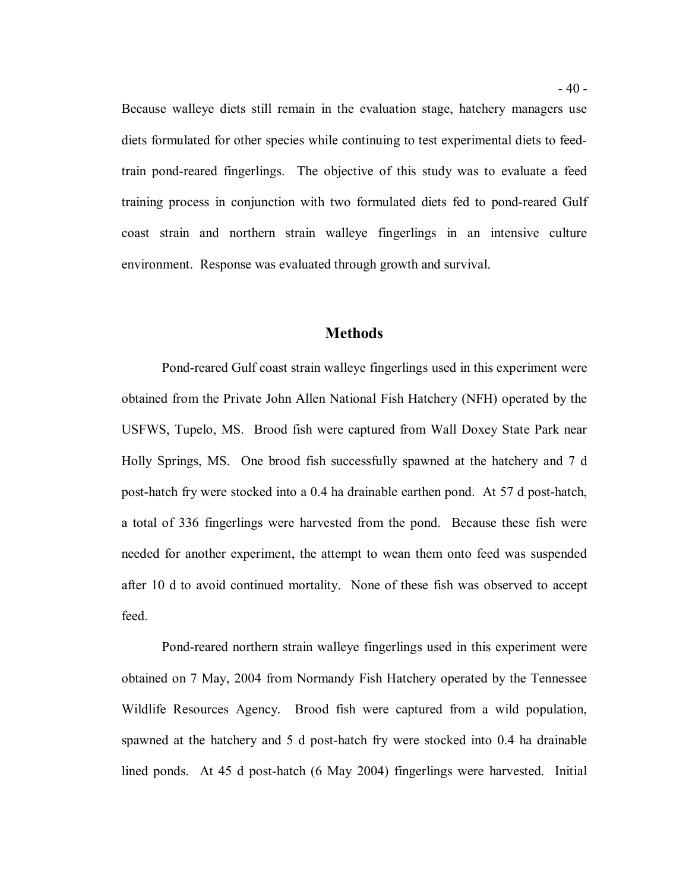Because walleye diets still remain in the evaluation stage, hatchery managers use diets formulated for other species while continuing to test experimental diets to feed- train pond-reared fingerlings. The objective of this study was to evaluate a feed training process in conjunction with two formulated diets fed to pond-reared Gulf coast strain and northern strain walleye fingerlings in an intensive culture environment. Response was evaluated through growth and survival.

#### **Methods**

 Pond-reared Gulf coast strain walleye fingerlings used in this experiment were obtained from the Private John Allen National Fish Hatchery (NFH) operated by the USFWS, Tupelo, MS. Brood fish were captured from Wall Doxey State Park near Holly Springs, MS. One brood fish successfully spawned at the hatchery and 7 d post-hatch fry were stocked into a 0.4 ha drainable earthen pond. At 57 d post-hatch, a total of 336 fingerlings were harvested from the pond. Because these fish were needed for another experiment, the attempt to wean them onto feed was suspended after 10 d to avoid continued mortality. None of these fish was observed to accept feed.

 feed. Pond-reared northern strain walleye fingerlings used in this experiment were obtained on 7 May, 2004 from Normandy Fish Hatchery operated by the Tennessee Wildlife Resources Agency. Brood fish were captured from a wild population, spawned at the hatchery and 5 d post-hatch fry were stocked into 0.4 ha drainable lined ponds. At 45 d post-hatch (6 May 2004) fingerlings were harvested. Initial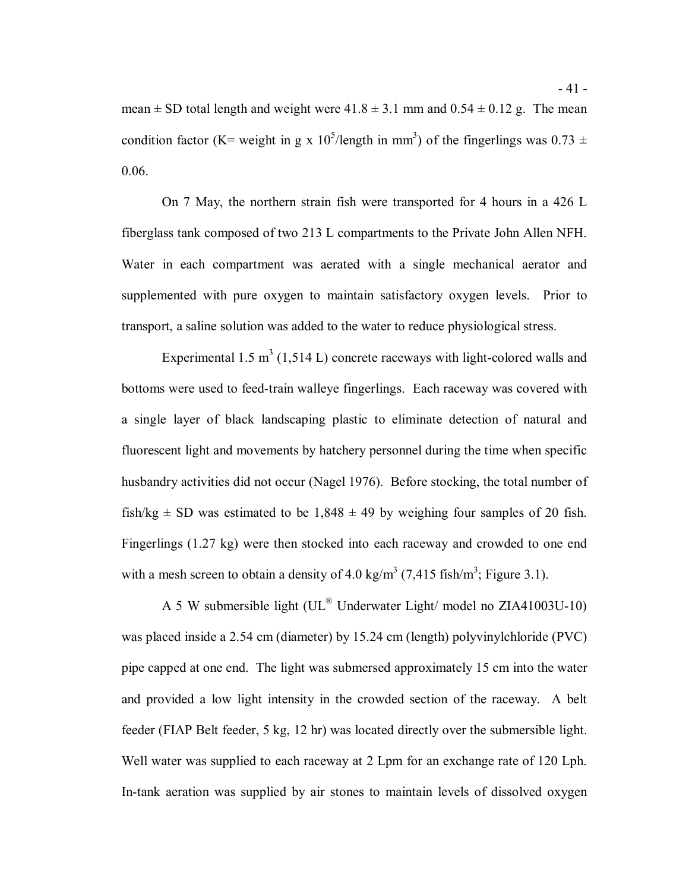mean  $\pm$  SD total length and weight were 41.8  $\pm$  3.1 mm and 0.54  $\pm$  0.12 g. The mean condition factor (K= weight in g x 10<sup>5</sup>/length in mm<sup>3</sup>) of the fingerlings was 0.73  $\pm$  $0.06.$ 

 0.06. On 7 May, the northern strain fish were transported for 4 hours in a 426 L fiberglass tank composed of two 213 L compartments to the Private John Allen NFH. Water in each compartment was aerated with a single mechanical aerator and supplemented with pure oxygen to maintain satisfactory oxygen levels. Prior to transport, a saline solution was added to the water to reduce physiological stress.

Experimental 1.5 m<sup>3</sup> (1,514 L) concrete raceways with light-colored walls and bottoms were used to feed-train walleye fingerlings. Each raceway was covered with a single layer of black landscaping plastic to eliminate detection of natural and fluorescent light and movements by hatchery personnel during the time when specific husbandry activities did not occur (Nagel 1976). Before stocking, the total number of fish/kg  $\pm$  SD was estimated to be 1,848  $\pm$  49 by weighing four samples of 20 fish. Fingerlings (1.27 kg) were then stocked into each raceway and crowded to one end with a mesh screen to obtain a density of 4.0 kg/m<sup>3</sup> (7,415 fish/m<sup>3</sup>; Figure 3.1).

 was placed inside a 2.54 cm (diameter) by 15.24 cm (length) polyvinylchloride (PVC) pipe capped at one end. The light was submersed approximately 15 cm into the water and provided a low light intensity in the crowded section of the raceway. A belt feeder (FIAP Belt feeder, 5 kg, 12 hr) was located directly over the submersible light. Well water was supplied to each raceway at 2 Lpm for an exchange rate of 120 Lph. In-tank aeration was supplied by air stones to maintain levels of dissolved oxygen A 5 W submersible light (UL® Underwater Light/ model no ZIA41003U-10)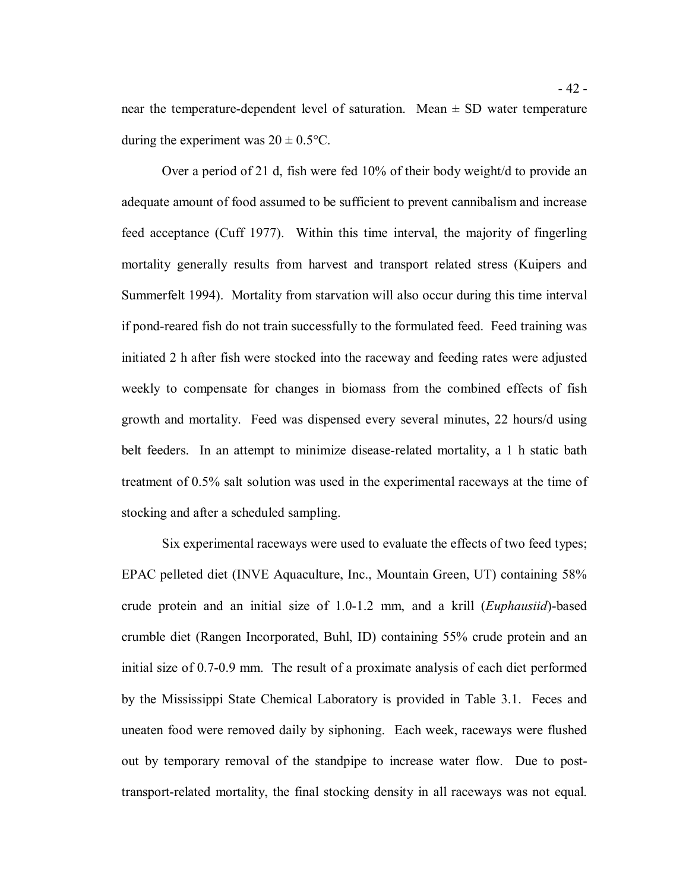near the temperature-dependent level of saturation. Mean  $\pm$  SD water temperature during the experiment was  $20 \pm 0.5$ °C.

 Over a period of 21 d, fish were fed 10% of their body weight/d to provide an adequate amount of food assumed to be sufficient to prevent cannibalism and increase feed acceptance (Cuff 1977). Within this time interval, the majority of fingerling mortality generally results from harvest and transport related stress (Kuipers and Summerfelt 1994). Mortality from starvation will also occur during this time interval if pond-reared fish do not train successfully to the formulated feed. Feed training was initiated 2 h after fish were stocked into the raceway and feeding rates were adjusted weekly to compensate for changes in biomass from the combined effects of fish growth and mortality. Feed was dispensed every several minutes, 22 hours/d using belt feeders. In an attempt to minimize disease-related mortality, a 1 h static bath treatment of 0.5% salt solution was used in the experimental raceways at the time of stocking and after a scheduled sampling.

 Six experimental raceways were used to evaluate the effects of two feed types; EPAC pelleted diet (INVE Aquaculture, Inc., Mountain Green, UT) containing 58% crude protein and an initial size of 1.0-1.2 mm, and a krill (*Euphausiid*)-based crumble diet (Rangen Incorporated, Buhl, ID) containing 55% crude protein and an initial size of 0.7-0.9 mm. The result of a proximate analysis of each diet performed by the Mississippi State Chemical Laboratory is provided in Table 3.1. Feces and uneaten food were removed daily by siphoning. Each week, raceways were flushed out by temporary removal of the standpipe to increase water flow. Due to post-transport-related mortality, the final stocking density in all raceways was not equal.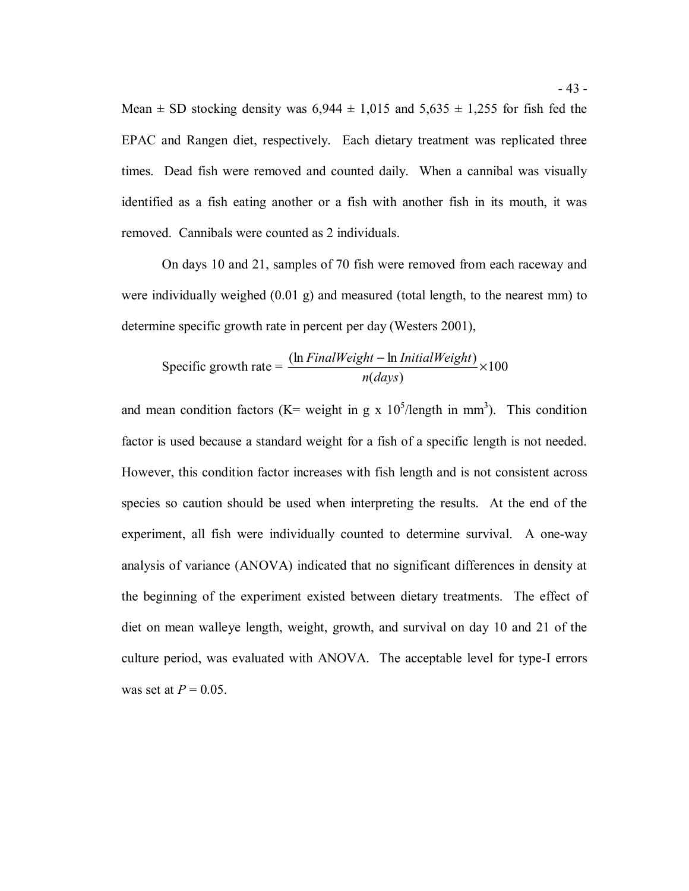Mean  $\pm$  SD stocking density was 6,944  $\pm$  1,015 and 5,635  $\pm$  1,255 for fish fed the EPAC and Rangen diet, respectively. Each dietary treatment was replicated three times. Dead fish were removed and counted daily. When a cannibal was visually identified as a fish eating another or a fish with another fish in its mouth, it was removed. Cannibals were counted as 2 individuals.

 On days 10 and 21, samples of 70 fish were removed from each raceway and were individually weighed (0.01 g) and measured (total length, to the nearest mm) to determine specific growth rate in percent per day (Westers 2001),

Specific growth rate = 
$$
\frac{(\ln FinalWeight - \ln InitialWeight)}{n(days)} \times 100
$$

and mean condition factors (K= weight in g x  $10<sup>5</sup>/\text{length}$  in mm<sup>3</sup>). This condition factor is used because a standard weight for a fish of a specific length is not needed. However, this condition factor increases with fish length and is not consistent across species so caution should be used when interpreting the results. At the end of the experiment, all fish were individually counted to determine survival. A one-way analysis of variance (ANOVA) indicated that no significant differences in density at the beginning of the experiment existed between dietary treatments. The effect of diet on mean walleye length, weight, growth, and survival on day 10 and 21 of the culture period, was evaluated with ANOVA. The acceptable level for type-I errors was set at  $P = 0.05$ .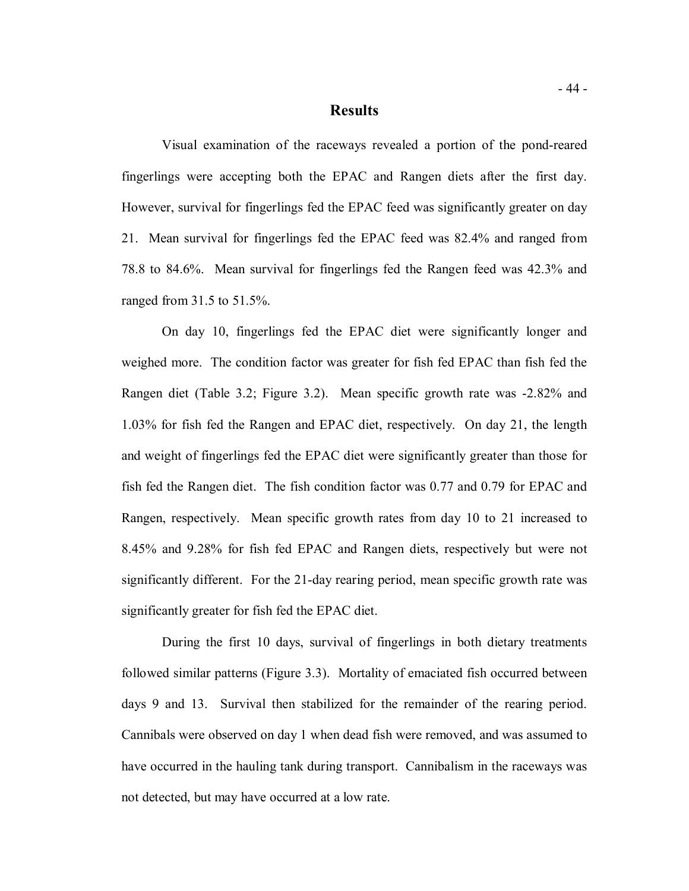#### **Results**

 Visual examination of the raceways revealed a portion of the pond-reared fingerlings were accepting both the EPAC and Rangen diets after the first day. However, survival for fingerlings fed the EPAC feed was significantly greater on day 21. Mean survival for fingerlings fed the EPAC feed was 82.4% and ranged from 78.8 to 84.6%. Mean survival for fingerlings fed the Rangen feed was 42.3% and ranged from 31.5 to 51.5%.

 weighed more. The condition factor was greater for fish fed EPAC than fish fed the Rangen diet (Table 3.2; Figure 3.2). Mean specific growth rate was -2.82% and 1.03% for fish fed the Rangen and EPAC diet, respectively. On day 21, the length and weight of fingerlings fed the EPAC diet were significantly greater than those for fish fed the Rangen diet. The fish condition factor was 0.77 and 0.79 for EPAC and Rangen, respectively. Mean specific growth rates from day 10 to 21 increased to 8.45% and 9.28% for fish fed EPAC and Rangen diets, respectively but were not significantly different. For the 21-day rearing period, mean specific growth rate was significantly greater for fish fed the EPAC diet. On day 10, fingerlings fed the EPAC diet were significantly longer and

 During the first 10 days, survival of fingerlings in both dietary treatments followed similar patterns (Figure 3.3). Mortality of emaciated fish occurred between days 9 and 13. Survival then stabilized for the remainder of the rearing period. Cannibals were observed on day 1 when dead fish were removed, and was assumed to have occurred in the hauling tank during transport. Cannibalism in the raceways was not detected, but may have occurred at a low rate.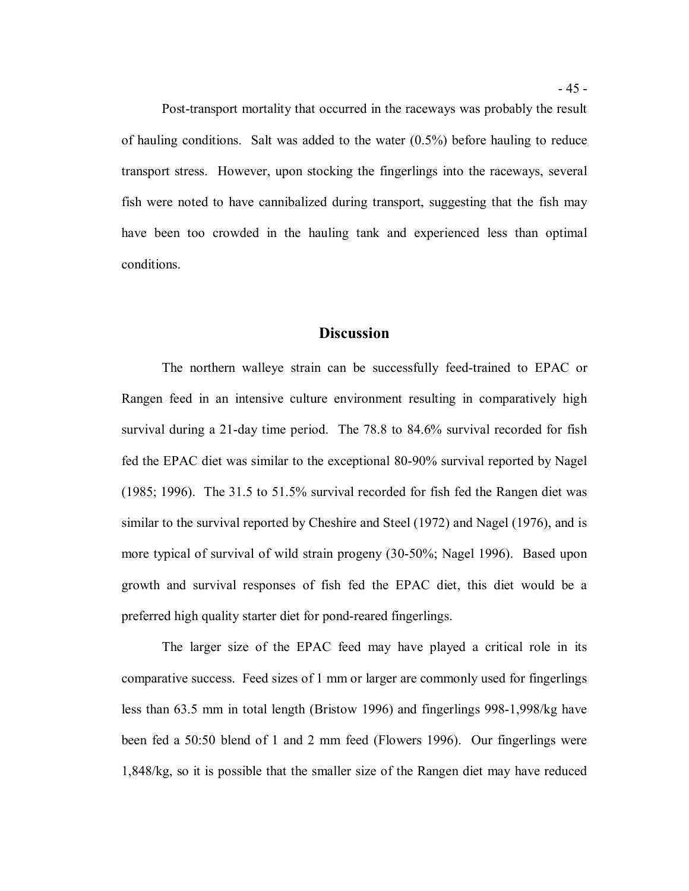Post-transport mortality that occurred in the raceways was probably the result of hauling conditions. Salt was added to the water (0.5%) before hauling to reduce transport stress. However, upon stocking the fingerlings into the raceways, several fish were noted to have cannibalized during transport, suggesting that the fish may have been too crowded in the hauling tank and experienced less than optimal conditions.

#### **Discussion**

 The northern walleye strain can be successfully feed-trained to EPAC or Rangen feed in an intensive culture environment resulting in comparatively high survival during a 21-day time period. The 78.8 to 84.6% survival recorded for fish fed the EPAC diet was similar to the exceptional 80-90% survival reported by Nagel (1985; 1996). The 31.5 to 51.5% survival recorded for fish fed the Rangen diet was similar to the survival reported by Cheshire and Steel (1972) and Nagel (1976), and is more typical of survival of wild strain progeny (30-50%; Nagel 1996). Based upon growth and survival responses of fish fed the EPAC diet, this diet would be a preferred high quality starter diet for pond-reared fingerlings.

 The larger size of the EPAC feed may have played a critical role in its comparative success. Feed sizes of 1 mm or larger are commonly used for fingerlings less than 63.5 mm in total length (Bristow 1996) and fingerlings 998-1,998/kg have been fed a 50:50 blend of 1 and 2 mm feed (Flowers 1996). Our fingerlings were 1,848/kg, so it is possible that the smaller size of the Rangen diet may have reduced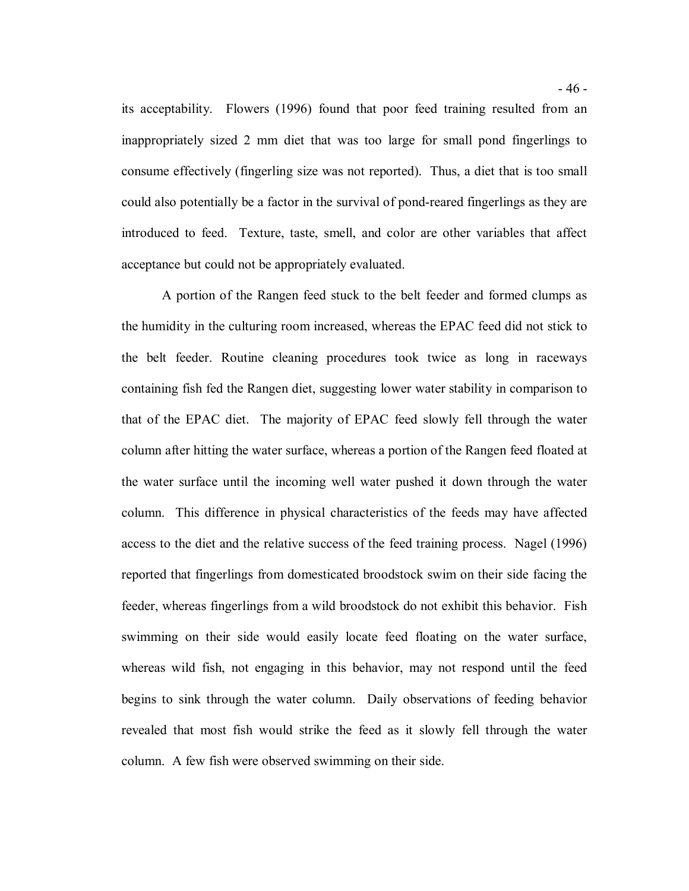its acceptability. Flowers (1996) found that poor feed training resulted from an inappropriately sized 2 mm diet that was too large for small pond fingerlings to consume effectively (fingerling size was not reported). Thus, a diet that is too small could also potentially be a factor in the survival of pond-reared fingerlings as they are introduced to feed. Texture, taste, smell, and color are other variables that affect acceptance but could not be appropriately evaluated.

 A portion of the Rangen feed stuck to the belt feeder and formed clumps as the humidity in the culturing room increased, whereas the EPAC feed did not stick to the belt feeder. Routine cleaning procedures took twice as long in raceways containing fish fed the Rangen diet, suggesting lower water stability in comparison to that of the EPAC diet. The majority of EPAC feed slowly fell through the water column after hitting the water surface, whereas a portion of the Rangen feed floated at the water surface until the incoming well water pushed it down through the water column. This difference in physical characteristics of the feeds may have affected access to the diet and the relative success of the feed training process. Nagel (1996) reported that fingerlings from domesticated broodstock swim on their side facing the feeder, whereas fingerlings from a wild broodstock do not exhibit this behavior. Fish swimming on their side would easily locate feed floating on the water surface, whereas wild fish, not engaging in this behavior, may not respond until the feed begins to sink through the water column. Daily observations of feeding behavior revealed that most fish would strike the feed as it slowly fell through the water column. A few fish were observed swimming on their side.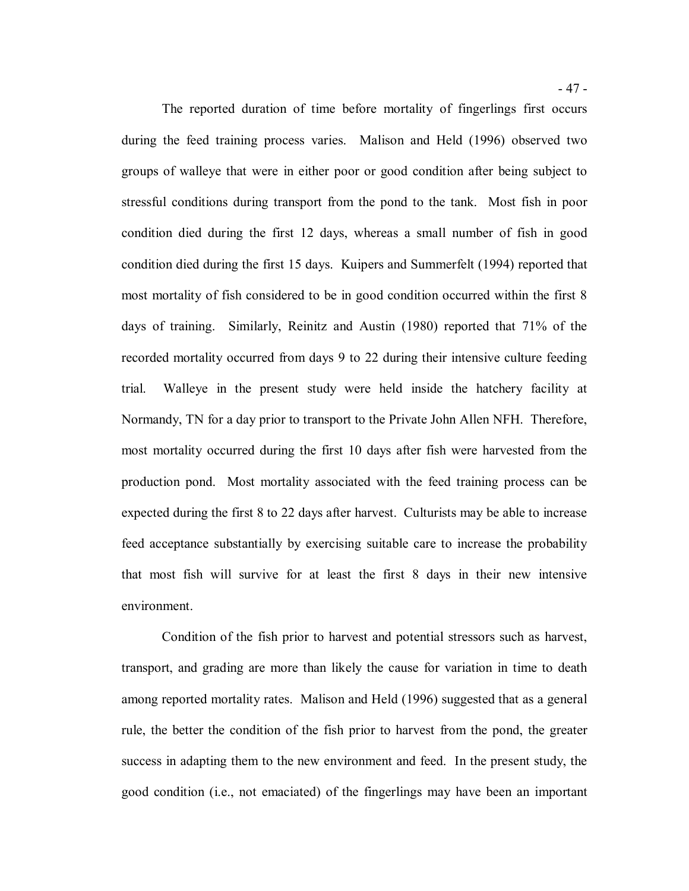The reported duration of time before mortality of fingerlings first occurs during the feed training process varies. Malison and Held (1996) observed two groups of walleye that were in either poor or good condition after being subject to stressful conditions during transport from the pond to the tank. Most fish in poor condition died during the first 12 days, whereas a small number of fish in good condition died during the first 15 days. Kuipers and Summerfelt (1994) reported that most mortality of fish considered to be in good condition occurred within the first 8 days of training. Similarly, Reinitz and Austin (1980) reported that 71% of the recorded mortality occurred from days 9 to 22 during their intensive culture feeding trial. Normandy, TN for a day prior to transport to the Private John Allen NFH. Therefore, most mortality occurred during the first 10 days after fish were harvested from the production pond. Most mortality associated with the feed training process can be expected during the first 8 to 22 days after harvest. Culturists may be able to increase feed acceptance substantially by exercising suitable care to increase the probability that most fish will survive for at least the first 8 days in their new intensive Walleye in the present study were held inside the hatchery facility at

 Condition of the fish prior to harvest and potential stressors such as harvest, transport, and grading are more than likely the cause for variation in time to death among reported mortality rates. Malison and Held (1996) suggested that as a general rule, the better the condition of the fish prior to harvest from the pond, the greater success in adapting them to the new environment and feed. In the present study, the good condition (i.e., not emaciated) of the fingerlings may have been an important

environment.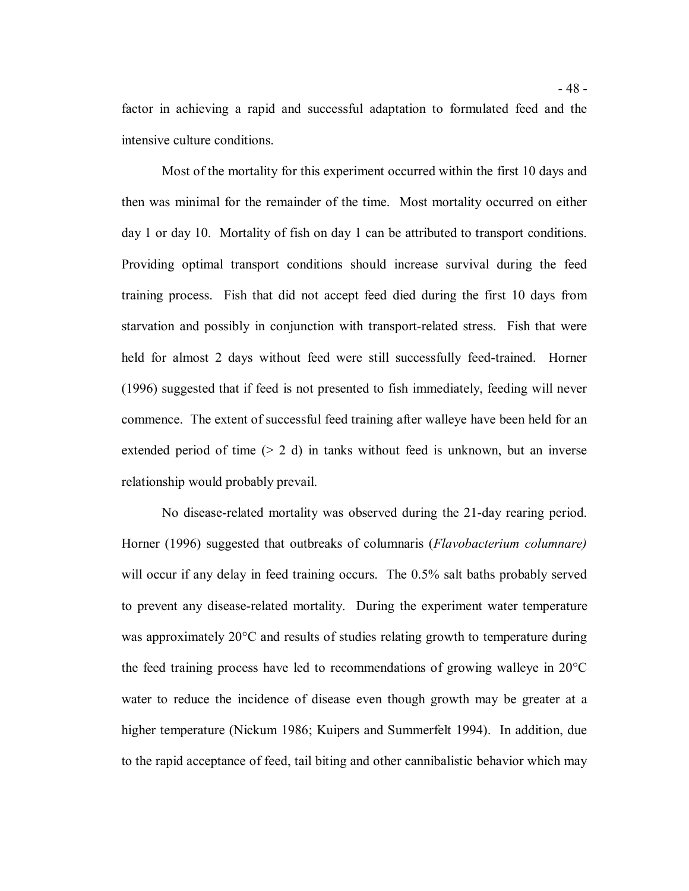factor in achieving a rapid and successful adaptation to formulated feed and the intensive culture conditions.

 Most of the mortality for this experiment occurred within the first 10 days and then was minimal for the remainder of the time. Most mortality occurred on either day 1 or day 10. Mortality of fish on day 1 can be attributed to transport conditions. Providing optimal transport conditions should increase survival during the feed training process. Fish that did not accept feed died during the first 10 days from starvation and possibly in conjunction with transport-related stress. Fish that were held for almost 2 days without feed were still successfully feed-trained. Horner (1996) suggested that if feed is not presented to fish immediately, feeding will never commence. The extent of successful feed training after walleye have been held for an extended period of time  $(2 d)$  in tanks without feed is unknown, but an inverse relationship would probably prevail.

 No disease-related mortality was observed during the 21-day rearing period. Horner (1996) suggested that outbreaks of columnaris (*Flavobacterium columnare)*  will occur if any delay in feed training occurs. The 0.5% salt baths probably served to prevent any disease-related mortality. During the experiment water temperature was approximately 20°C and results of studies relating growth to temperature during the feed training process have led to recommendations of growing walleye in 20°C water to reduce the incidence of disease even though growth may be greater at a higher temperature (Nickum 1986; Kuipers and Summerfelt 1994). In addition, due to the rapid acceptance of feed, tail biting and other cannibalistic behavior which may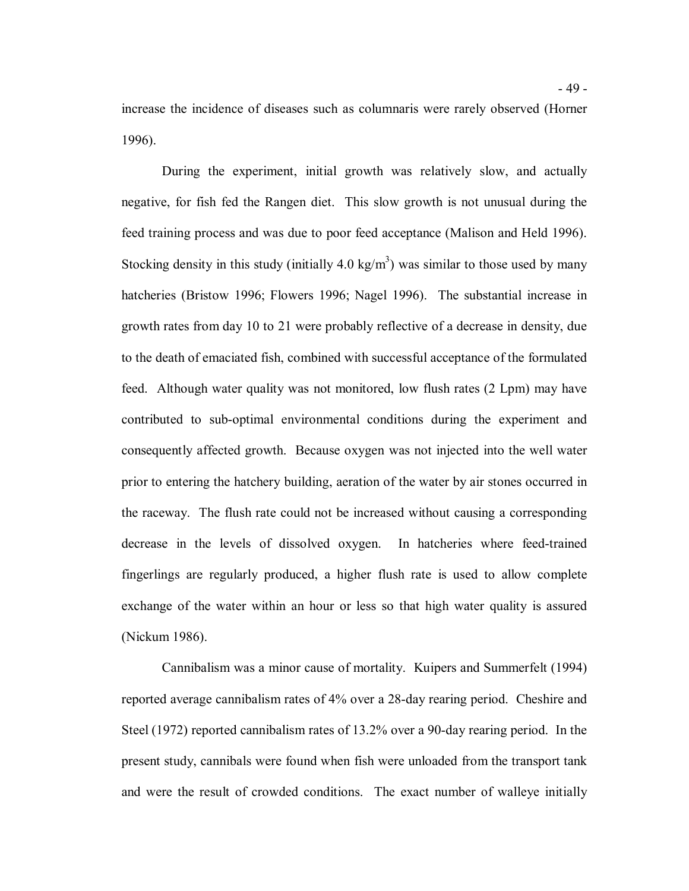increase the incidence of diseases such as columnaris were rarely observed (Horner 1996).

 During the experiment, initial growth was relatively slow, and actually negative, for fish fed the Rangen diet. This slow growth is not unusual during the feed training process and was due to poor feed acceptance (Malison and Held 1996). Stocking density in this study (initially 4.0 kg/m<sup>3</sup>) was similar to those used by many hatcheries (Bristow 1996; Flowers 1996; Nagel 1996). The substantial increase in growth rates from day 10 to 21 were probably reflective of a decrease in density, due to the death of emaciated fish, combined with successful acceptance of the formulated feed. Although water quality was not monitored, low flush rates (2 Lpm) may have contributed to sub-optimal environmental conditions during the experiment and consequently affected growth. Because oxygen was not injected into the well water prior to entering the hatchery building, aeration of the water by air stones occurred in the raceway. The flush rate could not be increased without causing a corresponding decrease in the levels of dissolved oxygen. In hatcheries where feed-trained fingerlings are regularly produced, a higher flush rate is used to allow complete exchange of the water within an hour or less so that high water quality is assured (Nickum 1986).

 Cannibalism was a minor cause of mortality. Kuipers and Summerfelt (1994) reported average cannibalism rates of 4% over a 28-day rearing period. Cheshire and Steel (1972) reported cannibalism rates of 13.2% over a 90-day rearing period. In the present study, cannibals were found when fish were unloaded from the transport tank and were the result of crowded conditions. The exact number of walleye initially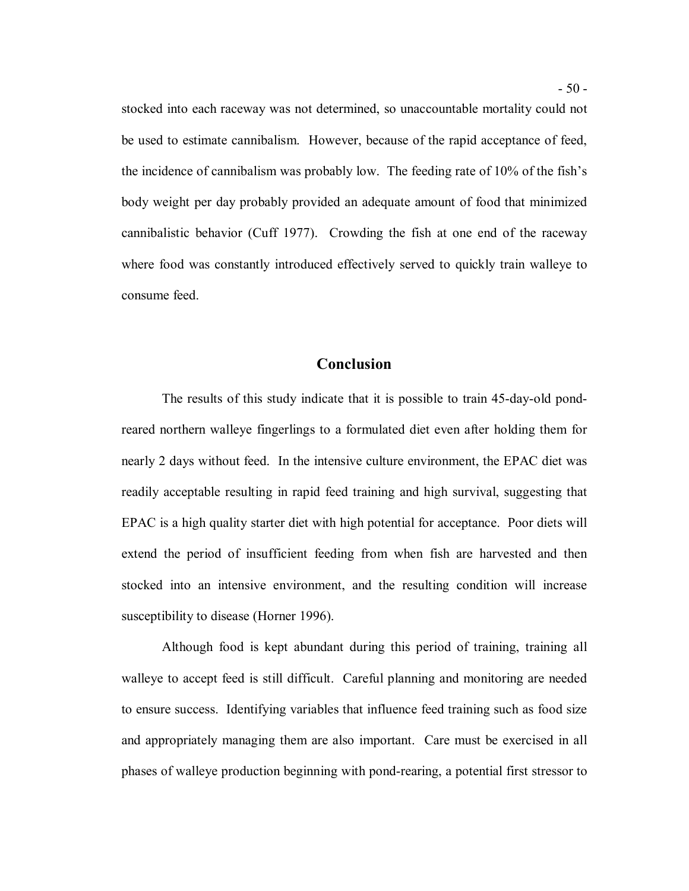stocked into each raceway was not determined, so unaccountable mortality could not be used to estimate cannibalism. However, because of the rapid acceptance of feed, the incidence of cannibalism was probably low. The feeding rate of 10% of the fish's body weight per day probably provided an adequate amount of food that minimized cannibalistic behavior (Cuff 1977). Crowding the fish at one end of the raceway where food was constantly introduced effectively served to quickly train walleye to consume feed.

### **Conclusion**

 The results of this study indicate that it is possible to train 45-day-old pond- reared northern walleye fingerlings to a formulated diet even after holding them for nearly 2 days without feed. In the intensive culture environment, the EPAC diet was readily acceptable resulting in rapid feed training and high survival, suggesting that EPAC is a high quality starter diet with high potential for acceptance. Poor diets will extend the period of insufficient feeding from when fish are harvested and then stocked into an intensive environment, and the resulting condition will increase susceptibility to disease (Horner 1996).

 Although food is kept abundant during this period of training, training all walleye to accept feed is still difficult. Careful planning and monitoring are needed to ensure success. Identifying variables that influence feed training such as food size and appropriately managing them are also important. Care must be exercised in all phases of walleye production beginning with pond-rearing, a potential first stressor to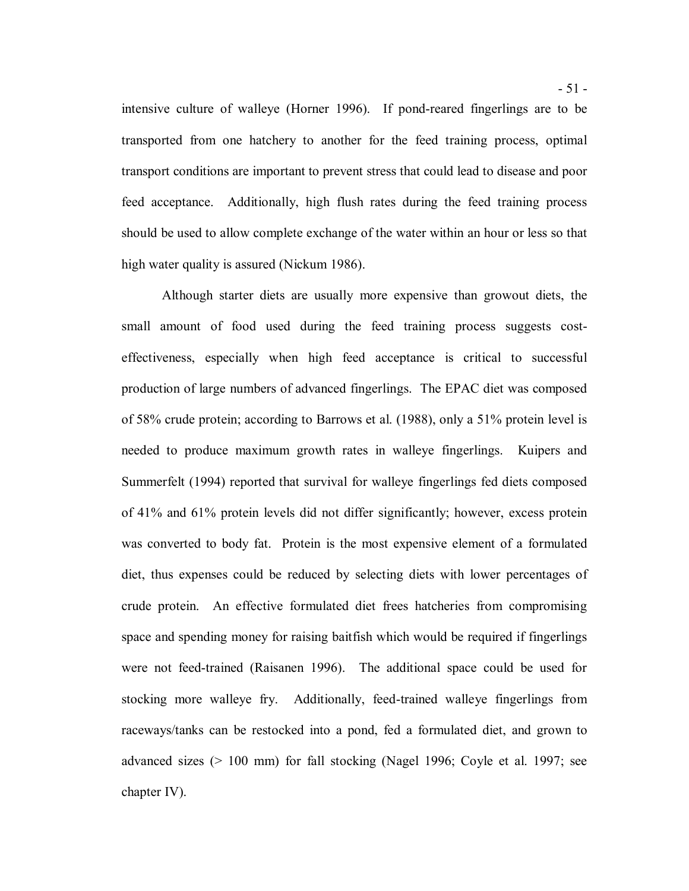intensive culture of walleye (Horner 1996). If pond-reared fingerlings are to be transported from one hatchery to another for the feed training process, optimal transport conditions are important to prevent stress that could lead to disease and poor feed acceptance. Additionally, high flush rates during the feed training process should be used to allow complete exchange of the water within an hour or less so that high water quality is assured (Nickum 1986).

 Although starter diets are usually more expensive than growout diets, the small amount of food used during the feed training process suggests cost- effectiveness, especially when high feed acceptance is critical to successful production of large numbers of advanced fingerlings. The EPAC diet was composed of 58% crude protein; according to Barrows et al. (1988), only a 51% protein level is needed to produce maximum growth rates in walleye fingerlings. Kuipers and Summerfelt (1994) reported that survival for walleye fingerlings fed diets composed of 41% and 61% protein levels did not differ significantly; however, excess protein was converted to body fat. Protein is the most expensive element of a formulated diet, thus expenses could be reduced by selecting diets with lower percentages of crude protein. An effective formulated diet frees hatcheries from compromising space and spending money for raising baitfish which would be required if fingerlings were not feed-trained (Raisanen 1996). The additional space could be used for stocking more walleye fry. Additionally, feed-trained walleye fingerlings from raceways/tanks can be restocked into a pond, fed a formulated diet, and grown to advanced sizes (> 100 mm) for fall stocking (Nagel 1996; Coyle et al. 1997; see chapter IV).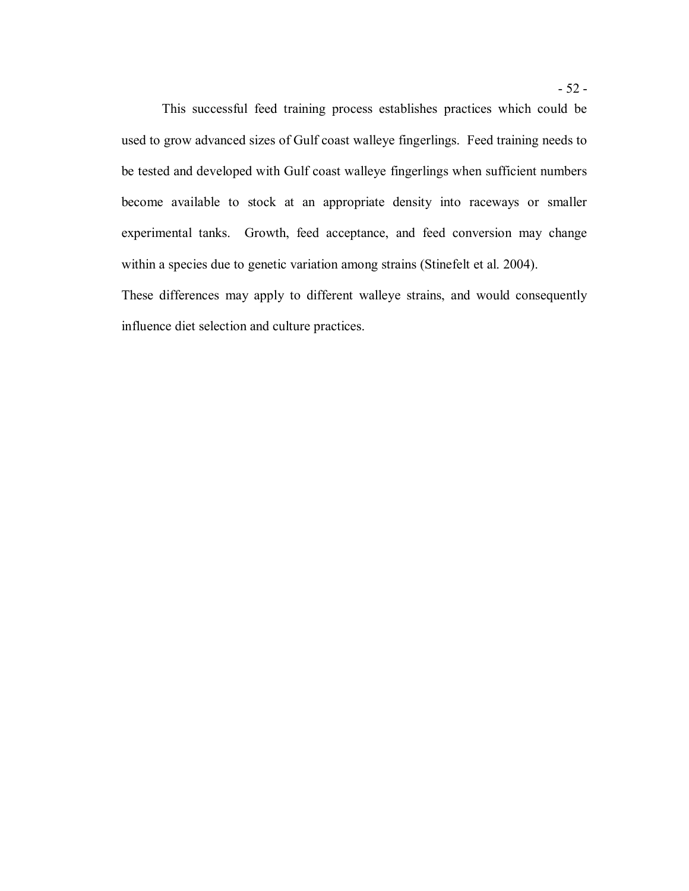used to grow advanced sizes of Gulf coast walleye fingerlings. Feed training needs to be tested and developed with Gulf coast walleye fingerlings when sufficient numbers become available to stock at an appropriate density into raceways or smaller experimental tanks. Growth, feed acceptance, and feed conversion may change within a species due to genetic variation among strains (Stinefelt et al. 2004). These differences may apply to different walleye strains, and would consequently This successful feed training process establishes practices which could be

influence diet selection and culture practices.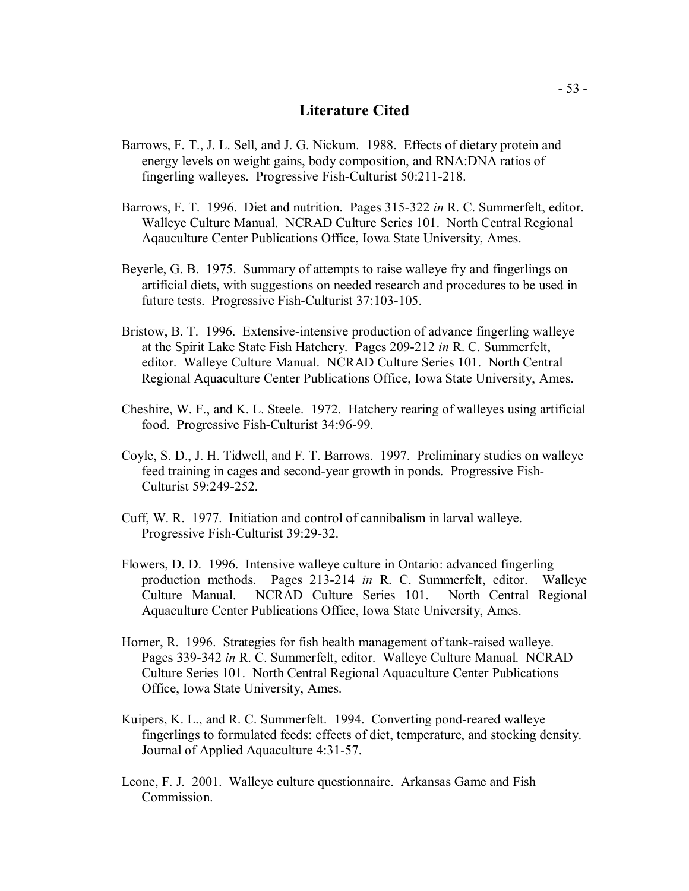# **Literature Cited**

- Barrows, F. T., J. L. Sell, and J. G. Nickum. 1988. Effects of dietary protein and energy levels on weight gains, body composition, and RNA:DNA ratios of fingerling walleyes. Progressive Fish-Culturist 50:211-218.
- Barrows, F. T. 1996. Diet and nutrition. Pages 315-322 *in* R. C. Summerfelt, editor. Walleye Culture Manual. NCRAD Culture Series 101. North Central Regional Aqauculture Center Publications Office, Iowa State University, Ames.
- Beyerle, G. B. 1975. Summary of attempts to raise walleye fry and fingerlings on artificial diets, with suggestions on needed research and procedures to be used in future tests. Progressive Fish-Culturist 37:103-105.
- Bristow, B. T. 1996. Extensive-intensive production of advance fingerling walleye at the Spirit Lake State Fish Hatchery. Pages 209-212 *in* R. C. Summerfelt, editor. Walleye Culture Manual. NCRAD Culture Series 101. North Central Regional Aquaculture Center Publications Office, Iowa State University, Ames.
- Cheshire, W. F., and K. L. Steele. 1972. Hatchery rearing of walleyes using artificial food. Progressive Fish-Culturist 34:96-99.
- Coyle, S. D., J. H. Tidwell, and F. T. Barrows. 1997. Preliminary studies on walleye feed training in cages and second-year growth in ponds. Progressive Fish-Culturist 59:249-252.
- Cuff, W. R. 1977. Initiation and control of cannibalism in larval walleye. Progressive Fish-Culturist 39:29-32.
- Flowers, D. D. 1996. Intensive walleye culture in Ontario: advanced fingerling production methods. Pages 213-214 *in* R. C. Summerfelt, editor. Walleye Culture Manual. NCRAD Culture Series 101. North Central Regional Aquaculture Center Publications Office, Iowa State University, Ames.
- Horner, R. 1996. Strategies for fish health management of tank-raised walleye. Pages 339-342 *in* R. C. Summerfelt, editor. Walleye Culture Manual. NCRAD Culture Series 101. North Central Regional Aquaculture Center Publications Office, Iowa State University, Ames.
- Kuipers, K. L., and R. C. Summerfelt. 1994. Converting pond-reared walleye fingerlings to formulated feeds: effects of diet, temperature, and stocking density. Journal of Applied Aquaculture 4:31-57.
- Leone, F. J. 2001. Walleye culture questionnaire. Arkansas Game and Fish Commission.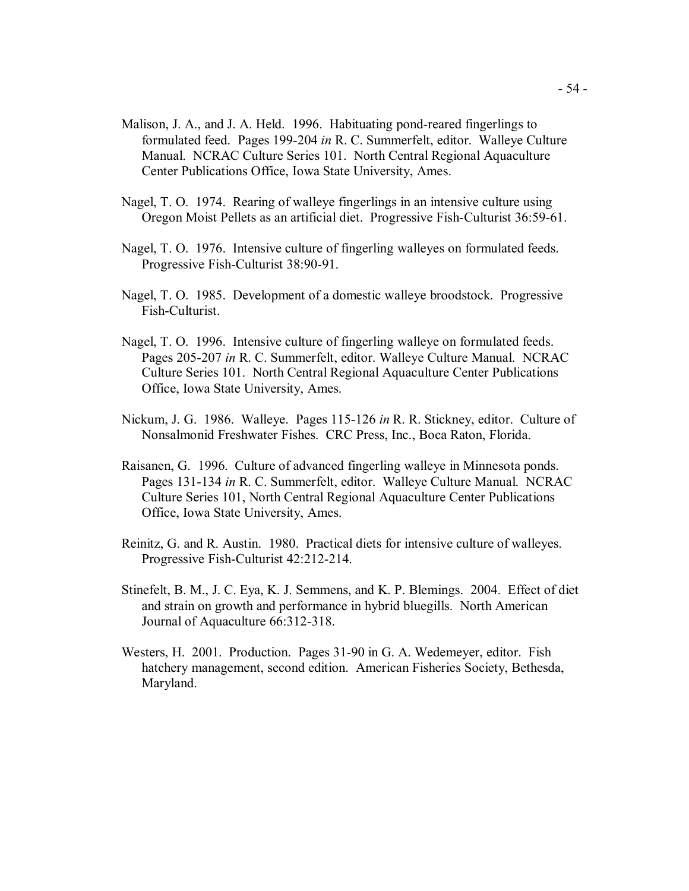- Malison, J. A., and J. A. Held. 1996. Habituating pond-reared fingerlings to formulated feed. Pages 199-204 *in* R. C. Summerfelt, editor. Walleye Culture Manual. NCRAC Culture Series 101. North Central Regional Aquaculture Center Publications Office, Iowa State University, Ames.
- Nagel, T. O. 1974. Rearing of walleye fingerlings in an intensive culture using Oregon Moist Pellets as an artificial diet. Progressive Fish-Culturist 36:59-61.
- Nagel, T. O. 1976. Intensive culture of fingerling walleyes on formulated feeds. Progressive Fish-Culturist 38:90-91.
- Nagel, T. O. 1985. Development of a domestic walleye broodstock. Progressive Fish-Culturist.
- Nagel, T. O. 1996. Intensive culture of fingerling walleye on formulated feeds. Pages 205-207 *in* R. C. Summerfelt, editor. Walleye Culture Manual. NCRAC Culture Series 101. North Central Regional Aquaculture Center Publications Office, Iowa State University, Ames.
- Nickum, J. G. 1986. Walleye. Pages 115-126 *in* R. R. Stickney, editor. Culture of Nonsalmonid Freshwater Fishes. CRC Press, Inc., Boca Raton, Florida.
- Raisanen, G. 1996. Culture of advanced fingerling walleye in Minnesota ponds. Pages 131-134 *in* R. C. Summerfelt, editor. Walleye Culture Manual. NCRAC Culture Series 101, North Central Regional Aquaculture Center Publications Office, Iowa State University, Ames.
- Reinitz, G. and R. Austin. 1980. Practical diets for intensive culture of walleyes. Progressive Fish-Culturist 42:212-214.
- Stinefelt, B. M., J. C. Eya, K. J. Semmens, and K. P. Blemings. 2004. Effect of diet and strain on growth and performance in hybrid bluegills. North American Journal of Aquaculture 66:312-318.
- Westers, H. 2001. Production. Pages 31-90 in G. A. Wedemeyer, editor. Fish hatchery management, second edition. American Fisheries Society, Bethesda, Maryland.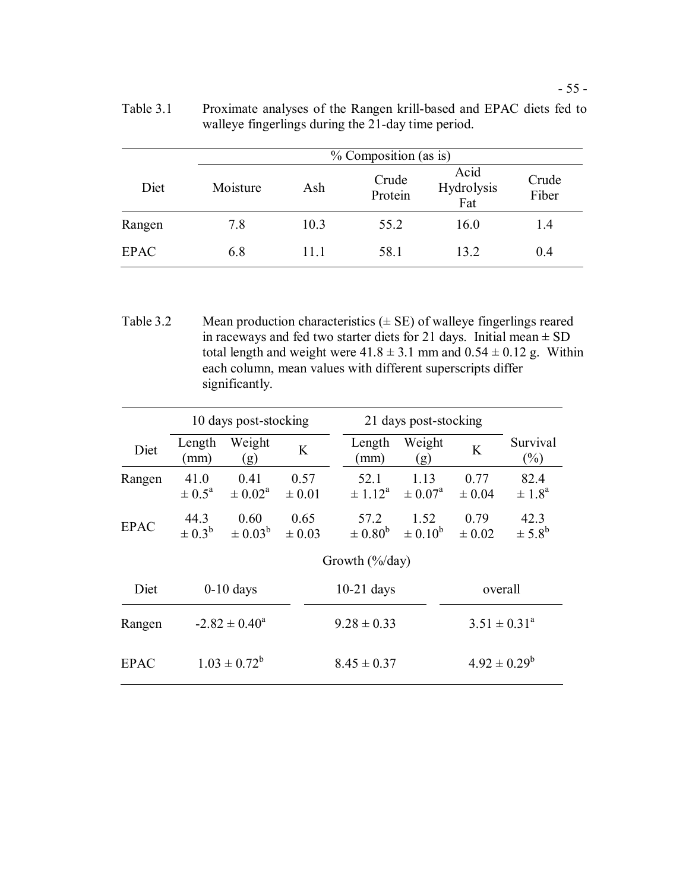|             |          | % Composition (as is) |                  |                           |                |  |  |  |
|-------------|----------|-----------------------|------------------|---------------------------|----------------|--|--|--|
| Diet        | Moisture | Ash                   | Crude<br>Protein | Acid<br>Hydrolysis<br>Fat | Crude<br>Fiber |  |  |  |
| Rangen      | 7.8      | 10.3                  | 55.2             | 16.0                      | 1.4            |  |  |  |
| <b>EPAC</b> | 6.8      | 11.1                  | 58.1             | 13.2                      | 0.4            |  |  |  |

 Table 3.1 Proximate analyses of the Rangen krill-based and EPAC diets fed to walleye fingerlings during the 21-day time period.

Table 3.2 Mean production characteristics  $(\pm \text{ SE})$  of walleye fingerlings reared in raceways and fed two starter diets for 21 days. Initial mean  $\pm$  SD total length and weight were  $41.8 \pm 3.1$  mm and  $0.54 \pm 0.12$  g. Within each column, mean values with different superscripts differ significantly.

|             | 10 days post-stocking          |                                 |                    |                 | 21 days post-stocking      |                            |                    |                                |
|-------------|--------------------------------|---------------------------------|--------------------|-----------------|----------------------------|----------------------------|--------------------|--------------------------------|
| Diet        | Length<br>(mm)                 | Weight<br>(g)                   | K                  |                 | Length<br>(mm)             | Weight<br>(g)              | K                  | Survival<br>$(\%)$             |
| Rangen      | 41.0<br>$\pm$ 0.5 <sup>a</sup> | 0.41<br>$\pm$ 0.02 <sup>a</sup> | 0.57<br>$\pm 0.01$ |                 | 52.1<br>$\pm 1.12^{\rm a}$ | 1.13<br>$\pm 0.07^{\rm a}$ | 0.77<br>$\pm 0.04$ | 82.4<br>$\pm 1.8^{\circ}$      |
| <b>EPAC</b> | 44.3<br>$\pm 0.3^b$            | 0.60<br>$\pm 0.03^{b}$          | 0.65<br>$\pm 0.03$ |                 | 57.2<br>$\pm 0.80^{\rm b}$ | 1.52<br>$\pm 0.10^{b}$     | 0.79<br>$\pm 0.02$ | 42.3<br>$\pm$ 5.8 <sup>b</sup> |
|             | Growth $(\frac{6}{d}$ ay)      |                                 |                    |                 |                            |                            |                    |                                |
| Diet        | $0-10$ days                    |                                 | $10-21$ days       |                 |                            | overall                    |                    |                                |
| Rangen      | $-2.82 \pm 0.40^{\circ}$       |                                 |                    | $9.28 \pm 0.33$ |                            | $3.51 \pm 0.31^a$          |                    |                                |
| <b>EPAC</b> | $1.03 \pm 0.72^b$              |                                 |                    | $8.45 \pm 0.37$ |                            |                            | $4.92 \pm 0.29^b$  |                                |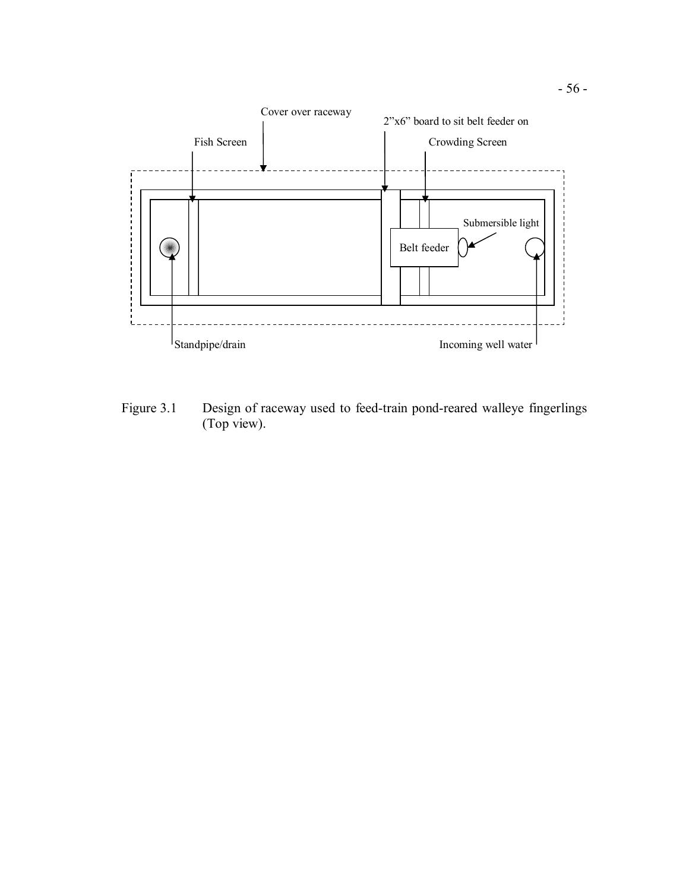

 Figure 3.1 Design of raceway used to feed-train pond-reared walleye fingerlings (Top view).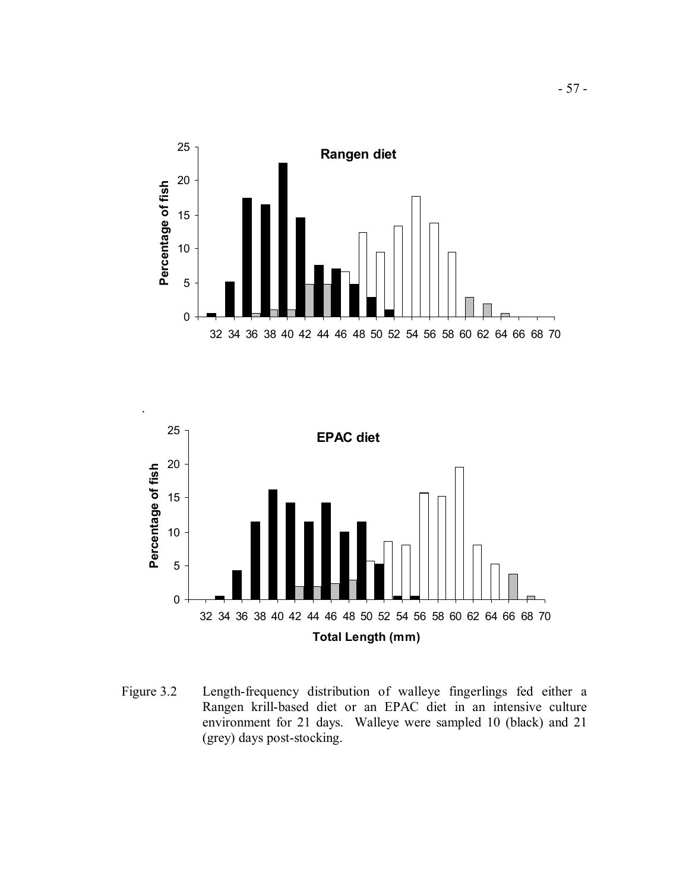



 Figure 3.2 Length-frequency distribution of walleye fingerlings fed either a Rangen krill-based diet or an EPAC diet in an intensive culture environment for 21 days. Walleye were sampled 10 (black) and 21 (grey) days post-stocking.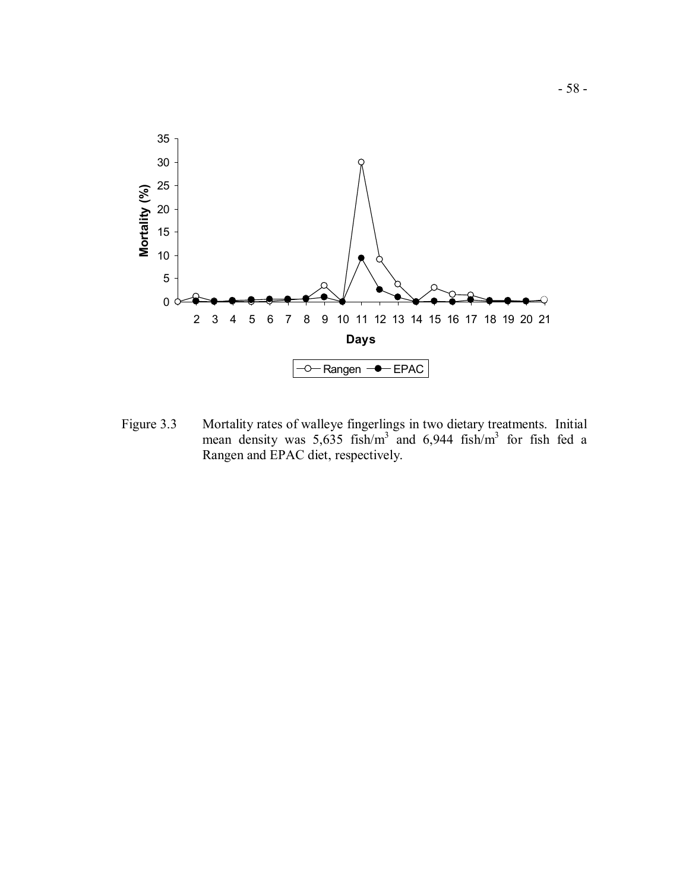

 Figure 3.3 Mortality rates of walleye fingerlings in two dietary treatments. Initial mean density was  $5,635$  fish/m<sup>3</sup> and  $6,944$  fish/m<sup>3</sup> for fish fed a Rangen and EPAC diet, respectively.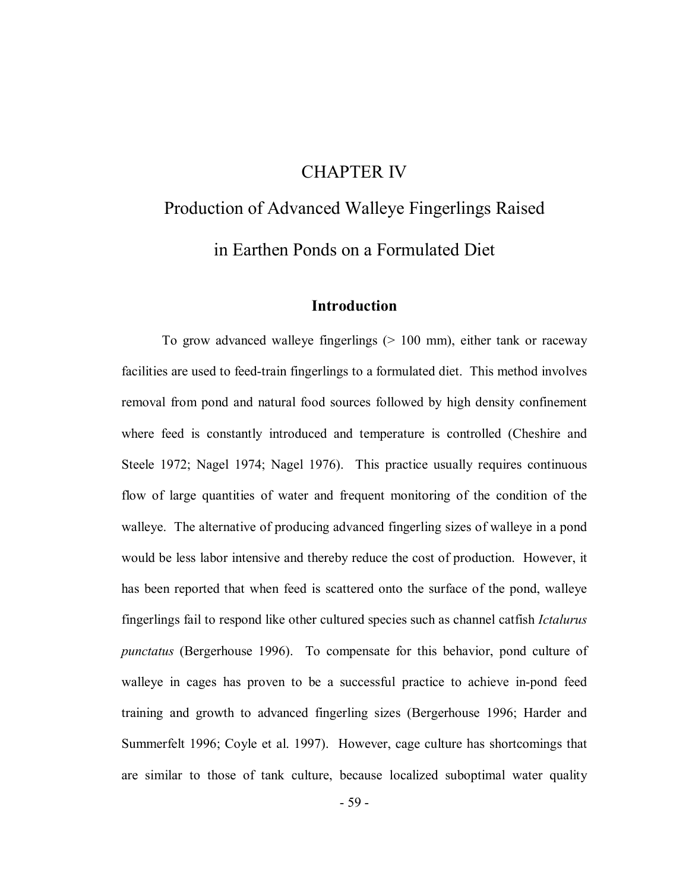# CHAPTER IV

# Production of Advanced Walleye Fingerlings Raised in Earthen Ponds on a Formulated Diet

# **Introduction**

 To grow advanced walleye fingerlings (> 100 mm), either tank or raceway facilities are used to feed-train fingerlings to a formulated diet. This method involves removal from pond and natural food sources followed by high density confinement where feed is constantly introduced and temperature is controlled (Cheshire and Steele 1972; Nagel 1974; Nagel 1976). This practice usually requires continuous flow of large quantities of water and frequent monitoring of the condition of the walleye. The alternative of producing advanced fingerling sizes of walleye in a pond would be less labor intensive and thereby reduce the cost of production. However, it has been reported that when feed is scattered onto the surface of the pond, walleye fingerlings fail to respond like other cultured species such as channel catfish *Ictalurus punctatus* (Bergerhouse 1996). To compensate for this behavior, pond culture of walleye in cages has proven to be a successful practice to achieve in-pond feed training and growth to advanced fingerling sizes (Bergerhouse 1996; Harder and Summerfelt 1996; Coyle et al. 1997). However, cage culture has shortcomings that are similar to those of tank culture, because localized suboptimal water quality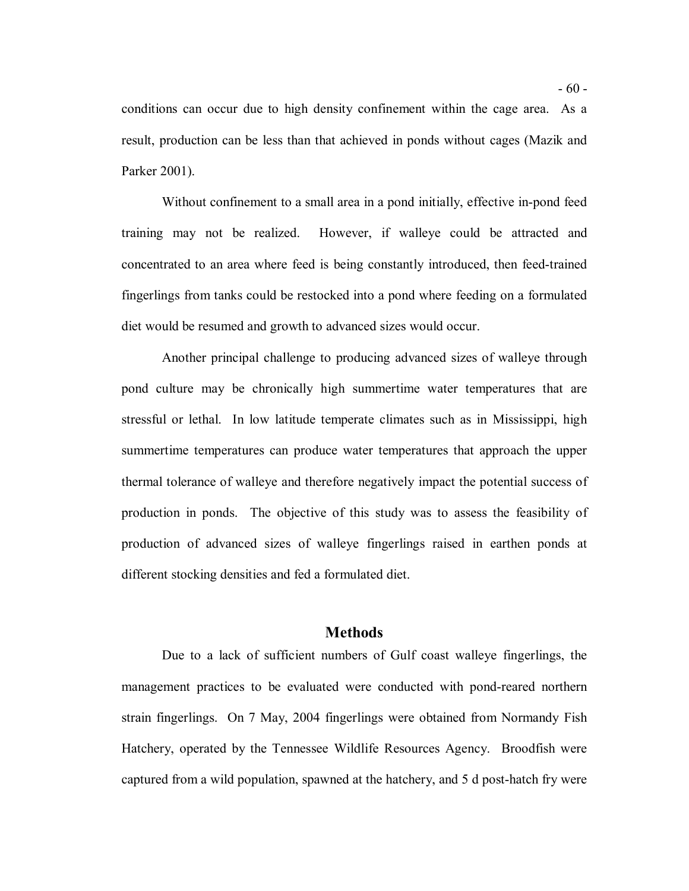conditions can occur due to high density confinement within the cage area. As a result, production can be less than that achieved in ponds without cages (Mazik and Parker 2001).

 Without confinement to a small area in a pond initially, effective in-pond feed training may not be realized. concentrated to an area where feed is being constantly introduced, then feed-trained fingerlings from tanks could be restocked into a pond where feeding on a formulated diet would be resumed and growth to advanced sizes would occur. However, if walleye could be attracted and

 Another principal challenge to producing advanced sizes of walleye through pond culture may be chronically high summertime water temperatures that are stressful or lethal. In low latitude temperate climates such as in Mississippi, high summertime temperatures can produce water temperatures that approach the upper thermal tolerance of walleye and therefore negatively impact the potential success of production in ponds. The objective of this study was to assess the feasibility of production of advanced sizes of walleye fingerlings raised in earthen ponds at different stocking densities and fed a formulated diet.

#### **Methods**

 Due to a lack of sufficient numbers of Gulf coast walleye fingerlings, the management practices to be evaluated were conducted with pond-reared northern strain fingerlings. On 7 May, 2004 fingerlings were obtained from Normandy Fish Hatchery, operated by the Tennessee Wildlife Resources Agency. Broodfish were captured from a wild population, spawned at the hatchery, and 5 d post-hatch fry were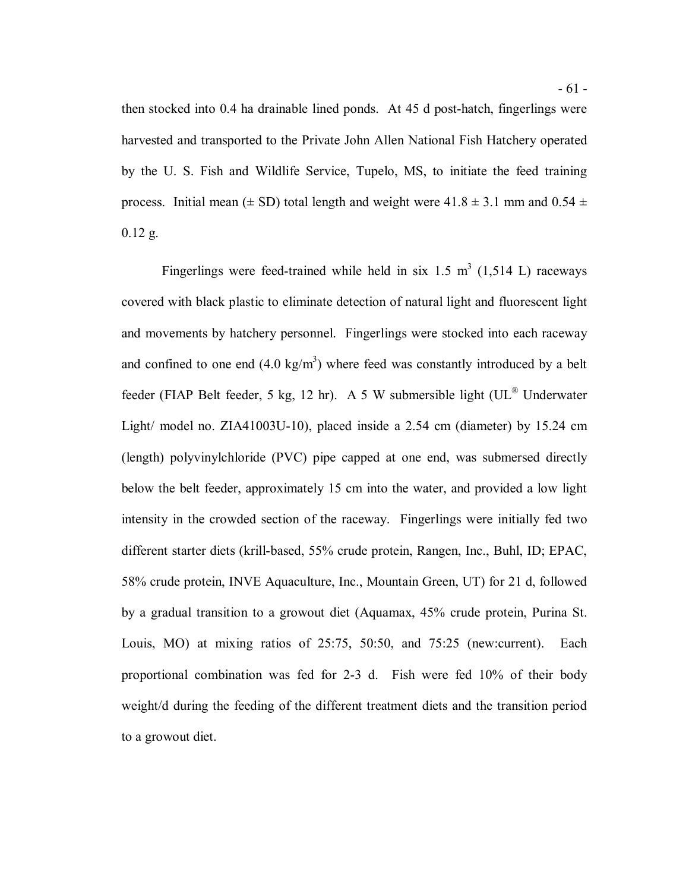then stocked into 0.4 ha drainable lined ponds. At 45 d post-hatch, fingerlings were harvested and transported to the Private John Allen National Fish Hatchery operated by the U. S. Fish and Wildlife Service, Tupelo, MS, to initiate the feed training process. Initial mean ( $\pm$  SD) total length and weight were 41.8  $\pm$  3.1 mm and 0.54  $\pm$  $0.12$  g.

Fingerlings were feed-trained while held in six 1.5  $m^3$  (1,514 L) raceways covered with black plastic to eliminate detection of natural light and fluorescent light and movements by hatchery personnel. Fingerlings were stocked into each raceway and confined to one end  $(4.0 \text{ kg/m}^3)$  where feed was constantly introduced by a belt feeder (FIAP Belt feeder, 5 kg, 12 hr). A 5 W submersible light (UL® Underwater Light/ model no. ZIA41003U-10), placed inside a 2.54 cm (diameter) by 15.24 cm (length) polyvinylchloride (PVC) pipe capped at one end, was submersed directly below the belt feeder, approximately 15 cm into the water, and provided a low light intensity in the crowded section of the raceway. Fingerlings were initially fed two different starter diets (krill-based, 55% crude protein, Rangen, Inc., Buhl, ID; EPAC, 58% crude protein, INVE Aquaculture, Inc., Mountain Green, UT) for 21 d, followed by a gradual transition to a growout diet (Aquamax, 45% crude protein, Purina St. Louis, MO) at mixing ratios of 25:75, 50:50, and 75:25 (new:current). Each proportional combination was fed for 2-3 d. Fish were fed 10% of their body weight/d during the feeding of the different treatment diets and the transition period to a growout diet.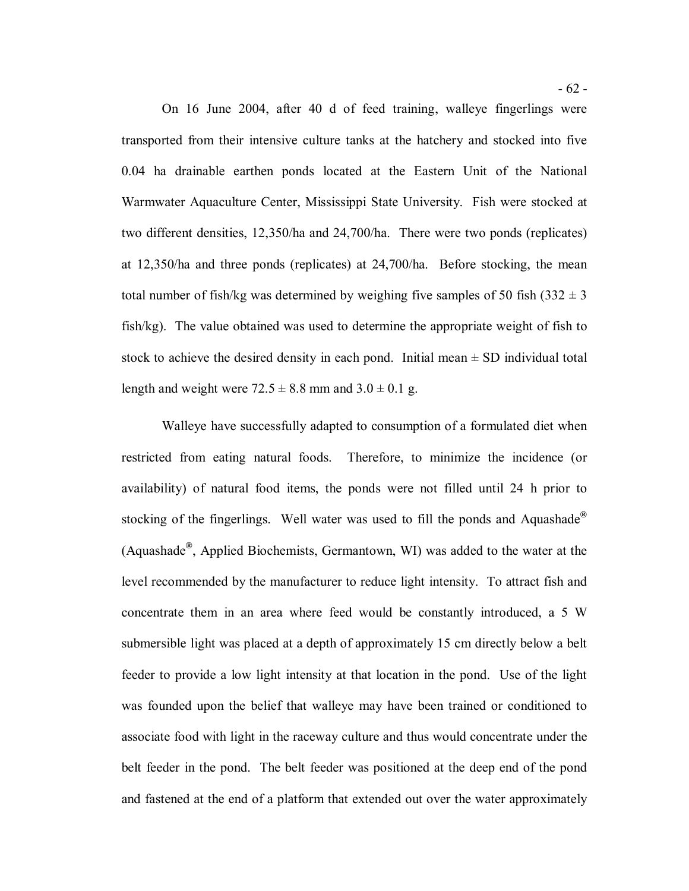On 16 June 2004, after 40 d of feed training, walleye fingerlings were transported from their intensive culture tanks at the hatchery and stocked into five 0.04 ha drainable earthen ponds located at the Eastern Unit of the National Warmwater Aquaculture Center, Mississippi State University. Fish were stocked at two different densities, 12,350/ha and 24,700/ha. There were two ponds (replicates) at 12,350/ha and three ponds (replicates) at 24,700/ha. Before stocking, the mean total number of fish/kg was determined by weighing five samples of 50 fish  $(332 \pm 3)$  fish/kg). The value obtained was used to determine the appropriate weight of fish to stock to achieve the desired density in each pond. Initial mean  $\pm$  SD individual total length and weight were  $72.5 \pm 8.8$  mm and  $3.0 \pm 0.1$  g.

 Walleye have successfully adapted to consumption of a formulated diet when restricted from eating natural foods. Therefore, to minimize the incidence (or availability) of natural food items, the ponds were not filled until 24 h prior to stocking of the fingerlings. Well water was used to fill the ponds and Aquashade**®**  (Aquashade**®** , Applied Biochemists, Germantown, WI) was added to the water at the level recommended by the manufacturer to reduce light intensity. To attract fish and concentrate them in an area where feed would be constantly introduced, a 5 W submersible light was placed at a depth of approximately 15 cm directly below a belt feeder to provide a low light intensity at that location in the pond. Use of the light was founded upon the belief that walleye may have been trained or conditioned to associate food with light in the raceway culture and thus would concentrate under the belt feeder in the pond. The belt feeder was positioned at the deep end of the pond and fastened at the end of a platform that extended out over the water approximately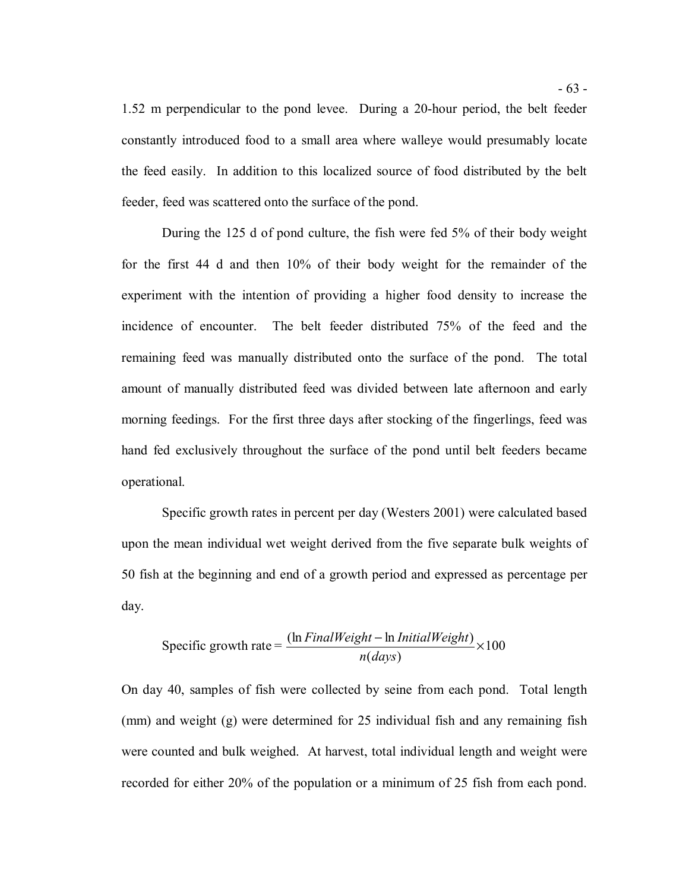1.52 m perpendicular to the pond levee. During a 20-hour period, the belt feeder constantly introduced food to a small area where walleye would presumably locate the feed easily. In addition to this localized source of food distributed by the belt feeder, feed was scattered onto the surface of the pond.

 During the 125 d of pond culture, the fish were fed 5% of their body weight for the first 44 d and then 10% of their body weight for the remainder of the experiment with the intention of providing a higher food density to increase the incidence of encounter. The belt feeder distributed 75% of the feed and the remaining feed was manually distributed onto the surface of the pond. The total amount of manually distributed feed was divided between late afternoon and early morning feedings. For the first three days after stocking of the fingerlings, feed was hand fed exclusively throughout the surface of the pond until belt feeders became operational.

 Specific growth rates in percent per day (Westers 2001) were calculated based upon the mean individual wet weight derived from the five separate bulk weights of 50 fish at the beginning and end of a growth period and expressed as percentage per day.

Specific growth rate = 
$$
\frac{(\ln FinalWeight - \ln InitialWeight)}{n(days)} \times 100
$$

 On day 40, samples of fish were collected by seine from each pond. Total length (mm) and weight (g) were determined for 25 individual fish and any remaining fish were counted and bulk weighed. At harvest, total individual length and weight were recorded for either 20% of the population or a minimum of 25 fish from each pond.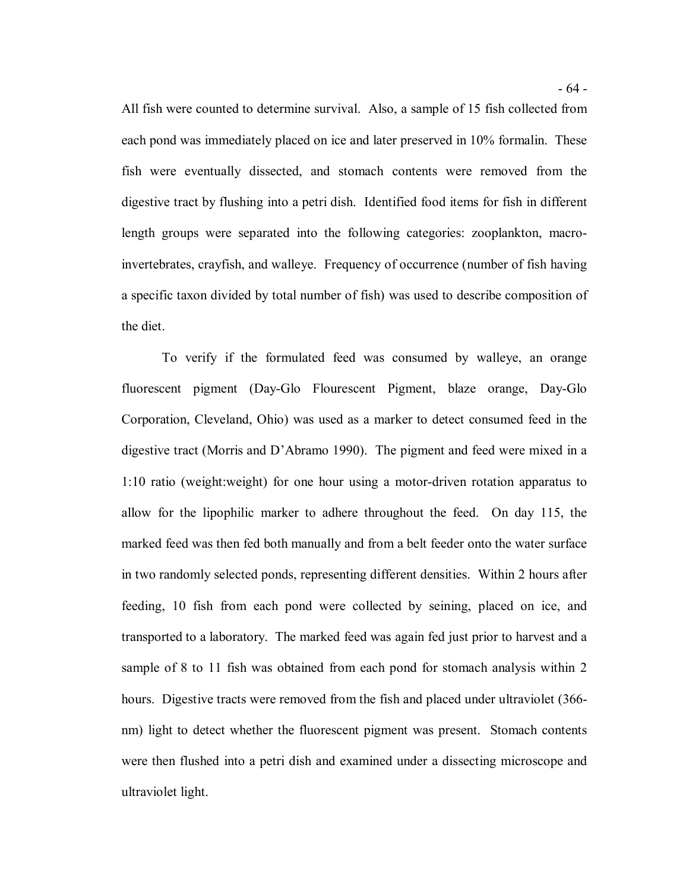All fish were counted to determine survival. Also, a sample of 15 fish collected from each pond was immediately placed on ice and later preserved in 10% formalin. These fish were eventually dissected, and stomach contents were removed from the digestive tract by flushing into a petri dish. Identified food items for fish in different length groups were separated into the following categories: zooplankton, macro- invertebrates, crayfish, and walleye. Frequency of occurrence (number of fish having a specific taxon divided by total number of fish) was used to describe composition of the diet.

 To verify if the formulated feed was consumed by walleye, an orange fluorescent pigment (Day-Glo Flourescent Pigment, blaze orange, Day-Glo Corporation, Cleveland, Ohio) was used as a marker to detect consumed feed in the digestive tract (Morris and D'Abramo 1990). The pigment and feed were mixed in a 1:10 ratio (weight:weight) for one hour using a motor-driven rotation apparatus to allow for the lipophilic marker to adhere throughout the feed. On day 115, the marked feed was then fed both manually and from a belt feeder onto the water surface in two randomly selected ponds, representing different densities. Within 2 hours after feeding, 10 fish from each pond were collected by seining, placed on ice, and transported to a laboratory. The marked feed was again fed just prior to harvest and a sample of 8 to 11 fish was obtained from each pond for stomach analysis within 2 hours. Digestive tracts were removed from the fish and placed under ultraviolet (366- nm) light to detect whether the fluorescent pigment was present. Stomach contents were then flushed into a petri dish and examined under a dissecting microscope and ultraviolet light.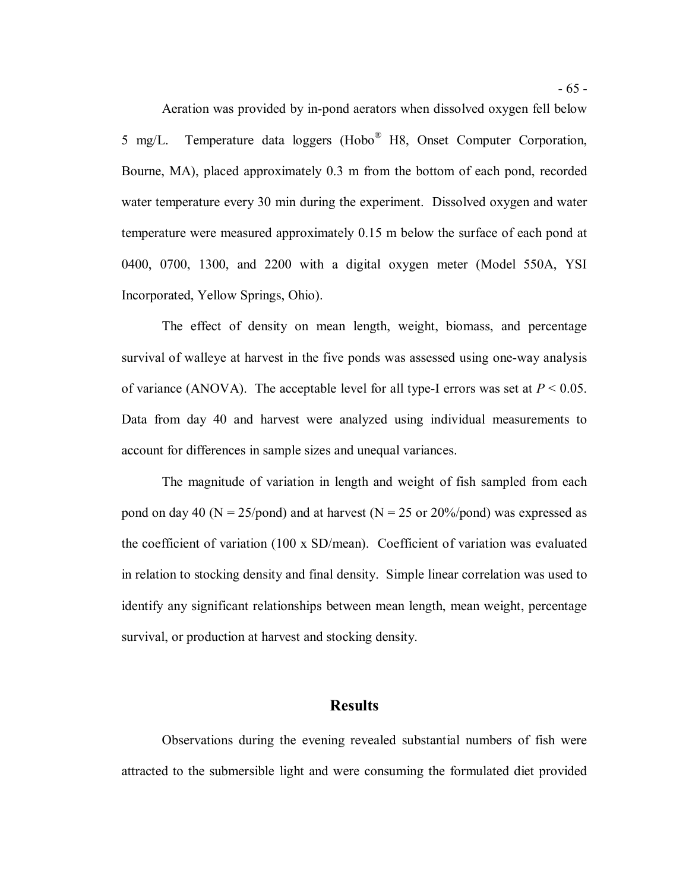Aeration was provided by in-pond aerators when dissolved oxygen fell below 5 mg/L. Bourne, MA), placed approximately 0.3 m from the bottom of each pond, recorded water temperature every 30 min during the experiment. Dissolved oxygen and water temperature were measured approximately 0.15 m below the surface of each pond at 0400, 0700, 1300, and 2200 with a digital oxygen meter (Model 550A, YSI Incorporated, Yellow Springs, Ohio). Temperature data loggers (Hobo<sup>®</sup> H8, Onset Computer Corporation,

 The effect of density on mean length, weight, biomass, and percentage survival of walleye at harvest in the five ponds was assessed using one-way analysis of variance (ANOVA). The acceptable level for all type-I errors was set at  $P < 0.05$ . Data from day 40 and harvest were analyzed using individual measurements to account for differences in sample sizes and unequal variances.

 The magnitude of variation in length and weight of fish sampled from each pond on day 40 ( $N = 25$ /pond) and at harvest ( $N = 25$  or 20%/pond) was expressed as the coefficient of variation (100 x SD/mean). Coefficient of variation was evaluated in relation to stocking density and final density. Simple linear correlation was used to identify any significant relationships between mean length, mean weight, percentage survival, or production at harvest and stocking density.

### **Results**

 Observations during the evening revealed substantial numbers of fish were attracted to the submersible light and were consuming the formulated diet provided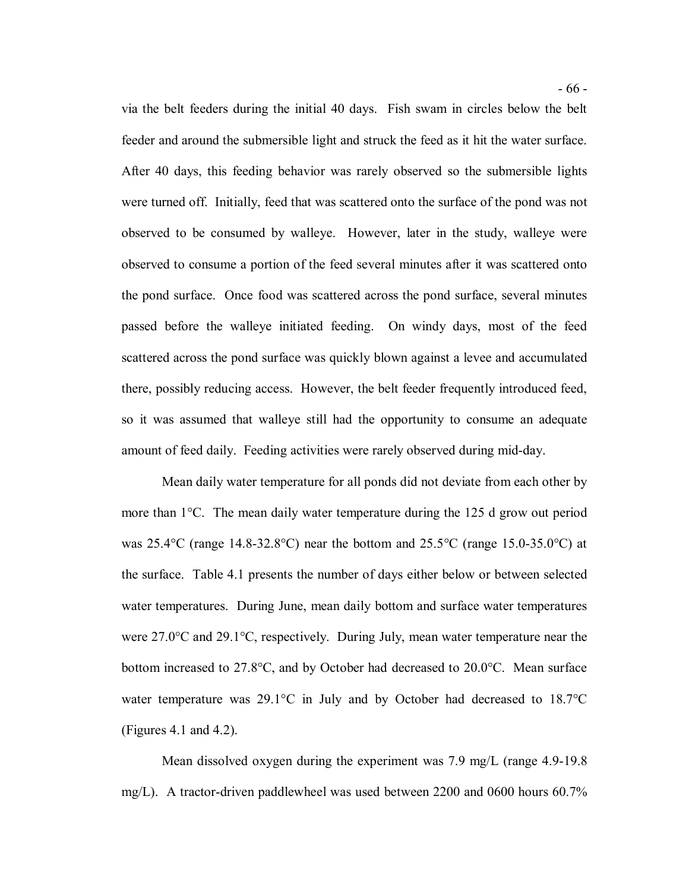via the belt feeders during the initial 40 days. Fish swam in circles below the belt feeder and around the submersible light and struck the feed as it hit the water surface. After 40 days, this feeding behavior was rarely observed so the submersible lights were turned off. Initially, feed that was scattered onto the surface of the pond was not observed to be consumed by walleye. However, later in the study, walleye were observed to consume a portion of the feed several minutes after it was scattered onto the pond surface. Once food was scattered across the pond surface, several minutes passed before the walleye initiated feeding. On windy days, most of the feed scattered across the pond surface was quickly blown against a levee and accumulated there, possibly reducing access. However, the belt feeder frequently introduced feed, so it was assumed that walleye still had the opportunity to consume an adequate amount of feed daily. Feeding activities were rarely observed during mid-day.

 Mean daily water temperature for all ponds did not deviate from each other by more than 1°C. The mean daily water temperature during the 125 d grow out period was 25.4°C (range 14.8-32.8°C) near the bottom and 25.5°C (range 15.0-35.0°C) at the surface. Table 4.1 presents the number of days either below or between selected water temperatures. During June, mean daily bottom and surface water temperatures were 27.0°C and 29.1°C, respectively. During July, mean water temperature near the bottom increased to 27.8°C, and by October had decreased to 20.0°C. Mean surface water temperature was 29.1°C in July and by October had decreased to 18.7°C (Figures 4.1 and 4.2). (Figures 4.1 and 4.2). Mean dissolved oxygen during the experiment was 7.9 mg/L (range 4.9-19.8

mg/L). A tractor-driven paddlewheel was used between 2200 and 0600 hours 60.7%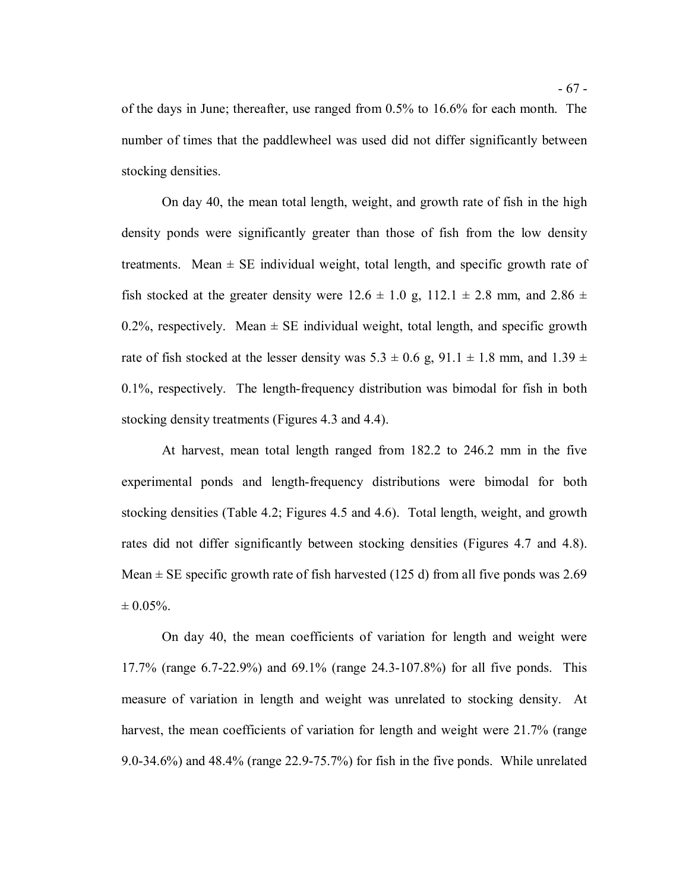of the days in June; thereafter, use ranged from 0.5% to 16.6% for each month. The number of times that the paddlewheel was used did not differ significantly between stocking densities.

 On day 40, the mean total length, weight, and growth rate of fish in the high density ponds were significantly greater than those of fish from the low density treatments. Mean  $\pm$  SE individual weight, total length, and specific growth rate of fish stocked at the greater density were  $12.6 \pm 1.0$  g,  $112.1 \pm 2.8$  mm, and  $2.86 \pm 1.0$ 0.2%, respectively. Mean  $\pm$  SE individual weight, total length, and specific growth rate of fish stocked at the lesser density was  $5.3 \pm 0.6$  g,  $91.1 \pm 1.8$  mm, and  $1.39 \pm 1.6$  0.1%, respectively. The length-frequency distribution was bimodal for fish in both stocking density treatments (Figures 4.3 and 4.4).

 At harvest, mean total length ranged from 182.2 to 246.2 mm in the five experimental ponds and length-frequency distributions were bimodal for both stocking densities (Table 4.2; Figures 4.5 and 4.6). Total length, weight, and growth rates did not differ significantly between stocking densities (Figures 4.7 and 4.8). Mean  $\pm$  SE specific growth rate of fish harvested (125 d) from all five ponds was 2.69  $\pm 0.05\%$ .

 On day 40, the mean coefficients of variation for length and weight were 17.7% (range 6.7-22.9%) and 69.1% (range 24.3-107.8%) for all five ponds. This measure of variation in length and weight was unrelated to stocking density. At harvest, the mean coefficients of variation for length and weight were 21.7% (range 9.0-34.6%) and 48.4% (range 22.9-75.7%) for fish in the five ponds. While unrelated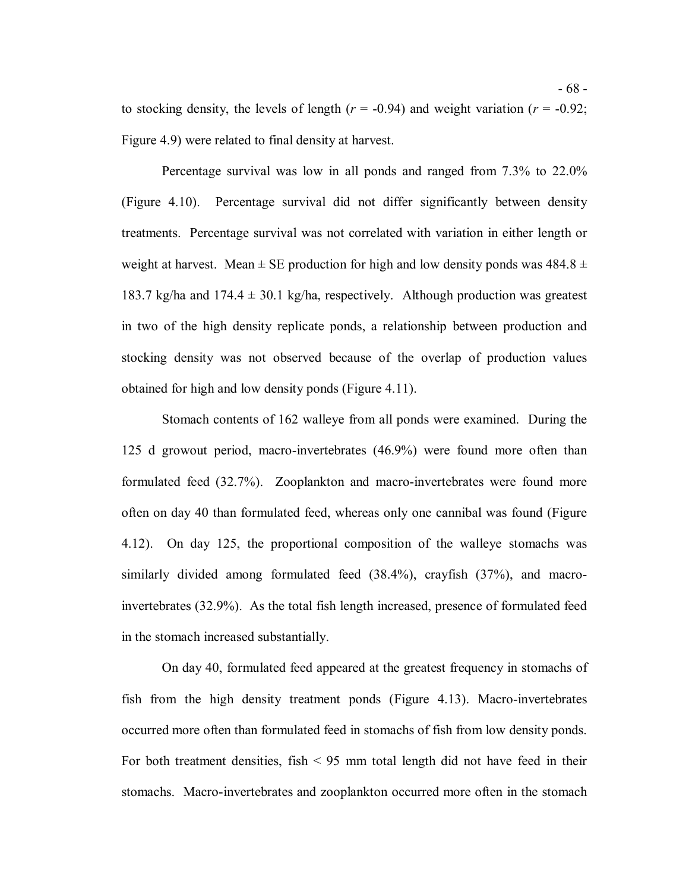to stocking density, the levels of length  $(r = -0.94)$  and weight variation  $(r = -0.92;$ Figure 4.9) were related to final density at harvest.

 Percentage survival was low in all ponds and ranged from 7.3% to 22.0% (Figure 4.10). Percentage survival did not differ significantly between density treatments. Percentage survival was not correlated with variation in either length or weight at harvest. Mean  $\pm$  SE production for high and low density ponds was 484.8  $\pm$ 183.7 kg/ha and  $174.4 \pm 30.1$  kg/ha, respectively. Although production was greatest in two of the high density replicate ponds, a relationship between production and stocking density was not observed because of the overlap of production values obtained for high and low density ponds (Figure 4.11).

 Stomach contents of 162 walleye from all ponds were examined. During the 125 d growout period, macro-invertebrates (46.9%) were found more often than formulated feed (32.7%). Zooplankton and macro-invertebrates were found more often on day 40 than formulated feed, whereas only one cannibal was found (Figure 4.12). On day 125, the proportional composition of the walleye stomachs was similarly divided among formulated feed (38.4%), crayfish (37%), and macro- invertebrates (32.9%). As the total fish length increased, presence of formulated feed in the stomach increased substantially.

 On day 40, formulated feed appeared at the greatest frequency in stomachs of fish from the high density treatment ponds (Figure 4.13). Macro-invertebrates occurred more often than formulated feed in stomachs of fish from low density ponds. For both treatment densities, fish < 95 mm total length did not have feed in their stomachs. Macro-invertebrates and zooplankton occurred more often in the stomach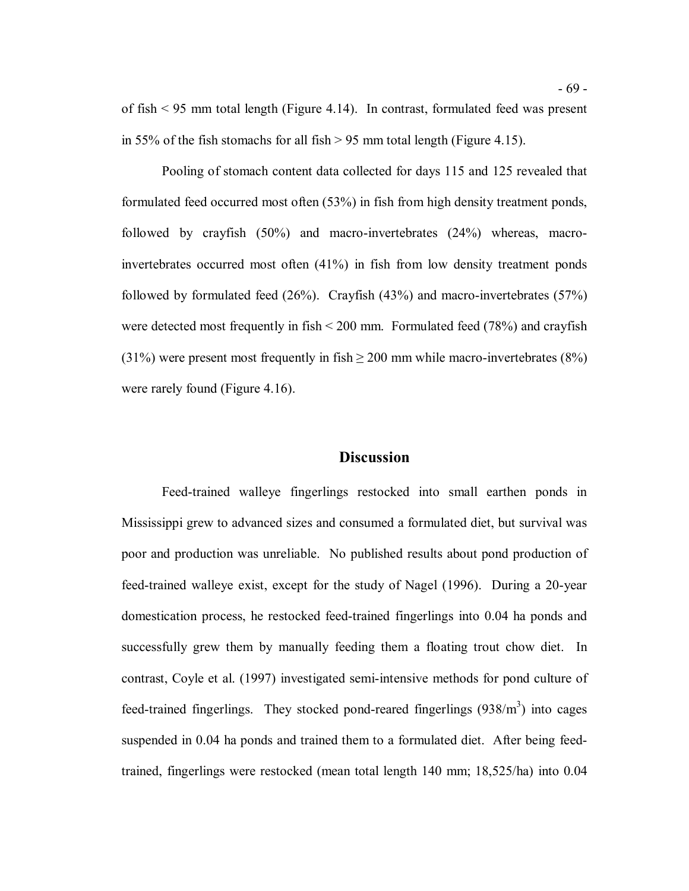of fish < 95 mm total length (Figure 4.14). In contrast, formulated feed was present in 55% of the fish stomachs for all fish  $> 95$  mm total length (Figure 4.15).

 Pooling of stomach content data collected for days 115 and 125 revealed that formulated feed occurred most often (53%) in fish from high density treatment ponds, followed by crayfish (50%) and macro-invertebrates (24%) whereas, macro- invertebrates occurred most often (41%) in fish from low density treatment ponds followed by formulated feed (26%). Crayfish (43%) and macro-invertebrates (57%) were detected most frequently in fish < 200 mm. Formulated feed (78%) and crayfish (31%) were present most frequently in fish  $\geq$  200 mm while macro-invertebrates (8%) were rarely found (Figure 4.16).

#### **Discussion**

 Feed-trained walleye fingerlings restocked into small earthen ponds in Mississippi grew to advanced sizes and consumed a formulated diet, but survival was poor and production was unreliable. No published results about pond production of feed-trained walleye exist, except for the study of Nagel (1996). During a 20-year domestication process, he restocked feed-trained fingerlings into 0.04 ha ponds and successfully grew them by manually feeding them a floating trout chow diet. In contrast, Coyle et al. (1997) investigated semi-intensive methods for pond culture of feed-trained fingerlings. They stocked pond-reared fingerlings  $(938/m<sup>3</sup>)$  into cages suspended in 0.04 ha ponds and trained them to a formulated diet. After being feed-trained, fingerlings were restocked (mean total length 140 mm; 18,525/ha) into 0.04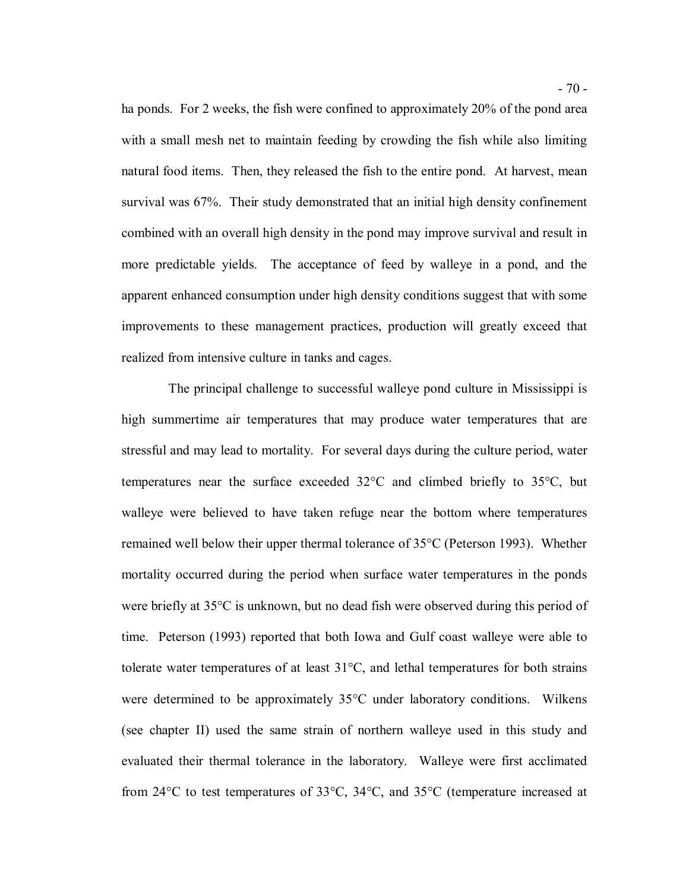ha ponds. For 2 weeks, the fish were confined to approximately 20% of the pond area with a small mesh net to maintain feeding by crowding the fish while also limiting natural food items. Then, they released the fish to the entire pond. At harvest, mean survival was 67%. Their study demonstrated that an initial high density confinement combined with an overall high density in the pond may improve survival and result in more predictable yields. The acceptance of feed by walleye in a pond, and the apparent enhanced consumption under high density conditions suggest that with some improvements to these management practices, production will greatly exceed that realized from intensive culture in tanks and cages.

 high summertime air temperatures that may produce water temperatures that are stressful and may lead to mortality. For several days during the culture period, water temperatures near the surface exceeded 32°C and climbed briefly to 35°C, but walleye were believed to have taken refuge near the bottom where temperatures remained well below their upper thermal tolerance of 35°C (Peterson 1993). Whether mortality occurred during the period when surface water temperatures in the ponds were briefly at 35°C is unknown, but no dead fish were observed during this period of time. Peterson (1993) reported that both Iowa and Gulf coast walleye were able to tolerate water temperatures of at least 31°C, and lethal temperatures for both strains were determined to be approximately 35°C under laboratory conditions. Wilkens (see chapter II) used the same strain of northern walleye used in this study and evaluated their thermal tolerance in the laboratory. Walleye were first acclimated from 24°C to test temperatures of 33°C, 34°C, and 35°C (temperature increased at The principal challenge to successful walleye pond culture in Mississippi is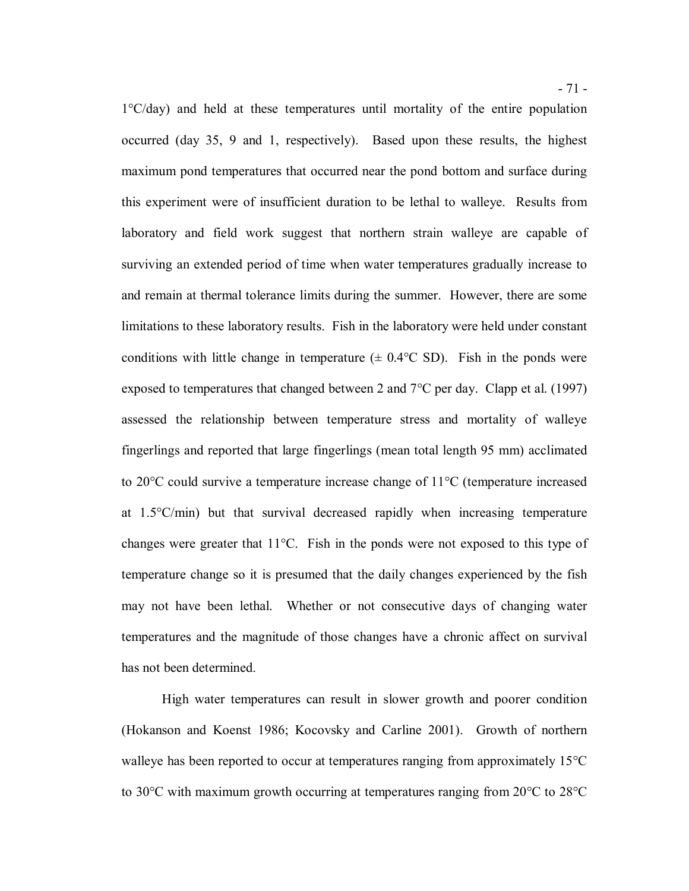1°C/day) and held at these temperatures until mortality of the entire population occurred (day 35, 9 and 1, respectively). Based upon these results, the highest maximum pond temperatures that occurred near the pond bottom and surface during this experiment were of insufficient duration to be lethal to walleye. Results from laboratory and field work suggest that northern strain walleye are capable of surviving an extended period of time when water temperatures gradually increase to and remain at thermal tolerance limits during the summer. However, there are some limitations to these laboratory results. Fish in the laboratory were held under constant conditions with little change in temperature  $(\pm 0.4^{\circ}\text{C SD})$ . Fish in the ponds were exposed to temperatures that changed between 2 and  $7^{\circ}$ C per day. Clapp et al. (1997) assessed the relationship between temperature stress and mortality of walleye fingerlings and reported that large fingerlings (mean total length 95 mm) acclimated to 20°C could survive a temperature increase change of 11°C (temperature increased at 1.5°C/min) but that survival decreased rapidly when increasing temperature changes were greater that 11°C. Fish in the ponds were not exposed to this type of temperature change so it is presumed that the daily changes experienced by the fish may not have been lethal. Whether or not consecutive days of changing water temperatures and the magnitude of those changes have a chronic affect on survival has not been determined.

 High water temperatures can result in slower growth and poorer condition (Hokanson and Koenst 1986; Kocovsky and Carline 2001). Growth of northern walleye has been reported to occur at temperatures ranging from approximately 15°C to 30°C with maximum growth occurring at temperatures ranging from 20°C to 28°C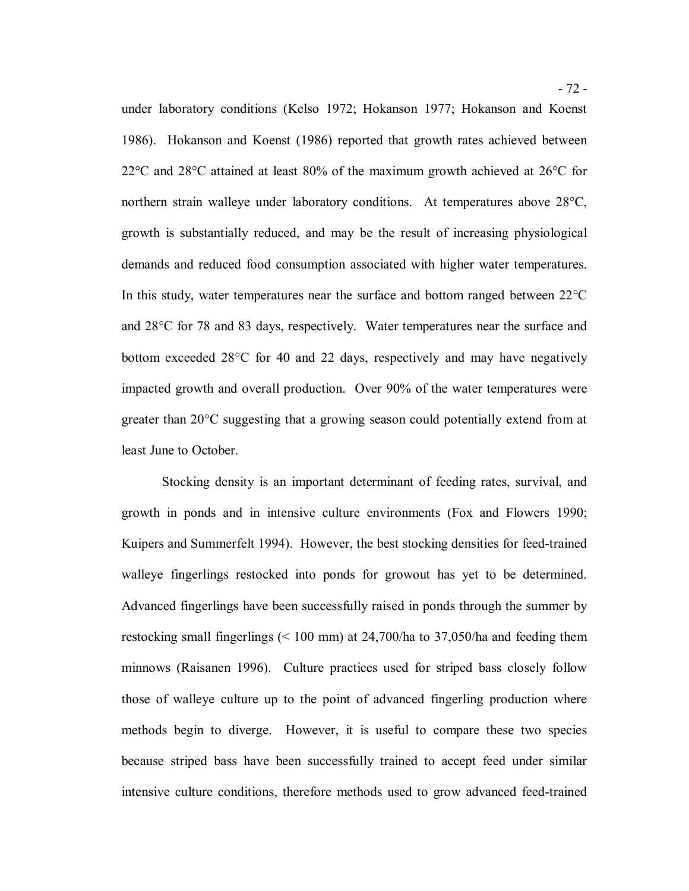under laboratory conditions (Kelso 1972; Hokanson 1977; Hokanson and Koenst 1986). Hokanson and Koenst (1986) reported that growth rates achieved between 22°C and 28°C attained at least 80% of the maximum growth achieved at 26°C for northern strain walleye under laboratory conditions. At temperatures above 28°C, growth is substantially reduced, and may be the result of increasing physiological demands and reduced food consumption associated with higher water temperatures. In this study, water temperatures near the surface and bottom ranged between 22°C and 28°C for 78 and 83 days, respectively. Water temperatures near the surface and bottom exceeded 28°C for 40 and 22 days, respectively and may have negatively impacted growth and overall production. Over 90% of the water temperatures were greater than 20°C suggesting that a growing season could potentially extend from at least June to October.

 Stocking density is an important determinant of feeding rates, survival, and growth in ponds and in intensive culture environments (Fox and Flowers 1990; Kuipers and Summerfelt 1994). However, the best stocking densities for feed-trained walleye fingerlings restocked into ponds for growout has yet to be determined. Advanced fingerlings have been successfully raised in ponds through the summer by restocking small fingerlings (< 100 mm) at 24,700/ha to 37,050/ha and feeding them minnows (Raisanen 1996). Culture practices used for striped bass closely follow those of walleye culture up to the point of advanced fingerling production where methods begin to diverge. However, it is useful to compare these two species because striped bass have been successfully trained to accept feed under similar intensive culture conditions, therefore methods used to grow advanced feed-trained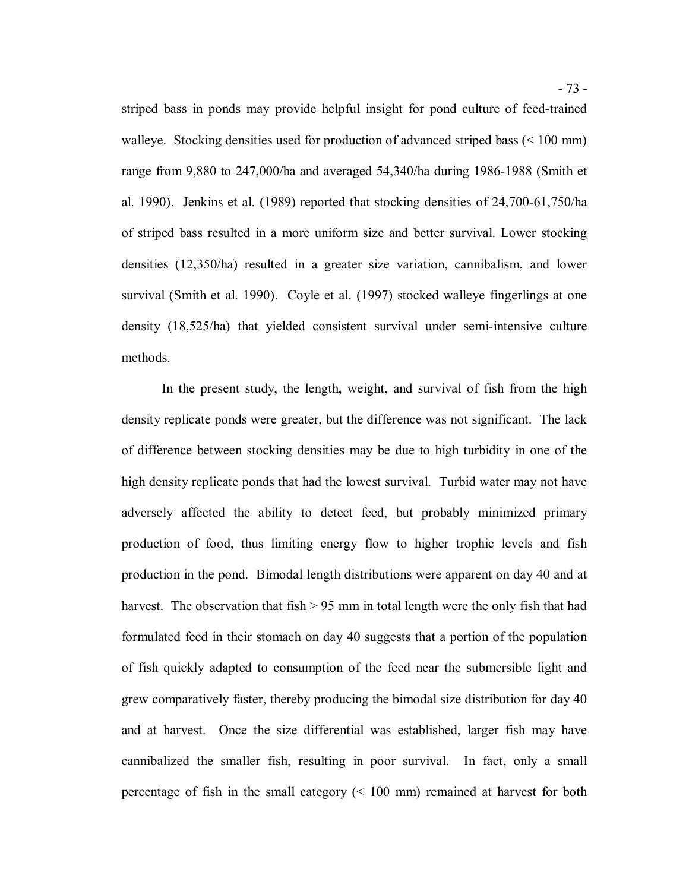striped bass in ponds may provide helpful insight for pond culture of feed-trained walleye. Stocking densities used for production of advanced striped bass (< 100 mm) range from 9,880 to 247,000/ha and averaged 54,340/ha during 1986-1988 (Smith et al. 1990). Jenkins et al. (1989) reported that stocking densities of 24,700-61,750/ha of striped bass resulted in a more uniform size and better survival. Lower stocking densities (12,350/ha) resulted in a greater size variation, cannibalism, and lower survival (Smith et al. 1990). Coyle et al. (1997) stocked walleye fingerlings at one density (18,525/ha) that yielded consistent survival under semi-intensive culture methods. methods.<br>In the present study, the length, weight, and survival of fish from the high

 density replicate ponds were greater, but the difference was not significant. The lack of difference between stocking densities may be due to high turbidity in one of the high density replicate ponds that had the lowest survival. Turbid water may not have adversely affected the ability to detect feed, but probably minimized primary production of food, thus limiting energy flow to higher trophic levels and fish production in the pond. Bimodal length distributions were apparent on day 40 and at harvest. The observation that fish > 95 mm in total length were the only fish that had formulated feed in their stomach on day 40 suggests that a portion of the population of fish quickly adapted to consumption of the feed near the submersible light and grew comparatively faster, thereby producing the bimodal size distribution for day 40 and at harvest. Once the size differential was established, larger fish may have cannibalized the smaller fish, resulting in poor survival. In fact, only a small percentage of fish in the small category (< 100 mm) remained at harvest for both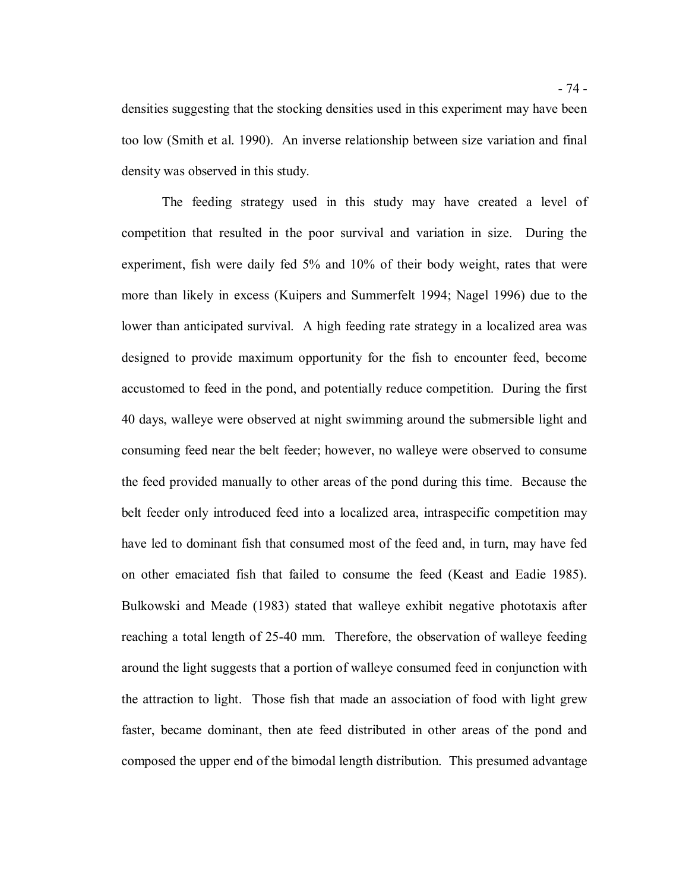densities suggesting that the stocking densities used in this experiment may have been too low (Smith et al. 1990). An inverse relationship between size variation and final density was observed in this study.

 The feeding strategy used in this study may have created a level of competition that resulted in the poor survival and variation in size. During the experiment, fish were daily fed 5% and 10% of their body weight, rates that were more than likely in excess (Kuipers and Summerfelt 1994; Nagel 1996) due to the lower than anticipated survival. A high feeding rate strategy in a localized area was designed to provide maximum opportunity for the fish to encounter feed, become accustomed to feed in the pond, and potentially reduce competition. During the first 40 days, walleye were observed at night swimming around the submersible light and consuming feed near the belt feeder; however, no walleye were observed to consume the feed provided manually to other areas of the pond during this time. Because the belt feeder only introduced feed into a localized area, intraspecific competition may have led to dominant fish that consumed most of the feed and, in turn, may have fed on other emaciated fish that failed to consume the feed (Keast and Eadie 1985). Bulkowski and Meade (1983) stated that walleye exhibit negative phototaxis after reaching a total length of 25-40 mm. Therefore, the observation of walleye feeding around the light suggests that a portion of walleye consumed feed in conjunction with the attraction to light. Those fish that made an association of food with light grew faster, became dominant, then ate feed distributed in other areas of the pond and composed the upper end of the bimodal length distribution. This presumed advantage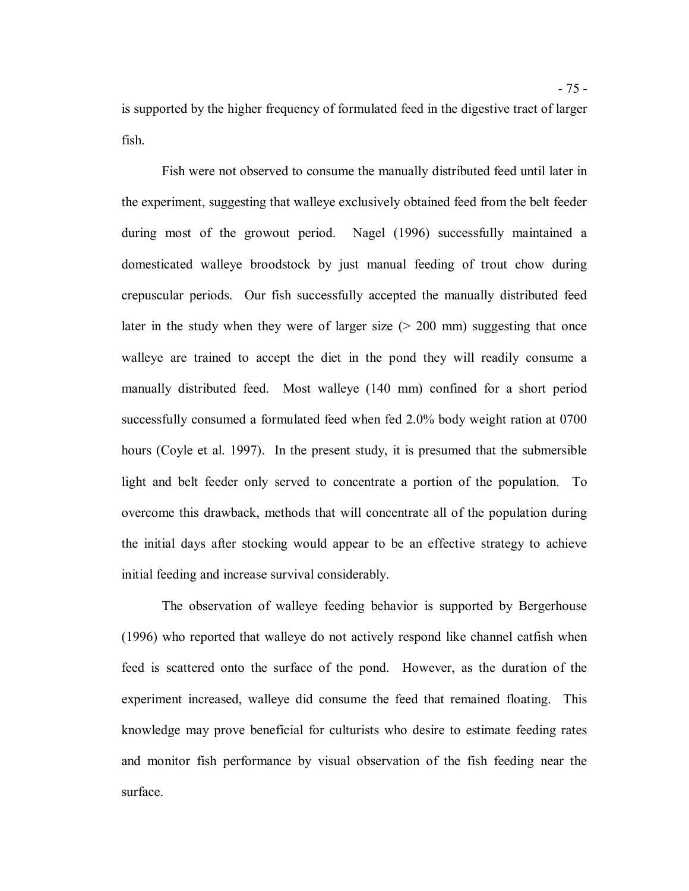is supported by the higher frequency of formulated feed in the digestive tract of larger fish. fish. Fish were not observed to consume the manually distributed feed until later in

 the experiment, suggesting that walleye exclusively obtained feed from the belt feeder during most of the growout period. domesticated walleye broodstock by just manual feeding of trout chow during crepuscular periods. Our fish successfully accepted the manually distributed feed later in the study when they were of larger size (> 200 mm) suggesting that once walleye are trained to accept the diet in the pond they will readily consume a manually distributed feed. Most walleye (140 mm) confined for a short period successfully consumed a formulated feed when fed 2.0% body weight ration at 0700 hours (Coyle et al. 1997). In the present study, it is presumed that the submersible light and belt feeder only served to concentrate a portion of the population. To overcome this drawback, methods that will concentrate all of the population during the initial days after stocking would appear to be an effective strategy to achieve initial feeding and increase survival considerably. Nagel (1996) successfully maintained a

 The observation of walleye feeding behavior is supported by Bergerhouse (1996) who reported that walleye do not actively respond like channel catfish when feed is scattered onto the surface of the pond. However, as the duration of the experiment increased, walleye did consume the feed that remained floating. This knowledge may prove beneficial for culturists who desire to estimate feeding rates and monitor fish performance by visual observation of the fish feeding near the surface.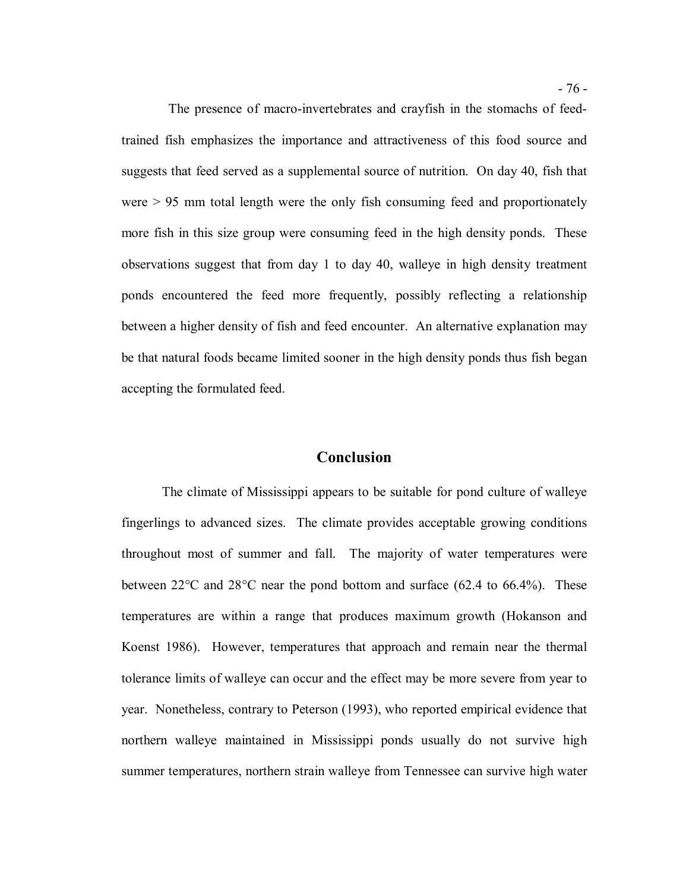trained fish emphasizes the importance and attractiveness of this food source and suggests that feed served as a supplemental source of nutrition. On day 40, fish that were > 95 mm total length were the only fish consuming feed and proportionately more fish in this size group were consuming feed in the high density ponds. These observations suggest that from day 1 to day 40, walleye in high density treatment ponds encountered the feed more frequently, possibly reflecting a relationship between a higher density of fish and feed encounter. An alternative explanation may be that natural foods became limited sooner in the high density ponds thus fish began The presence of macro-invertebrates and crayfish in the stomachs of feedaccepting the formulated feed.

### **Conclusion**

 The climate of Mississippi appears to be suitable for pond culture of walleye fingerlings to advanced sizes. The climate provides acceptable growing conditions throughout most of summer and fall. The majority of water temperatures were between 22°C and 28°C near the pond bottom and surface (62.4 to 66.4%). These temperatures are within a range that produces maximum growth (Hokanson and Koenst 1986). However, temperatures that approach and remain near the thermal tolerance limits of walleye can occur and the effect may be more severe from year to year. Nonetheless, contrary to Peterson (1993), who reported empirical evidence that northern walleye maintained in Mississippi ponds usually do not survive high summer temperatures, northern strain walleye from Tennessee can survive high water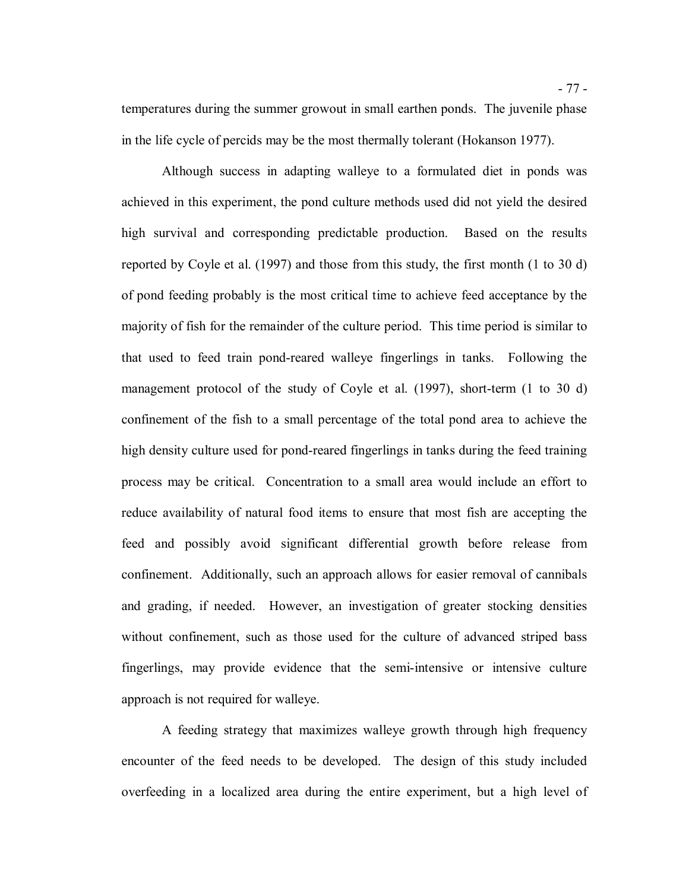temperatures during the summer growout in small earthen ponds. The juvenile phase in the life cycle of percids may be the most thermally tolerant (Hokanson 1977).

 Although success in adapting walleye to a formulated diet in ponds was achieved in this experiment, the pond culture methods used did not yield the desired high survival and corresponding predictable production. Based on the results reported by Coyle et al. (1997) and those from this study, the first month (1 to 30 d) of pond feeding probably is the most critical time to achieve feed acceptance by the majority of fish for the remainder of the culture period. This time period is similar to that used to feed train pond-reared walleye fingerlings in tanks. Following the management protocol of the study of Coyle et al. (1997), short-term (1 to 30 d) confinement of the fish to a small percentage of the total pond area to achieve the high density culture used for pond-reared fingerlings in tanks during the feed training process may be critical. Concentration to a small area would include an effort to reduce availability of natural food items to ensure that most fish are accepting the feed and possibly avoid significant differential growth before release from confinement. Additionally, such an approach allows for easier removal of cannibals and grading, if needed. However, an investigation of greater stocking densities without confinement, such as those used for the culture of advanced striped bass fingerlings, may provide evidence that the semi-intensive or intensive culture approach is not required for walleye.

 A feeding strategy that maximizes walleye growth through high frequency encounter of the feed needs to be developed. The design of this study included overfeeding in a localized area during the entire experiment, but a high level of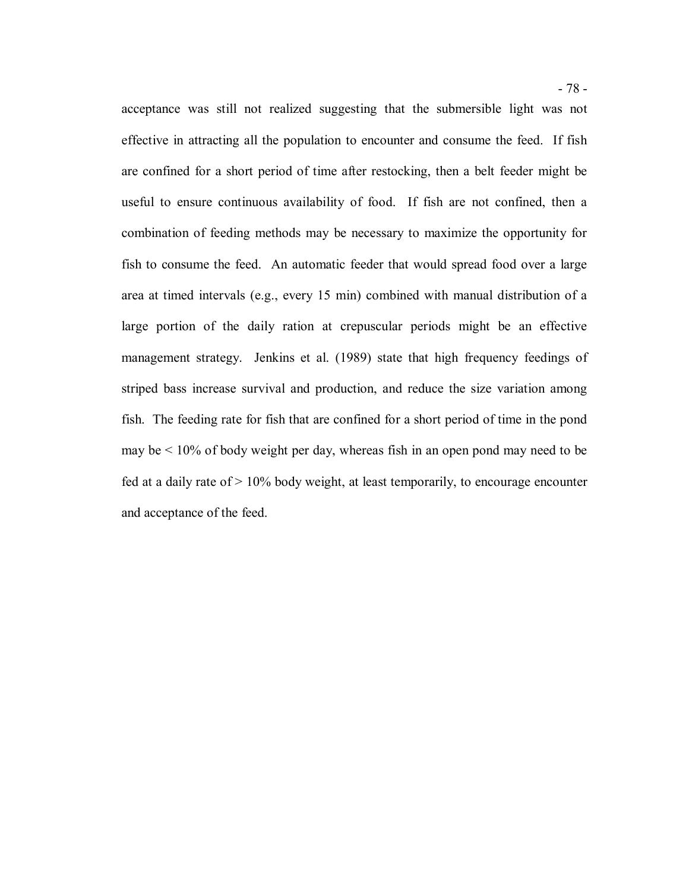acceptance was still not realized suggesting that the submersible light was not effective in attracting all the population to encounter and consume the feed. If fish are confined for a short period of time after restocking, then a belt feeder might be useful to ensure continuous availability of food. If fish are not confined, then a combination of feeding methods may be necessary to maximize the opportunity for fish to consume the feed. An automatic feeder that would spread food over a large area at timed intervals (e.g., every 15 min) combined with manual distribution of a large portion of the daily ration at crepuscular periods might be an effective management strategy. Jenkins et al. (1989) state that high frequency feedings of striped bass increase survival and production, and reduce the size variation among fish. The feeding rate for fish that are confined for a short period of time in the pond may be < 10% of body weight per day, whereas fish in an open pond may need to be fed at a daily rate of  $> 10\%$  body weight, at least temporarily, to encourage encounter and acceptance of the feed.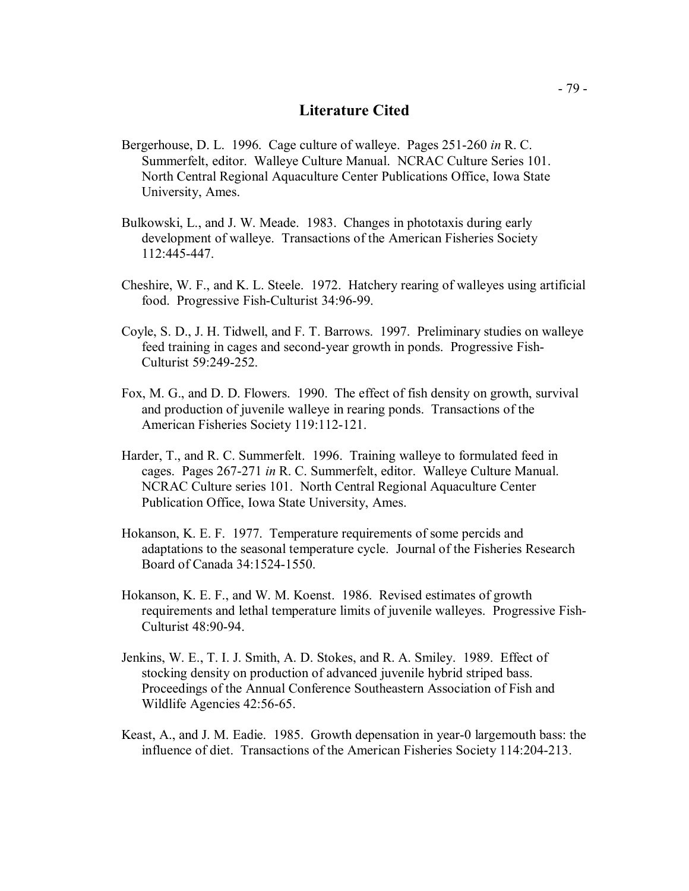## **Literature Cited**

- Bergerhouse, D. L. 1996. Cage culture of walleye. Pages 251-260 *in* R. C. Summerfelt, editor. Walleye Culture Manual. NCRAC Culture Series 101. North Central Regional Aquaculture Center Publications Office, Iowa State University, Ames.
- Bulkowski, L., and J. W. Meade. 1983. Changes in phototaxis during early development of walleye. Transactions of the American Fisheries Society 112:445-447.
- Cheshire, W. F., and K. L. Steele. 1972. Hatchery rearing of walleyes using artificial food. Progressive Fish-Culturist 34:96-99.
- Coyle, S. D., J. H. Tidwell, and F. T. Barrows. 1997. Preliminary studies on walleye feed training in cages and second-year growth in ponds. Progressive Fish-Culturist 59:249-252.
- Fox, M. G., and D. D. Flowers. 1990. The effect of fish density on growth, survival and production of juvenile walleye in rearing ponds. Transactions of the American Fisheries Society 119:112-121.
- Harder, T., and R. C. Summerfelt. 1996. Training walleye to formulated feed in cages. Pages 267-271 *in* R. C. Summerfelt, editor. Walleye Culture Manual. NCRAC Culture series 101. North Central Regional Aquaculture Center Publication Office, Iowa State University, Ames.
- Hokanson, K. E. F. 1977. Temperature requirements of some percids and adaptations to the seasonal temperature cycle. Journal of the Fisheries Research Board of Canada 34:1524-1550.
- Hokanson, K. E. F., and W. M. Koenst. 1986. Revised estimates of growth requirements and lethal temperature limits of juvenile walleyes. Progressive Fish-Culturist 48:90-94.
- Jenkins, W. E., T. I. J. Smith, A. D. Stokes, and R. A. Smiley. 1989. Effect of stocking density on production of advanced juvenile hybrid striped bass. Proceedings of the Annual Conference Southeastern Association of Fish and Wildlife Agencies 42:56-65.
- Keast, A., and J. M. Eadie. 1985. Growth depensation in year-0 largemouth bass: the influence of diet. Transactions of the American Fisheries Society 114:204-213.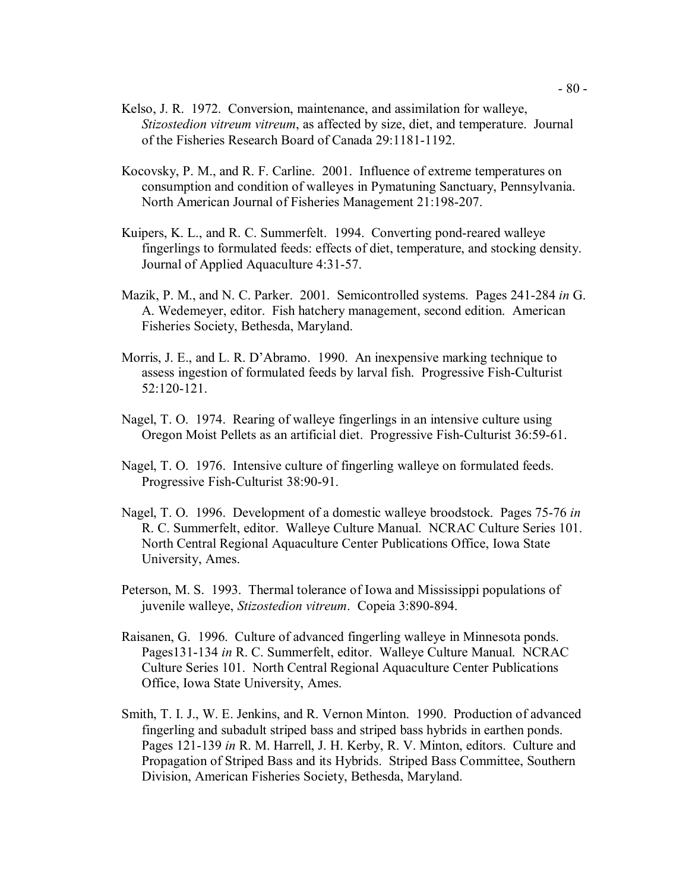- Kelso, J. R. 1972. Conversion, maintenance, and assimilation for walleye, *Stizostedion vitreum vitreum*, as affected by size, diet, and temperature. Journal of the Fisheries Research Board of Canada 29:1181-1192.
- Kocovsky, P. M., and R. F. Carline. 2001. Influence of extreme temperatures on consumption and condition of walleyes in Pymatuning Sanctuary, Pennsylvania. North American Journal of Fisheries Management 21:198-207.
- Kuipers, K. L., and R. C. Summerfelt. 1994. Converting pond-reared walleye fingerlings to formulated feeds: effects of diet, temperature, and stocking density. Journal of Applied Aquaculture 4:31-57.
- Mazik, P. M., and N. C. Parker. 2001. Semicontrolled systems. Pages 241-284 *in* G. A. Wedemeyer, editor. Fish hatchery management, second edition. American Fisheries Society, Bethesda, Maryland.
- Morris, J. E., and L. R. D'Abramo. 1990. An inexpensive marking technique to assess ingestion of formulated feeds by larval fish. Progressive Fish-Culturist 52:120-121.
- Nagel, T. O. 1974. Rearing of walleye fingerlings in an intensive culture using Oregon Moist Pellets as an artificial diet. Progressive Fish-Culturist 36:59-61.
- Nagel, T. O. 1976. Intensive culture of fingerling walleye on formulated feeds. Progressive Fish-Culturist 38:90-91.
- Nagel, T. O. 1996. Development of a domestic walleye broodstock. Pages 75-76 *in*  R. C. Summerfelt, editor. Walleye Culture Manual. NCRAC Culture Series 101. North Central Regional Aquaculture Center Publications Office, Iowa State University, Ames.
- Peterson, M. S. 1993. Thermal tolerance of Iowa and Mississippi populations of juvenile walleye, *Stizostedion vitreum*. Copeia 3:890-894.
- Raisanen, G. 1996. Culture of advanced fingerling walleye in Minnesota ponds. Pages131-134 *in* R. C. Summerfelt, editor. Walleye Culture Manual. NCRAC Culture Series 101. North Central Regional Aquaculture Center Publications Office, Iowa State University, Ames.
- Smith, T. I. J., W. E. Jenkins, and R. Vernon Minton. 1990. Production of advanced fingerling and subadult striped bass and striped bass hybrids in earthen ponds. Pages 121-139 *in* R. M. Harrell, J. H. Kerby, R. V. Minton, editors. Culture and Propagation of Striped Bass and its Hybrids. Striped Bass Committee, Southern Division, American Fisheries Society, Bethesda, Maryland.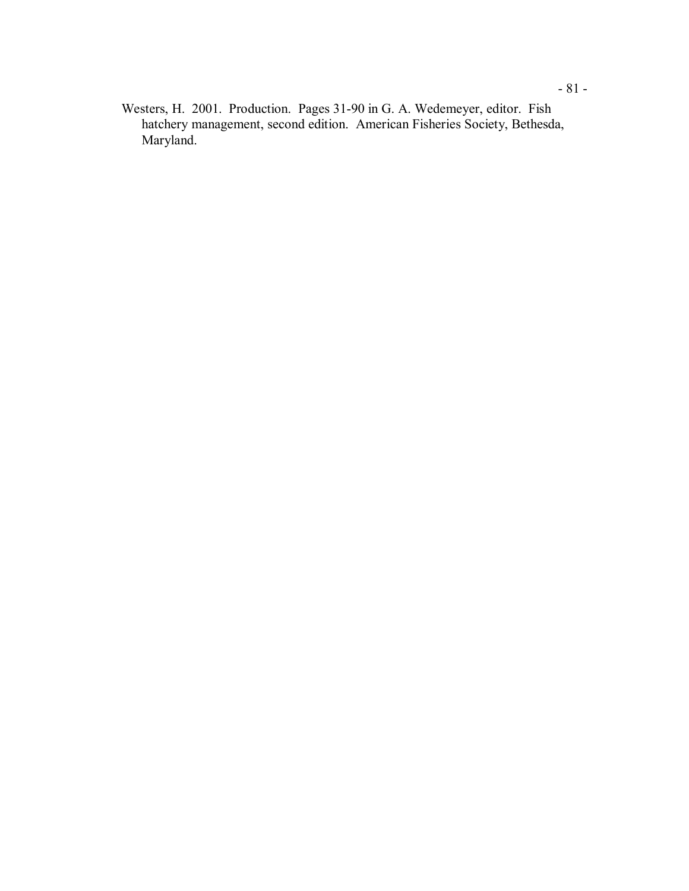Westers, H. 2001. Production. Pages 31-90 in G. A. Wedemeyer, editor. Fish hatchery management, second edition. American Fisheries Society, Bethesda, Maryland.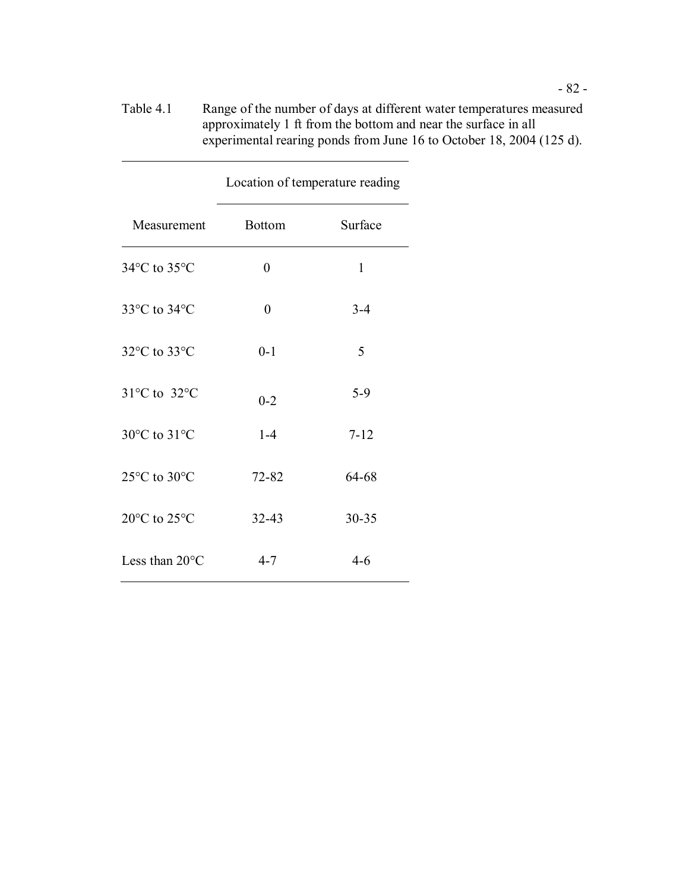| Table 4.1 | Range of the number of days at different water temperatures measured |
|-----------|----------------------------------------------------------------------|
|           | approximately 1 ft from the bottom and near the surface in all       |
|           | experimental rearing ponds from June 16 to October 18, 2004 (125 d). |

|                | Location of temperature reading |          |  |
|----------------|---------------------------------|----------|--|
| Measurement    | <b>Bottom</b>                   | Surface  |  |
| 34°C to 35°C   | 0                               | 1        |  |
| 33°C to 34°C   | $\overline{0}$                  | $3 - 4$  |  |
| 32°C to 33°C   | $0 - 1$                         | 5        |  |
| 31°C to 32°C   | $0 - 2$                         | $5-9$    |  |
| 30°C to 31°C   | $1-4$                           | $7 - 12$ |  |
| 25°C to 30°C   | 72-82                           | 64-68    |  |
| 20°C to 25°C   | 32-43                           | 30-35    |  |
| Less than 20°C | $4 - 7$                         | $4 - 6$  |  |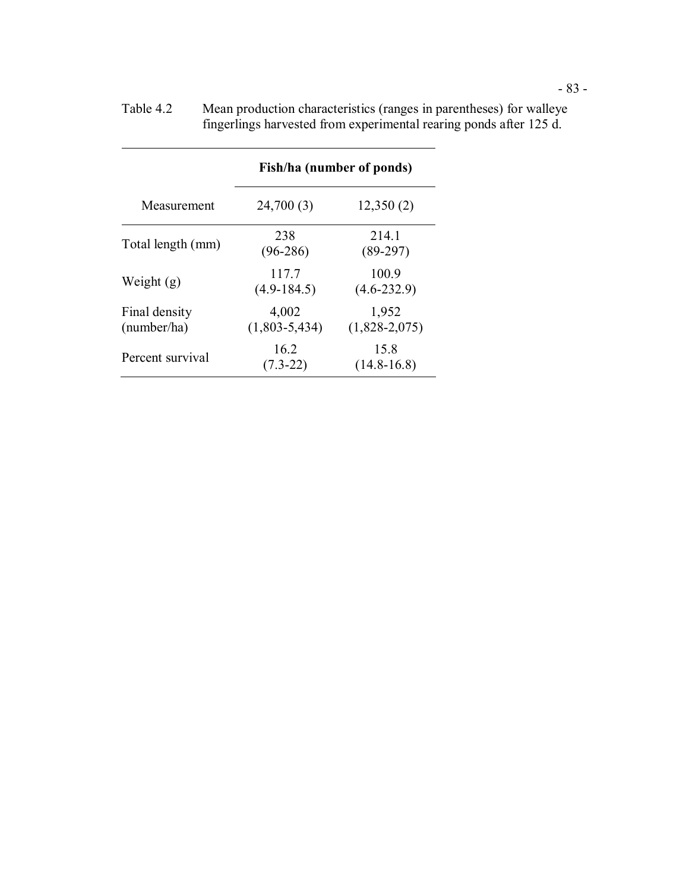|                              | Fish/ha (number of ponds) |                          |  |
|------------------------------|---------------------------|--------------------------|--|
| Measurement                  | 24,700 (3)                | 12,350(2)                |  |
| Total length (mm)            | 238<br>$(96-286)$         | 214.1<br>$(89-297)$      |  |
| Weight $(g)$                 | 117.7<br>$(4.9-184.5)$    | 100.9<br>$(4.6 - 232.9)$ |  |
| Final density<br>(number/ha) | 4,002<br>$(1,803-5,434)$  | 1,952<br>$(1,828-2,075)$ |  |
| Percent survival             | 16.2<br>$(7.3 - 22)$      | 15.8<br>$(14.8 - 16.8)$  |  |

 Table 4.2 Mean production characteristics (ranges in parentheses) for walleye fingerlings harvested from experimental rearing ponds after 125 d.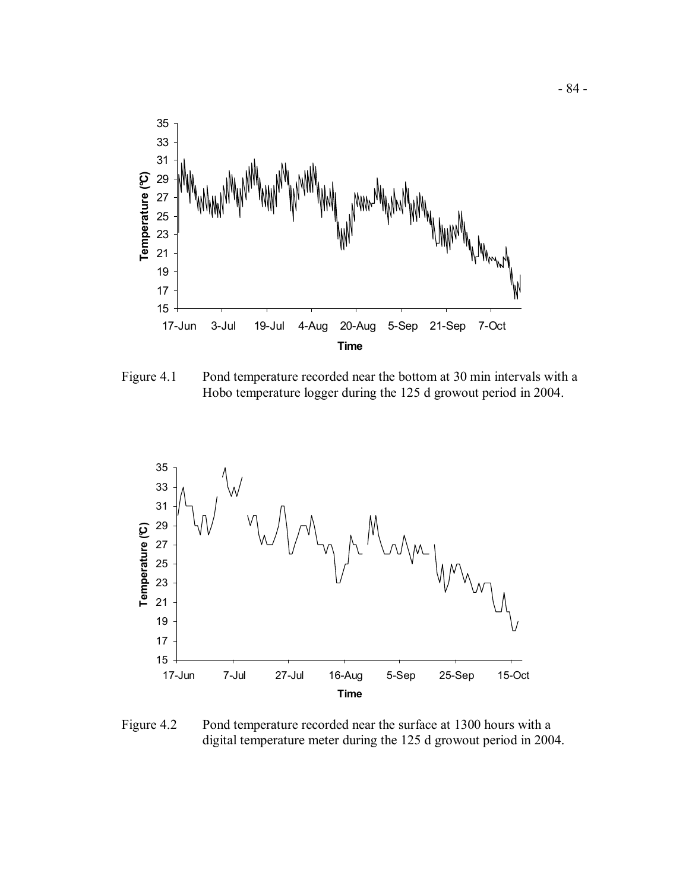

Figure 4.1 Pond temperature recorded near the bottom at 30 min intervals with a Hobo temperature logger during the 125 d growout period in 2004.



 Figure 4.2 Pond temperature recorded near the surface at 1300 hours with a digital temperature meter during the 125 d growout period in 2004.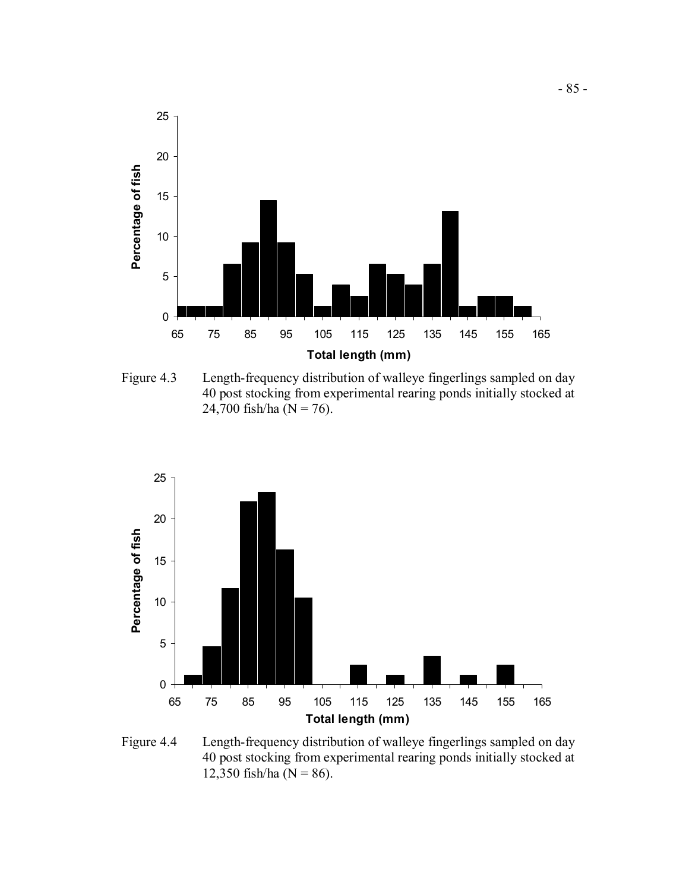

 Figure 4.3 Length-frequency distribution of walleye fingerlings sampled on day 40 post stocking from experimental rearing ponds initially stocked at 24,700 fish/ha ( $N = 76$ ).



 Figure 4.4 Length-frequency distribution of walleye fingerlings sampled on day 40 post stocking from experimental rearing ponds initially stocked at 12,350 fish/ha ( $N = 86$ ).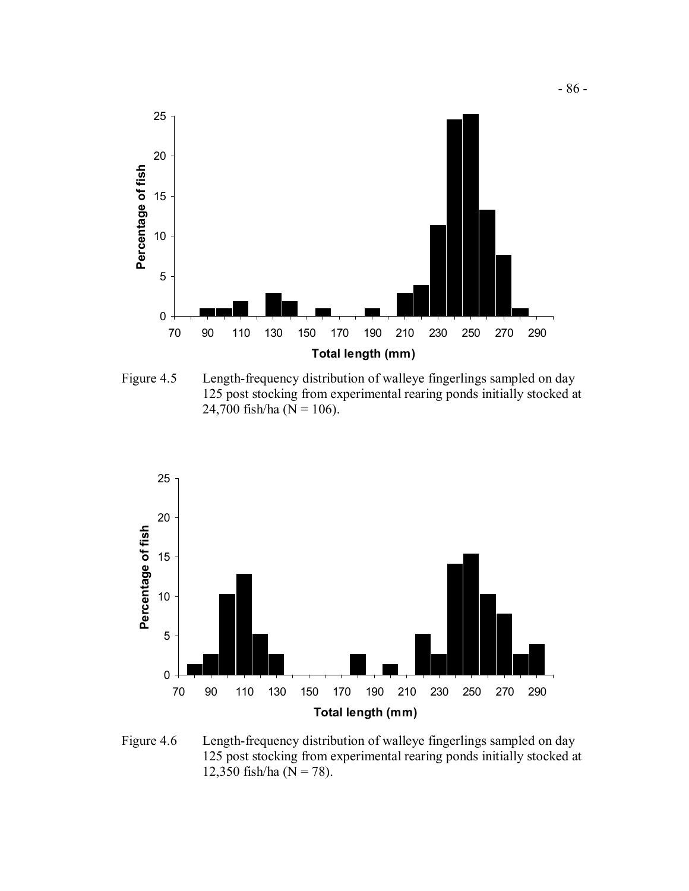

 Figure 4.5 Length-frequency distribution of walleye fingerlings sampled on day 125 post stocking from experimental rearing ponds initially stocked at 24,700 fish/ha ( $N = 106$ ).



 Figure 4.6 Length-frequency distribution of walleye fingerlings sampled on day 125 post stocking from experimental rearing ponds initially stocked at 12,350 fish/ha ( $N = 78$ ).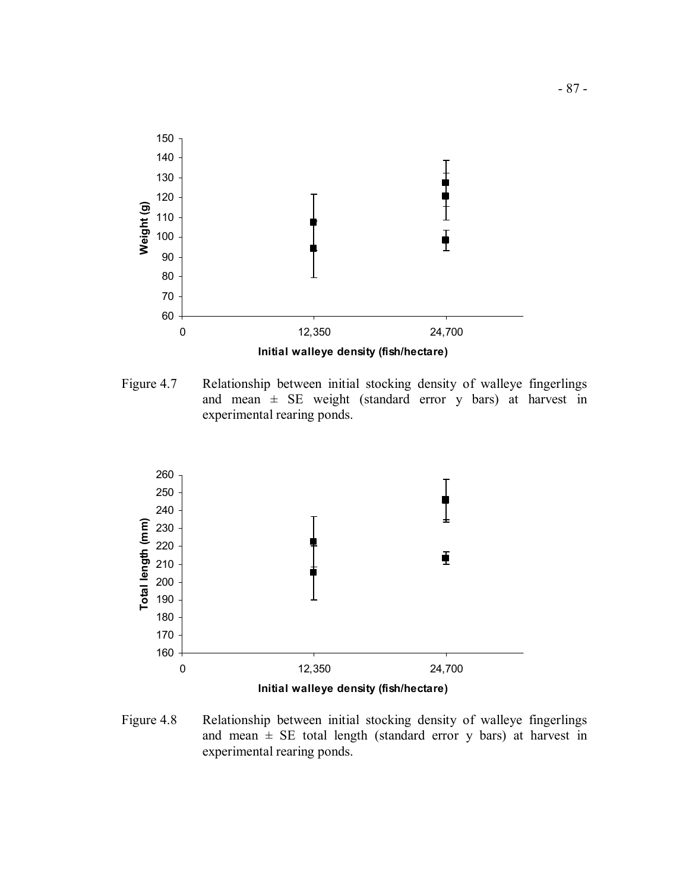

 Figure 4.7 Relationship between initial stocking density of walleye fingerlings and mean ± SE weight (standard error y bars) at harvest in experimental rearing ponds.



 Figure 4.8 Relationship between initial stocking density of walleye fingerlings and mean  $\pm$  SE total length (standard error y bars) at harvest in experimental rearing ponds.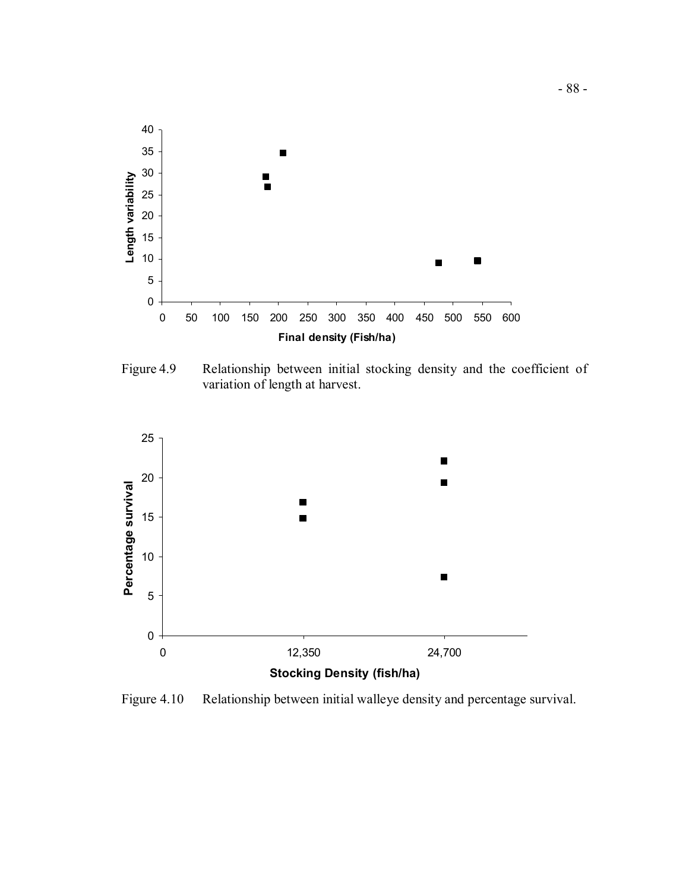

 Figure 4.9 Relationship between initial stocking density and the coefficient of variation of length at harvest.



Figure 4.10 Relationship between initial walleye density and percentage survival.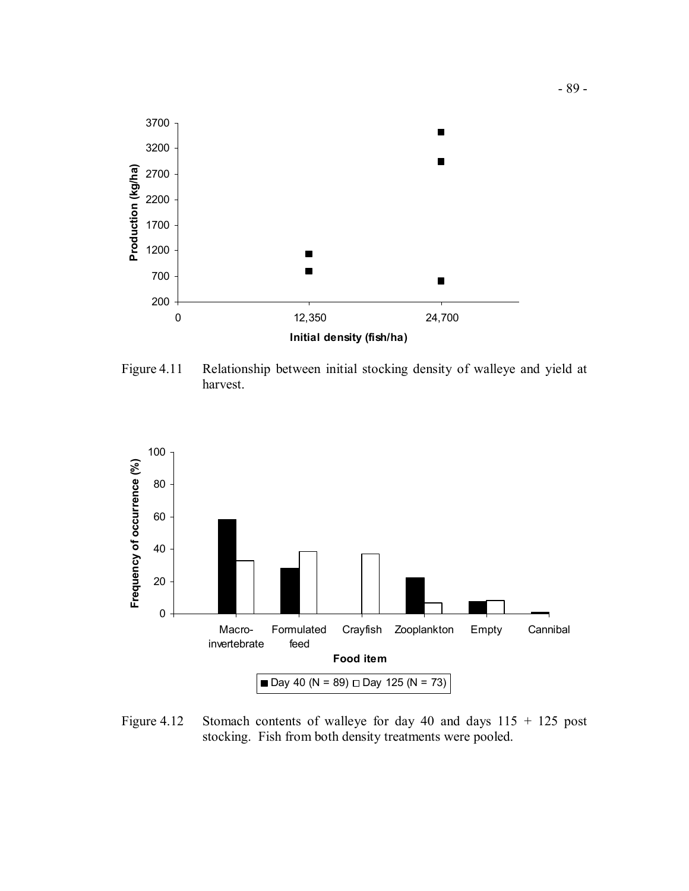

 Figure 4.11 Relationship between initial stocking density of walleye and yield at harvest.



Figure 4.12 Stomach contents of walleye for day 40 and days  $115 + 125$  post stocking. Fish from both density treatments were pooled.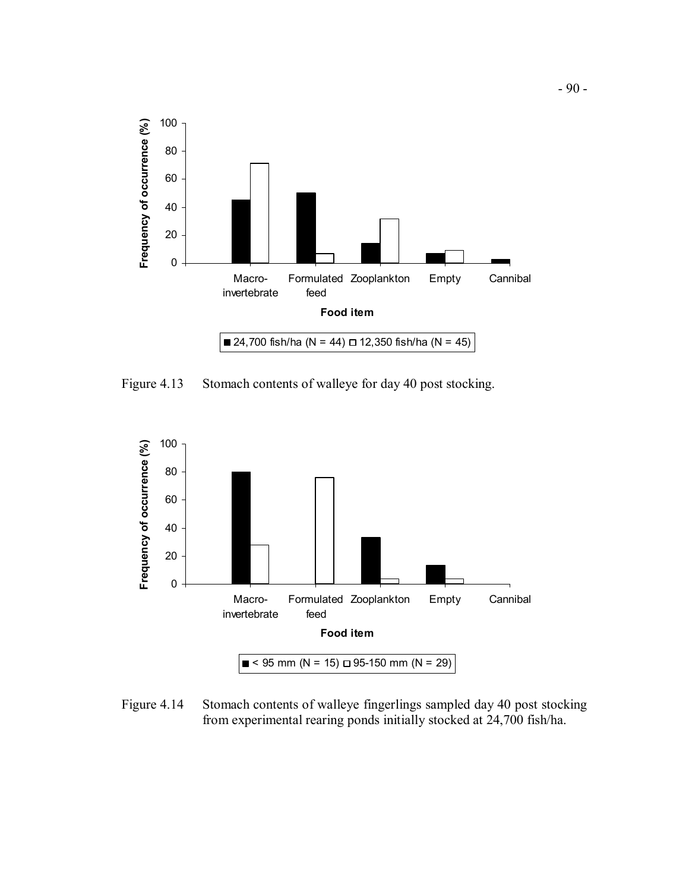

Figure 4.13 Stomach contents of walleye for day 40 post stocking.



 Figure 4.14 Stomach contents of walleye fingerlings sampled day 40 post stocking from experimental rearing ponds initially stocked at 24,700 fish/ha.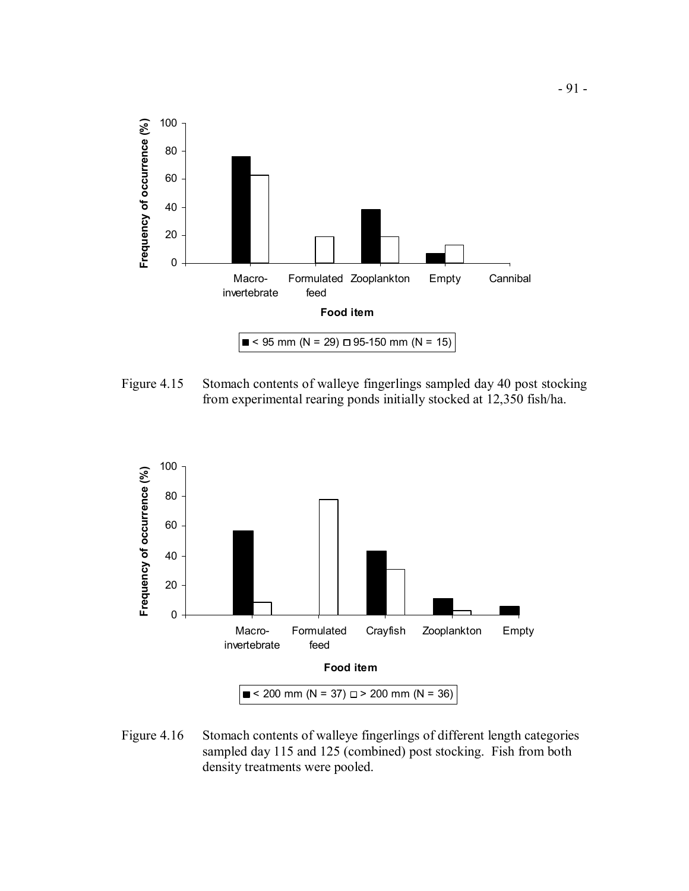

Figure 4.15 Stomach contents of walleye fingerlings sampled day 40 post stocking from experimental rearing ponds initially stocked at 12,350 fish/ha.



Figure 4.16 Stomach contents of walleye fingerlings of different length categories sampled day 115 and 125 (combined) post stocking. Fish from both density treatments were pooled.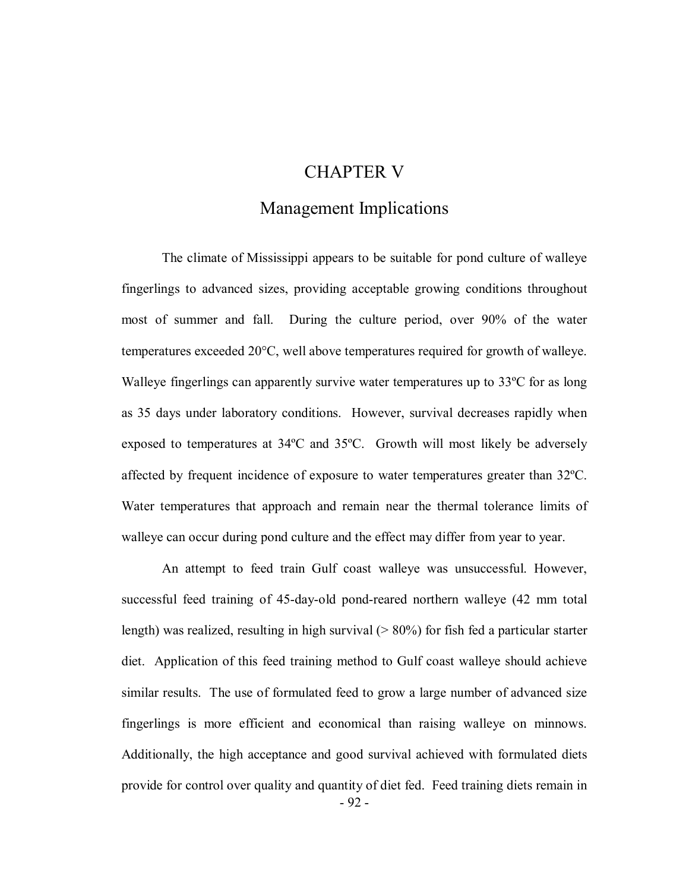# CHAPTER V

# Management Implications

 The climate of Mississippi appears to be suitable for pond culture of walleye fingerlings to advanced sizes, providing acceptable growing conditions throughout most of summer and fall. During the culture period, over 90% of the water temperatures exceeded 20°C, well above temperatures required for growth of walleye. Walleye fingerlings can apparently survive water temperatures up to 33ºC for as long as 35 days under laboratory conditions. However, survival decreases rapidly when exposed to temperatures at 34ºC and 35ºC. Growth will most likely be adversely affected by frequent incidence of exposure to water temperatures greater than 32ºC. Water temperatures that approach and remain near the thermal tolerance limits of walleye can occur during pond culture and the effect may differ from year to year.

 An attempt to feed train Gulf coast walleye was unsuccessful. However, successful feed training of 45-day-old pond-reared northern walleye (42 mm total length) was realized, resulting in high survival (> 80%) for fish fed a particular starter diet. Application of this feed training method to Gulf coast walleye should achieve similar results. The use of formulated feed to grow a large number of advanced size fingerlings is more efficient and economical than raising walleye on minnows. Additionally, the high acceptance and good survival achieved with formulated diets provide for control over quality and quantity of diet fed. Feed training diets remain in - 92 -